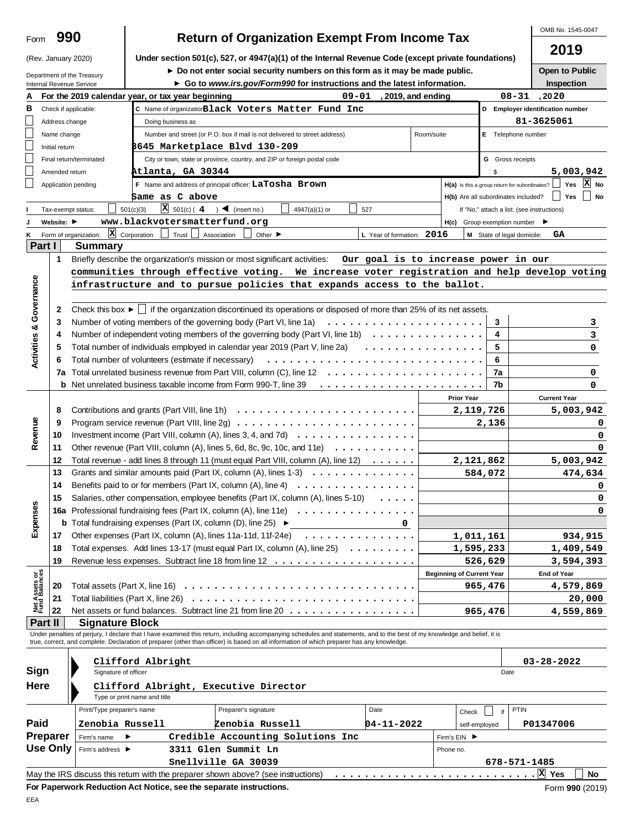|                                |                                                 |                                                                                              |                                                                                                            |                                                                                                                                                                                                                                                                                                                          |                             |                                      |                                                     | OMB No. 1545-0047                          |  |  |  |  |  |
|--------------------------------|-------------------------------------------------|----------------------------------------------------------------------------------------------|------------------------------------------------------------------------------------------------------------|--------------------------------------------------------------------------------------------------------------------------------------------------------------------------------------------------------------------------------------------------------------------------------------------------------------------------|-----------------------------|--------------------------------------|-----------------------------------------------------|--------------------------------------------|--|--|--|--|--|
| Form                           |                                                 | 990                                                                                          |                                                                                                            | <b>Return of Organization Exempt From Income Tax</b>                                                                                                                                                                                                                                                                     |                             |                                      |                                                     | 2019                                       |  |  |  |  |  |
|                                |                                                 | (Rev. January 2020)                                                                          |                                                                                                            | Under section 501(c), 527, or 4947(a)(1) of the Internal Revenue Code (except private foundations)                                                                                                                                                                                                                       |                             |                                      |                                                     |                                            |  |  |  |  |  |
|                                |                                                 | Department of the Treasury                                                                   | Do not enter social security numbers on this form as it may be made public.                                |                                                                                                                                                                                                                                                                                                                          |                             |                                      |                                                     |                                            |  |  |  |  |  |
|                                |                                                 | Internal Revenue Service                                                                     |                                                                                                            | Go to www.irs.gov/Form990 for instructions and the latest information.                                                                                                                                                                                                                                                   |                             |                                      |                                                     | Inspection                                 |  |  |  |  |  |
|                                |                                                 |                                                                                              | For the 2019 calendar year, or tax year beginning                                                          |                                                                                                                                                                                                                                                                                                                          | 09-01<br>, 2019, and ending |                                      |                                                     | $08 - 31$ , 2020                           |  |  |  |  |  |
| в                              |                                                 | Check if applicable:                                                                         |                                                                                                            | C Name of organization Black Voters Matter Fund Inc                                                                                                                                                                                                                                                                      |                             |                                      |                                                     | D Employer identification number           |  |  |  |  |  |
|                                | Address change                                  |                                                                                              | Doing business as                                                                                          |                                                                                                                                                                                                                                                                                                                          |                             |                                      |                                                     | 81-3625061                                 |  |  |  |  |  |
|                                | Name change                                     |                                                                                              |                                                                                                            | Number and street (or P.O. box if mail is not delivered to street address)                                                                                                                                                                                                                                               |                             | Room/suite                           | E Telephone number                                  |                                            |  |  |  |  |  |
|                                | 8645 Marketplace Blvd 130-209<br>Initial return |                                                                                              |                                                                                                            |                                                                                                                                                                                                                                                                                                                          |                             |                                      |                                                     |                                            |  |  |  |  |  |
|                                |                                                 | Final return/terminated                                                                      |                                                                                                            | City or town, state or province, country, and ZIP or foreign postal code                                                                                                                                                                                                                                                 |                             |                                      | <b>G</b> Gross receipts                             |                                            |  |  |  |  |  |
|                                | Amended return                                  |                                                                                              | Atlanta, GA 30344                                                                                          |                                                                                                                                                                                                                                                                                                                          |                             |                                      |                                                     | 5,003,942                                  |  |  |  |  |  |
|                                |                                                 | Application pending                                                                          |                                                                                                            | F Name and address of principal officer: LaTosha Brown                                                                                                                                                                                                                                                                   |                             |                                      | H(a) Is this a group return for subordinates?       | $\vert x \vert$<br>Yes<br>No               |  |  |  |  |  |
|                                |                                                 |                                                                                              | Same as C above                                                                                            |                                                                                                                                                                                                                                                                                                                          |                             |                                      | H(b) Are all subordinates included?                 | No<br>Yes                                  |  |  |  |  |  |
|                                |                                                 | Tax-exempt status:                                                                           | <b>X</b> $501(c) (4)$ (insert no.)<br>501(c)(3)                                                            | 4947(a)(1) or                                                                                                                                                                                                                                                                                                            | 527                         |                                      |                                                     | If "No," attach a list. (see instructions) |  |  |  |  |  |
|                                | Website: $\blacktriangleright$                  |                                                                                              | www.blackvotersmatterfund.org                                                                              |                                                                                                                                                                                                                                                                                                                          |                             |                                      | $H(c)$ Group exemption number $\blacktriangleright$ |                                            |  |  |  |  |  |
|                                |                                                 | $\vert x \vert$<br>Form of organization:                                                     | Corporation<br>Trust                                                                                       | Association<br>Other $\blacktriangleright$                                                                                                                                                                                                                                                                               | L Year of formation: 2016   |                                      | M State of legal domicile:                          | GА                                         |  |  |  |  |  |
| Part I                         |                                                 | <b>Summary</b>                                                                               |                                                                                                            |                                                                                                                                                                                                                                                                                                                          |                             |                                      |                                                     |                                            |  |  |  |  |  |
|                                | $\mathbf 1$                                     |                                                                                              |                                                                                                            | Briefly describe the organization's mission or most significant activities:                                                                                                                                                                                                                                              |                             | Our goal is to increase power in our |                                                     |                                            |  |  |  |  |  |
|                                |                                                 | communities through effective voting. We increase voter registration and help develop voting |                                                                                                            |                                                                                                                                                                                                                                                                                                                          |                             |                                      |                                                     |                                            |  |  |  |  |  |
| Governance                     |                                                 |                                                                                              |                                                                                                            | infrastructure and to pursue policies that expands access to the ballot.                                                                                                                                                                                                                                                 |                             |                                      |                                                     |                                            |  |  |  |  |  |
|                                |                                                 |                                                                                              |                                                                                                            |                                                                                                                                                                                                                                                                                                                          |                             |                                      |                                                     |                                            |  |  |  |  |  |
|                                | 2                                               |                                                                                              |                                                                                                            | Check this box $\blacktriangleright \bigsqcup$ if the organization discontinued its operations or disposed of more than 25% of its net assets.                                                                                                                                                                           |                             |                                      |                                                     |                                            |  |  |  |  |  |
|                                | 3                                               |                                                                                              | Number of voting members of the governing body (Part VI, line 1a)<br>3                                     |                                                                                                                                                                                                                                                                                                                          |                             |                                      |                                                     |                                            |  |  |  |  |  |
|                                | 4                                               |                                                                                              |                                                                                                            | Number of independent voting members of the governing body (Part VI, line 1b) $\ldots \ldots \ldots \ldots$                                                                                                                                                                                                              |                             |                                      | 4                                                   | 3                                          |  |  |  |  |  |
| <b>Activities &amp;</b>        | 5                                               |                                                                                              |                                                                                                            | Total number of individuals employed in calendar year 2019 (Part V, line 2a)                                                                                                                                                                                                                                             |                             | .                                    | 5                                                   | 0                                          |  |  |  |  |  |
|                                | 6                                               |                                                                                              | Total number of volunteers (estimate if necessary)                                                         |                                                                                                                                                                                                                                                                                                                          |                             |                                      | 6                                                   |                                            |  |  |  |  |  |
|                                | 7a                                              |                                                                                              |                                                                                                            |                                                                                                                                                                                                                                                                                                                          |                             |                                      | 7a                                                  | 0                                          |  |  |  |  |  |
|                                |                                                 |                                                                                              |                                                                                                            | <b>b</b> Net unrelated business taxable income from Form 990-T, line 39                                                                                                                                                                                                                                                  |                             |                                      | 7b                                                  | 0                                          |  |  |  |  |  |
|                                |                                                 |                                                                                              |                                                                                                            |                                                                                                                                                                                                                                                                                                                          |                             | <b>Prior Year</b>                    |                                                     | <b>Current Year</b>                        |  |  |  |  |  |
|                                | 8                                               |                                                                                              |                                                                                                            |                                                                                                                                                                                                                                                                                                                          |                             |                                      | 2,119,726                                           | 5,003,942                                  |  |  |  |  |  |
|                                | 9                                               |                                                                                              | Program service revenue (Part VIII, line 2g) $\dots \dots \dots \dots \dots \dots \dots \dots \dots \dots$ | 2,136                                                                                                                                                                                                                                                                                                                    | 0                           |                                      |                                                     |                                            |  |  |  |  |  |
| Revenue                        | 10                                              |                                                                                              | Investment income (Part VIII, column (A), lines 3, 4, and 7d) $\ldots$ ,                                   |                                                                                                                                                                                                                                                                                                                          |                             |                                      |                                                     |                                            |  |  |  |  |  |
|                                | 11                                              |                                                                                              |                                                                                                            | Other revenue (Part VIII, column (A), lines 5, 6d, 8c, 9c, 10c, and 11e) $\ldots \ldots \ldots$                                                                                                                                                                                                                          |                             |                                      |                                                     | 0                                          |  |  |  |  |  |
|                                | 12                                              |                                                                                              |                                                                                                            | Total revenue - add lines 8 through 11 (must equal Part VIII, column (A), line 12)                                                                                                                                                                                                                                       |                             |                                      | 2,121,862                                           | 5,003,942                                  |  |  |  |  |  |
|                                | 13                                              |                                                                                              |                                                                                                            | Grants and similar amounts paid (Part IX, column (A), lines $1-3$                                                                                                                                                                                                                                                        |                             |                                      | 584,072                                             | 474,634                                    |  |  |  |  |  |
|                                | 14                                              |                                                                                              | Benefits paid to or for members (Part IX, column (A), line 4)                                              | .                                                                                                                                                                                                                                                                                                                        |                             |                                      |                                                     | 0                                          |  |  |  |  |  |
|                                | 15                                              |                                                                                              |                                                                                                            | Salaries, other compensation, employee benefits (Part IX, column (A), lines 5-10)                                                                                                                                                                                                                                        |                             |                                      |                                                     | 0                                          |  |  |  |  |  |
| Expenses                       |                                                 |                                                                                              |                                                                                                            | 16a Professional fundraising fees (Part IX, column (A), line 11e)                                                                                                                                                                                                                                                        |                             |                                      |                                                     | 0                                          |  |  |  |  |  |
|                                |                                                 |                                                                                              |                                                                                                            | <b>b</b> Total fundraising expenses (Part IX, column (D), line 25) $\triangleright$                                                                                                                                                                                                                                      | 0                           |                                      |                                                     |                                            |  |  |  |  |  |
|                                | 17                                              |                                                                                              |                                                                                                            | Other expenses (Part IX, column (A), lines 11a-11d, 11f-24e) $\ldots \ldots \ldots \ldots \ldots$                                                                                                                                                                                                                        |                             | 1,011,161                            |                                                     | 934,915                                    |  |  |  |  |  |
|                                | 18                                              |                                                                                              |                                                                                                            | Total expenses. Add lines 13-17 (must equal Part IX, column (A), line 25)                                                                                                                                                                                                                                                |                             | 1,595,233                            |                                                     | 1,409,549                                  |  |  |  |  |  |
|                                | 19                                              |                                                                                              |                                                                                                            |                                                                                                                                                                                                                                                                                                                          |                             |                                      | 526,629                                             | 3,594,393                                  |  |  |  |  |  |
|                                |                                                 |                                                                                              |                                                                                                            |                                                                                                                                                                                                                                                                                                                          |                             | <b>Beginning of Current Year</b>     |                                                     | End of Year                                |  |  |  |  |  |
| Net Assets or<br>Fund Balances | 20                                              |                                                                                              |                                                                                                            |                                                                                                                                                                                                                                                                                                                          |                             |                                      | 965,476                                             | 4,579,869                                  |  |  |  |  |  |
|                                | 21                                              |                                                                                              |                                                                                                            |                                                                                                                                                                                                                                                                                                                          |                             |                                      |                                                     | 20,000                                     |  |  |  |  |  |
|                                | 22                                              |                                                                                              |                                                                                                            | Net assets or fund balances. Subtract line 21 from line 20                                                                                                                                                                                                                                                               |                             |                                      | 965,476                                             | 4,559,869                                  |  |  |  |  |  |
|                                | Part II                                         | <b>Signature Block</b>                                                                       |                                                                                                            |                                                                                                                                                                                                                                                                                                                          |                             |                                      |                                                     |                                            |  |  |  |  |  |
|                                |                                                 |                                                                                              |                                                                                                            | Under penalties of perjury, I declare that I have examined this return, including accompanying schedules and statements, and to the best of my knowledge and belief, it is<br>true, correct, and complete. Declaration of preparer (other than officer) is based on all information of which preparer has any knowledge. |                             |                                      |                                                     |                                            |  |  |  |  |  |
|                                |                                                 |                                                                                              |                                                                                                            |                                                                                                                                                                                                                                                                                                                          |                             |                                      |                                                     |                                            |  |  |  |  |  |
|                                |                                                 |                                                                                              | Clifford Albright                                                                                          |                                                                                                                                                                                                                                                                                                                          |                             |                                      |                                                     | 03-28-2022                                 |  |  |  |  |  |
| Sign                           |                                                 | Signature of officer                                                                         |                                                                                                            |                                                                                                                                                                                                                                                                                                                          |                             |                                      | Date                                                |                                            |  |  |  |  |  |
| Here                           |                                                 |                                                                                              |                                                                                                            | Clifford Albright, Executive Director                                                                                                                                                                                                                                                                                    |                             |                                      |                                                     |                                            |  |  |  |  |  |
|                                |                                                 |                                                                                              | Type or print name and title                                                                               |                                                                                                                                                                                                                                                                                                                          |                             |                                      |                                                     |                                            |  |  |  |  |  |
|                                |                                                 | Print/Type preparer's name                                                                   |                                                                                                            | Preparer's signature                                                                                                                                                                                                                                                                                                     | Date                        | Check                                | if                                                  | PTIN                                       |  |  |  |  |  |

|                                                                                                    | Print/Type preparer's name                                                                          |                 | Preparer's signature<br>Date |                     |  |                  | Check     | PTIN          |              |  |
|----------------------------------------------------------------------------------------------------|-----------------------------------------------------------------------------------------------------|-----------------|------------------------------|---------------------|--|------------------|-----------|---------------|--------------|--|
| Paid                                                                                               |                                                                                                     | Zenobia Russell |                              | Zenobia Russell     |  | $04 - 11 - 2022$ |           | self-employed | P01347006    |  |
| Preparer<br>Credible Accounting Solutions Inc<br>Firm's $EIN$ $\blacktriangleright$<br>Firm's name |                                                                                                     |                 |                              |                     |  |                  |           |               |              |  |
| Use Only                                                                                           | Firm's address $\blacktriangleright$                                                                |                 |                              | 3311 Glen Summit Ln |  |                  | Phone no. |               |              |  |
|                                                                                                    |                                                                                                     |                 |                              | Snellville GA 30039 |  |                  |           |               | 678-571-1485 |  |
|                                                                                                    | Ιx<br>Yes<br>No<br>May the IRS discuss this retum with the preparer shown above? (see instructions) |                 |                              |                     |  |                  |           |               |              |  |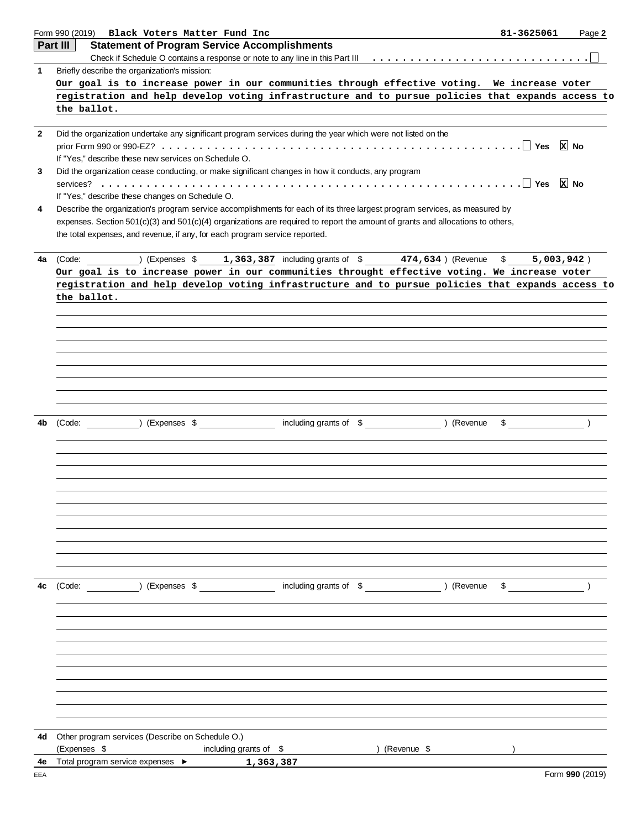|                | Form 990 (2019) Black Voters Matter Fund Inc                                                                                                                                                                                                                 | 81-3625061                                      | Page 2          |  |  |  |  |  |  |  |  |  |
|----------------|--------------------------------------------------------------------------------------------------------------------------------------------------------------------------------------------------------------------------------------------------------------|-------------------------------------------------|-----------------|--|--|--|--|--|--|--|--|--|
|                | Part III<br><b>Statement of Program Service Accomplishments</b>                                                                                                                                                                                              |                                                 |                 |  |  |  |  |  |  |  |  |  |
|                |                                                                                                                                                                                                                                                              |                                                 |                 |  |  |  |  |  |  |  |  |  |
| $\mathbf{1}$   | Briefly describe the organization's mission:                                                                                                                                                                                                                 |                                                 |                 |  |  |  |  |  |  |  |  |  |
|                | Our goal is to increase power in our communities through effective voting. We increase voter<br>registration and help develop voting infrastructure and to pursue policies that expands access to                                                            |                                                 |                 |  |  |  |  |  |  |  |  |  |
|                | the ballot.                                                                                                                                                                                                                                                  |                                                 |                 |  |  |  |  |  |  |  |  |  |
|                |                                                                                                                                                                                                                                                              |                                                 |                 |  |  |  |  |  |  |  |  |  |
| $\overline{2}$ | Did the organization undertake any significant program services during the year which were not listed on the                                                                                                                                                 |                                                 |                 |  |  |  |  |  |  |  |  |  |
|                |                                                                                                                                                                                                                                                              |                                                 | x No            |  |  |  |  |  |  |  |  |  |
|                | If "Yes," describe these new services on Schedule O.                                                                                                                                                                                                         |                                                 |                 |  |  |  |  |  |  |  |  |  |
| 3              | Did the organization cease conducting, or make significant changes in how it conducts, any program                                                                                                                                                           |                                                 |                 |  |  |  |  |  |  |  |  |  |
|                |                                                                                                                                                                                                                                                              | If "Yes," describe these changes on Schedule O. |                 |  |  |  |  |  |  |  |  |  |
|                |                                                                                                                                                                                                                                                              |                                                 |                 |  |  |  |  |  |  |  |  |  |
| 4              | Describe the organization's program service accomplishments for each of its three largest program services, as measured by<br>expenses. Section 501(c)(3) and 501(c)(4) organizations are required to report the amount of grants and allocations to others, |                                                 |                 |  |  |  |  |  |  |  |  |  |
|                | the total expenses, and revenue, if any, for each program service reported.                                                                                                                                                                                  |                                                 |                 |  |  |  |  |  |  |  |  |  |
|                |                                                                                                                                                                                                                                                              |                                                 |                 |  |  |  |  |  |  |  |  |  |
| 4a             | ) (Expenses $$1,363,387$ including grants of $$1,363,387$<br>(Code:                                                                                                                                                                                          | 5,003,942)                                      |                 |  |  |  |  |  |  |  |  |  |
|                | Our goal is to increase power in our communities throught effective voting. We increase voter                                                                                                                                                                |                                                 |                 |  |  |  |  |  |  |  |  |  |
|                | registration and help develop voting infrastructure and to pursue policies that expands access to                                                                                                                                                            |                                                 |                 |  |  |  |  |  |  |  |  |  |
|                | the ballot.                                                                                                                                                                                                                                                  |                                                 |                 |  |  |  |  |  |  |  |  |  |
|                |                                                                                                                                                                                                                                                              |                                                 |                 |  |  |  |  |  |  |  |  |  |
|                |                                                                                                                                                                                                                                                              |                                                 |                 |  |  |  |  |  |  |  |  |  |
|                |                                                                                                                                                                                                                                                              |                                                 |                 |  |  |  |  |  |  |  |  |  |
|                |                                                                                                                                                                                                                                                              |                                                 |                 |  |  |  |  |  |  |  |  |  |
|                |                                                                                                                                                                                                                                                              |                                                 |                 |  |  |  |  |  |  |  |  |  |
|                |                                                                                                                                                                                                                                                              |                                                 |                 |  |  |  |  |  |  |  |  |  |
|                |                                                                                                                                                                                                                                                              |                                                 |                 |  |  |  |  |  |  |  |  |  |
|                |                                                                                                                                                                                                                                                              |                                                 |                 |  |  |  |  |  |  |  |  |  |
| 4b             | including grants of \$ (Revenue<br>(Expenses \$<br>(Code:                                                                                                                                                                                                    | \$                                              |                 |  |  |  |  |  |  |  |  |  |
|                |                                                                                                                                                                                                                                                              |                                                 |                 |  |  |  |  |  |  |  |  |  |
|                |                                                                                                                                                                                                                                                              |                                                 |                 |  |  |  |  |  |  |  |  |  |
|                |                                                                                                                                                                                                                                                              |                                                 |                 |  |  |  |  |  |  |  |  |  |
|                |                                                                                                                                                                                                                                                              |                                                 |                 |  |  |  |  |  |  |  |  |  |
|                |                                                                                                                                                                                                                                                              |                                                 |                 |  |  |  |  |  |  |  |  |  |
|                |                                                                                                                                                                                                                                                              |                                                 |                 |  |  |  |  |  |  |  |  |  |
|                |                                                                                                                                                                                                                                                              |                                                 |                 |  |  |  |  |  |  |  |  |  |
|                |                                                                                                                                                                                                                                                              |                                                 |                 |  |  |  |  |  |  |  |  |  |
|                |                                                                                                                                                                                                                                                              |                                                 |                 |  |  |  |  |  |  |  |  |  |
|                |                                                                                                                                                                                                                                                              |                                                 |                 |  |  |  |  |  |  |  |  |  |
|                |                                                                                                                                                                                                                                                              |                                                 |                 |  |  |  |  |  |  |  |  |  |
| 4c             | including grants of \$ (Revenue<br>(Code: ) (Expenses \$                                                                                                                                                                                                     | $\sim$ $\sim$ $\sim$ $\sim$ $\sim$ $\sim$       |                 |  |  |  |  |  |  |  |  |  |
|                |                                                                                                                                                                                                                                                              |                                                 |                 |  |  |  |  |  |  |  |  |  |
|                |                                                                                                                                                                                                                                                              |                                                 |                 |  |  |  |  |  |  |  |  |  |
|                |                                                                                                                                                                                                                                                              |                                                 |                 |  |  |  |  |  |  |  |  |  |
|                |                                                                                                                                                                                                                                                              |                                                 |                 |  |  |  |  |  |  |  |  |  |
|                |                                                                                                                                                                                                                                                              |                                                 |                 |  |  |  |  |  |  |  |  |  |
|                |                                                                                                                                                                                                                                                              |                                                 |                 |  |  |  |  |  |  |  |  |  |
|                |                                                                                                                                                                                                                                                              |                                                 |                 |  |  |  |  |  |  |  |  |  |
|                |                                                                                                                                                                                                                                                              |                                                 |                 |  |  |  |  |  |  |  |  |  |
|                |                                                                                                                                                                                                                                                              |                                                 |                 |  |  |  |  |  |  |  |  |  |
|                |                                                                                                                                                                                                                                                              |                                                 |                 |  |  |  |  |  |  |  |  |  |
| 4d             | Other program services (Describe on Schedule O.)                                                                                                                                                                                                             |                                                 |                 |  |  |  |  |  |  |  |  |  |
|                | (Expenses \$<br>including grants of \$<br>) (Revenue \$<br><u> 1989 - Jan Stern Barns</u>                                                                                                                                                                    |                                                 |                 |  |  |  |  |  |  |  |  |  |
| 4e             | Total program service expenses ▶<br>1,363,387                                                                                                                                                                                                                |                                                 |                 |  |  |  |  |  |  |  |  |  |
| EEA            |                                                                                                                                                                                                                                                              |                                                 | Form 990 (2019) |  |  |  |  |  |  |  |  |  |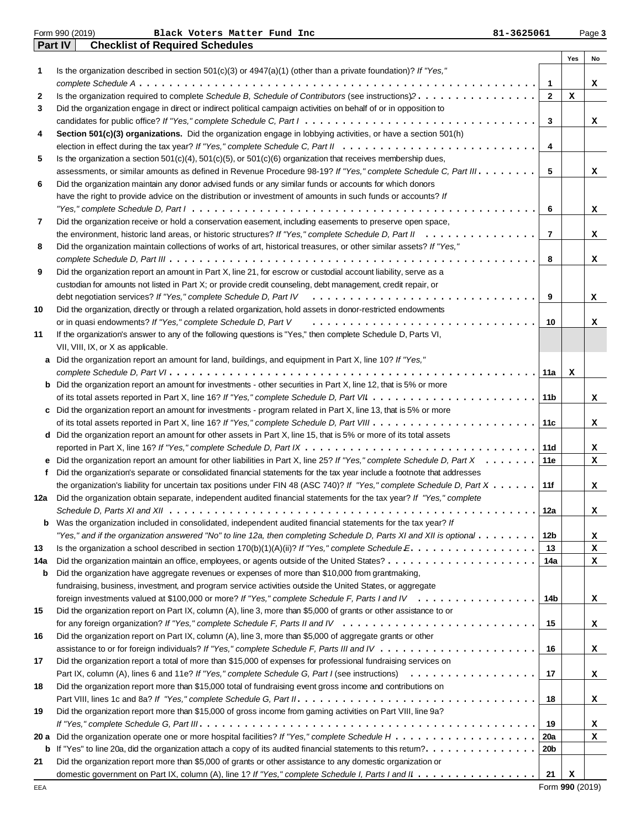|     | Form 990 (2019)<br>81-3625061<br>Black Voters Matter Fund Inc                                                                                                                                                                                                                |                |     | Page 3 |
|-----|------------------------------------------------------------------------------------------------------------------------------------------------------------------------------------------------------------------------------------------------------------------------------|----------------|-----|--------|
|     | <b>Checklist of Required Schedules</b><br><b>Part IV</b>                                                                                                                                                                                                                     |                |     |        |
|     |                                                                                                                                                                                                                                                                              |                | Yes | No     |
| 1   | Is the organization described in section $501(c)(3)$ or $4947(a)(1)$ (other than a private foundation)? If "Yes,"                                                                                                                                                            |                |     |        |
|     |                                                                                                                                                                                                                                                                              | -1             |     | x      |
| 2   | Is the organization required to complete Schedule B, Schedule of Contributors (see instructions)?                                                                                                                                                                            | $\mathbf{2}$   | x   |        |
| 3   | Did the organization engage in direct or indirect political campaign activities on behalf of or in opposition to                                                                                                                                                             |                |     |        |
|     |                                                                                                                                                                                                                                                                              | 3              |     | x      |
| 4   | Section 501(c)(3) organizations. Did the organization engage in lobbying activities, or have a section 501(h)                                                                                                                                                                |                |     |        |
|     |                                                                                                                                                                                                                                                                              | 4              |     |        |
| 5   | Is the organization a section $501(c)(4)$ , $501(c)(5)$ , or $501(c)(6)$ organization that receives membership dues,                                                                                                                                                         |                |     |        |
|     | assessments, or similar amounts as defined in Revenue Procedure 98-19? If "Yes," complete Schedule C, Part III.                                                                                                                                                              | 5              |     | x      |
| 6   | Did the organization maintain any donor advised funds or any similar funds or accounts for which donors                                                                                                                                                                      |                |     |        |
|     | have the right to provide advice on the distribution or investment of amounts in such funds or accounts? If                                                                                                                                                                  |                |     |        |
|     |                                                                                                                                                                                                                                                                              | 6              |     | x      |
| 7   | Did the organization receive or hold a conservation easement, including easements to preserve open space,                                                                                                                                                                    |                |     |        |
|     | the environment, historic land areas, or historic structures? If "Yes," complete Schedule D, Part II                                                                                                                                                                         | $\overline{7}$ |     | x      |
| 8   | Did the organization maintain collections of works of art, historical treasures, or other similar assets? If "Yes,"                                                                                                                                                          |                |     |        |
|     |                                                                                                                                                                                                                                                                              | 8              |     | x      |
| 9   | Did the organization report an amount in Part X, line 21, for escrow or custodial account liability, serve as a                                                                                                                                                              |                |     |        |
|     | custodian for amounts not listed in Part X; or provide credit counseling, debt management, credit repair, or                                                                                                                                                                 |                |     |        |
|     |                                                                                                                                                                                                                                                                              | 9              |     | x      |
| 10  | Did the organization, directly or through a related organization, hold assets in donor-restricted endowments                                                                                                                                                                 |                |     |        |
|     | or in quasi endowments? If "Yes," complete Schedule D, Part V                                                                                                                                                                                                                | 10             |     | x      |
| 11  | If the organization's answer to any of the following questions is "Yes," then complete Schedule D, Parts VI,                                                                                                                                                                 |                |     |        |
|     | VII, VIII, IX, or X as applicable.                                                                                                                                                                                                                                           |                |     |        |
|     | a Did the organization report an amount for land, buildings, and equipment in Part X, line 10? If "Yes,"                                                                                                                                                                     |                |     |        |
|     |                                                                                                                                                                                                                                                                              | 11a            | x   |        |
|     | <b>b</b> Did the organization report an amount for investments - other securities in Part X, line 12, that is 5% or more                                                                                                                                                     |                |     |        |
|     |                                                                                                                                                                                                                                                                              | 11b            |     | x      |
|     | c Did the organization report an amount for investments - program related in Part X, line 13, that is 5% or more                                                                                                                                                             |                |     |        |
|     |                                                                                                                                                                                                                                                                              | 11c            |     |        |
|     | d Did the organization report an amount for other assets in Part X, line 15, that is 5% or more of its total assets                                                                                                                                                          |                |     | x      |
|     |                                                                                                                                                                                                                                                                              | 11d            |     |        |
|     |                                                                                                                                                                                                                                                                              | 11e            |     | x      |
|     | <b>e</b> Did the organization report an amount for other liabilities in Part X, line 25? If "Yes," complete Schedule D, Part $X \sim \ldots \sim$<br>Did the organization's separate or consolidated financial statements for the tax year include a footnote that addresses |                |     | x      |
| f   |                                                                                                                                                                                                                                                                              |                |     |        |
|     | the organization's liability for uncertain tax positions under FIN 48 (ASC 740)? If "Yes," complete Schedule D, Part $X \dots \dots$                                                                                                                                         | 11f            |     | x      |
| 12а | Did the organization obtain separate, independent audited financial statements for the tax year? If "Yes," complete                                                                                                                                                          |                |     |        |
|     |                                                                                                                                                                                                                                                                              | 12a            |     | x      |
| b   | Was the organization included in consolidated, independent audited financial statements for the tax year? If                                                                                                                                                                 |                |     |        |
|     | "Yes," and if the organization answered "No" to line 12a, then completing Schedule D, Parts XI and XII is optional                                                                                                                                                           | 12b            |     | x      |
| 13  | Is the organization a school described in section $170(b)(1)(A)(ii)?$ If "Yes," complete Schedule $E_1, \ldots, \ldots, \ldots, \ldots, \ldots$                                                                                                                              | 13             |     | x      |
| 14a |                                                                                                                                                                                                                                                                              | 14a            |     | x      |
| b   | Did the organization have aggregate revenues or expenses of more than \$10,000 from grantmaking,                                                                                                                                                                             |                |     |        |
|     | fundraising, business, investment, and program service activities outside the United States, or aggregate                                                                                                                                                                    |                |     |        |
|     | foreign investments valued at \$100,000 or more? If "Yes," complete Schedule F, Parts I and IV                                                                                                                                                                               | 14b            |     | x      |
| 15  | Did the organization report on Part IX, column (A), line 3, more than \$5,000 of grants or other assistance to or                                                                                                                                                            |                |     |        |
|     |                                                                                                                                                                                                                                                                              | 15             |     | x      |
| 16  | Did the organization report on Part IX, column (A), line 3, more than \$5,000 of aggregate grants or other                                                                                                                                                                   |                |     |        |
|     |                                                                                                                                                                                                                                                                              | 16             |     | x      |
| 17  | Did the organization report a total of more than \$15,000 of expenses for professional fundraising services on                                                                                                                                                               |                |     |        |
|     |                                                                                                                                                                                                                                                                              | 17             |     | x      |
| 18  | Did the organization report more than \$15,000 total of fundraising event gross income and contributions on                                                                                                                                                                  |                |     |        |
|     |                                                                                                                                                                                                                                                                              | 18             |     | x      |
| 19  | Did the organization report more than \$15,000 of gross income from gaming activities on Part VIII, line 9a?                                                                                                                                                                 |                |     |        |
|     |                                                                                                                                                                                                                                                                              | 19             |     | x      |
|     |                                                                                                                                                                                                                                                                              | 20a            |     | x      |
|     |                                                                                                                                                                                                                                                                              | 20b            |     |        |
| 21  | Did the organization report more than \$5,000 of grants or other assistance to any domestic organization or                                                                                                                                                                  |                |     |        |
|     |                                                                                                                                                                                                                                                                              | - 21           | x   |        |
|     |                                                                                                                                                                                                                                                                              |                |     |        |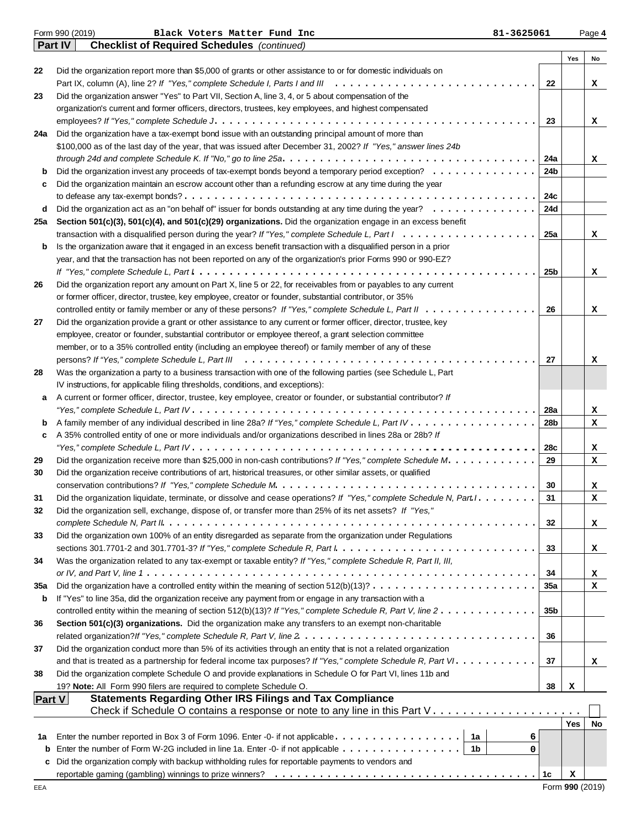|               | Form 990 (2019)<br>Black Voters Matter Fund Inc<br>81-3625061                                                                                                                                                                                                                                                                                                                               |                 |            | Page 4 |
|---------------|---------------------------------------------------------------------------------------------------------------------------------------------------------------------------------------------------------------------------------------------------------------------------------------------------------------------------------------------------------------------------------------------|-----------------|------------|--------|
|               | <b>Part IV</b><br><b>Checklist of Required Schedules</b> (continued)                                                                                                                                                                                                                                                                                                                        |                 |            |        |
|               |                                                                                                                                                                                                                                                                                                                                                                                             |                 | Yes        | No     |
| 22            | Did the organization report more than \$5,000 of grants or other assistance to or for domestic individuals on                                                                                                                                                                                                                                                                               |                 |            |        |
|               |                                                                                                                                                                                                                                                                                                                                                                                             | 22              |            | x      |
| 23            | Did the organization answer "Yes" to Part VII, Section A, line 3, 4, or 5 about compensation of the                                                                                                                                                                                                                                                                                         |                 |            |        |
|               | organization's current and former officers, directors, trustees, key employees, and highest compensated                                                                                                                                                                                                                                                                                     |                 |            |        |
|               |                                                                                                                                                                                                                                                                                                                                                                                             | 23              |            | x      |
| 24a           | Did the organization have a tax-exempt bond issue with an outstanding principal amount of more than                                                                                                                                                                                                                                                                                         |                 |            |        |
|               | \$100,000 as of the last day of the year, that was issued after December 31, 2002? If "Yes," answer lines 24b                                                                                                                                                                                                                                                                               |                 |            |        |
|               |                                                                                                                                                                                                                                                                                                                                                                                             | 24a             |            | x      |
| b             | Did the organization invest any proceeds of tax-exempt bonds beyond a temporary period exception?                                                                                                                                                                                                                                                                                           | 24b             |            |        |
| c             | Did the organization maintain an escrow account other than a refunding escrow at any time during the year                                                                                                                                                                                                                                                                                   |                 |            |        |
|               |                                                                                                                                                                                                                                                                                                                                                                                             | 24c             |            |        |
| d             | Did the organization act as an "on behalf of" issuer for bonds outstanding at any time during the year?                                                                                                                                                                                                                                                                                     | 24d             |            |        |
| 25a           | Section 501(c)(3), 501(c)(4), and 501(c)(29) organizations. Did the organization engage in an excess benefit                                                                                                                                                                                                                                                                                |                 |            |        |
|               | transaction with a disqualified person during the year? If "Yes," complete Schedule L, Part $1, \ldots, \ldots, \ldots, \ldots, \ldots, \ldots$                                                                                                                                                                                                                                             | 25a             |            | x      |
| b             | Is the organization aware that it engaged in an excess benefit transaction with a disqualified person in a prior                                                                                                                                                                                                                                                                            |                 |            |        |
|               | year, and that the transaction has not been reported on any of the organization's prior Forms 990 or 990-EZ?                                                                                                                                                                                                                                                                                |                 |            |        |
|               | If "Yes," complete Schedule L, Part $l_1, \ldots, l_k, \ldots, l_k, \ldots, l_k, \ldots, l_k, \ldots, l_k, \ldots, l_k, \ldots, l_k, \ldots, l_k, \ldots, l_k, \ldots, l_k, \ldots, l_k, \ldots, l_k, \ldots, l_k, \ldots, l_k, \ldots, l_k, \ldots, l_k, \ldots, l_k, \ldots, l_k, \ldots, l_k, \ldots, l_k, \ldots, l_k, \ldots, l_k, \ldots, l_k, \ldots, l_k, \ldots, l_k, \ldots, l_k$ | 25b             |            | x      |
| 26            | Did the organization report any amount on Part X, line 5 or 22, for receivables from or payables to any current                                                                                                                                                                                                                                                                             |                 |            |        |
|               | or former officer, director, trustee, key employee, creator or founder, substantial contributor, or 35%                                                                                                                                                                                                                                                                                     |                 |            |        |
|               | controlled entity or family member or any of these persons? If "Yes," complete Schedule L, Part II                                                                                                                                                                                                                                                                                          | 26              |            | x      |
| 27            | Did the organization provide a grant or other assistance to any current or former officer, director, trustee, key                                                                                                                                                                                                                                                                           |                 |            |        |
|               | employee, creator or founder, substantial contributor or employee thereof, a grant selection committee                                                                                                                                                                                                                                                                                      |                 |            |        |
|               | member, or to a 35% controlled entity (including an employee thereof) or family member of any of these                                                                                                                                                                                                                                                                                      |                 |            |        |
|               |                                                                                                                                                                                                                                                                                                                                                                                             | 27              |            | x      |
| 28            | Was the organization a party to a business transaction with one of the following parties (see Schedule L, Part                                                                                                                                                                                                                                                                              |                 |            |        |
|               | IV instructions, for applicable filing thresholds, conditions, and exceptions):                                                                                                                                                                                                                                                                                                             |                 |            |        |
| a             | A current or former officer, director, trustee, key employee, creator or founder, or substantial contributor? If                                                                                                                                                                                                                                                                            |                 |            |        |
|               |                                                                                                                                                                                                                                                                                                                                                                                             | 28a             |            | x      |
| b             |                                                                                                                                                                                                                                                                                                                                                                                             | 28b             |            | x      |
| c             | A 35% controlled entity of one or more individuals and/or organizations described in lines 28a or 28b? If                                                                                                                                                                                                                                                                                   |                 |            |        |
|               |                                                                                                                                                                                                                                                                                                                                                                                             | 28c             |            | x      |
| 29            | Did the organization receive more than \$25,000 in non-cash contributions? If "Yes," complete Schedule M.                                                                                                                                                                                                                                                                                   | 29              |            | x      |
| 30            | Did the organization receive contributions of art, historical treasures, or other similar assets, or qualified                                                                                                                                                                                                                                                                              |                 |            |        |
|               |                                                                                                                                                                                                                                                                                                                                                                                             | 30              |            | x      |
| 31            | Did the organization liquidate, terminate, or dissolve and cease operations? If "Yes," complete Schedule N, Part I. .                                                                                                                                                                                                                                                                       | 31              |            | x      |
| 32            | Did the organization sell, exchange, dispose of, or transfer more than 25% of its net assets? If "Yes,"                                                                                                                                                                                                                                                                                     |                 |            |        |
|               |                                                                                                                                                                                                                                                                                                                                                                                             | 32              |            | x      |
| 33            | Did the organization own 100% of an entity disregarded as separate from the organization under Regulations                                                                                                                                                                                                                                                                                  |                 |            |        |
|               |                                                                                                                                                                                                                                                                                                                                                                                             | 33              |            | x      |
| 34            | Was the organization related to any tax-exempt or taxable entity? If "Yes," complete Schedule R, Part II, III,                                                                                                                                                                                                                                                                              |                 |            |        |
|               |                                                                                                                                                                                                                                                                                                                                                                                             | 34              |            | x      |
| 35a           | Did the organization have a controlled entity within the meaning of section $512(b)(13)? \ldots \ldots \ldots \ldots \ldots \ldots \ldots$                                                                                                                                                                                                                                                  | 35a             |            | x      |
| b             | If "Yes" to line 35a, did the organization receive any payment from or engage in any transaction with a                                                                                                                                                                                                                                                                                     |                 |            |        |
|               | controlled entity within the meaning of section 512(b)(13)? If "Yes," complete Schedule R, Part V, line $2 \ldots \ldots \ldots \ldots$                                                                                                                                                                                                                                                     | 35 <sub>b</sub> |            |        |
| 36            | Section 501(c)(3) organizations. Did the organization make any transfers to an exempt non-charitable                                                                                                                                                                                                                                                                                        |                 |            |        |
|               |                                                                                                                                                                                                                                                                                                                                                                                             | 36              |            |        |
| 37            | Did the organization conduct more than 5% of its activities through an entity that is not a related organization                                                                                                                                                                                                                                                                            |                 |            |        |
|               | and that is treated as a partnership for federal income tax purposes? If "Yes," complete Schedule R, Part VI.                                                                                                                                                                                                                                                                               | 37              |            | x      |
| 38            | Did the organization complete Schedule O and provide explanations in Schedule O for Part VI, lines 11b and                                                                                                                                                                                                                                                                                  |                 |            |        |
|               | 19? Note: All Form 990 filers are required to complete Schedule O.                                                                                                                                                                                                                                                                                                                          | 38              | х          |        |
| <b>Part V</b> | <b>Statements Regarding Other IRS Filings and Tax Compliance</b>                                                                                                                                                                                                                                                                                                                            |                 |            |        |
|               | Check if Schedule O contains a response or note to any line in this Part $V_1, \ldots, \ldots, \ldots, \ldots, \ldots, \ldots$                                                                                                                                                                                                                                                              |                 | <b>Yes</b> | No     |
|               | 1a                                                                                                                                                                                                                                                                                                                                                                                          |                 |            |        |
| 1а            | - 1b                                                                                                                                                                                                                                                                                                                                                                                        | 6<br>0          |            |        |
| b<br>c        | Did the organization comply with backup withholding rules for reportable payments to vendors and                                                                                                                                                                                                                                                                                            |                 |            |        |
|               |                                                                                                                                                                                                                                                                                                                                                                                             | 1c              | x          |        |
|               |                                                                                                                                                                                                                                                                                                                                                                                             |                 |            |        |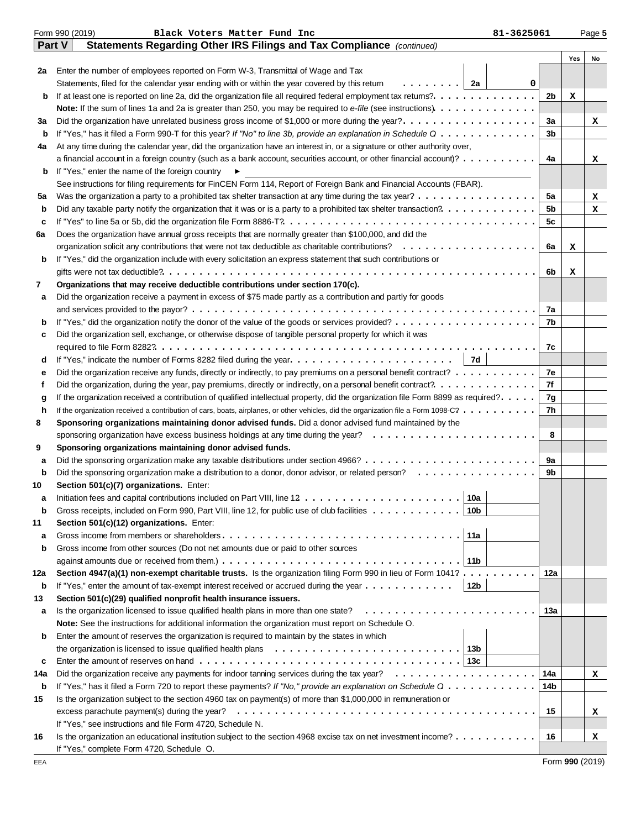|        | Form 990 (2019)<br>Black Voters Matter Fund Inc<br>81-3625061                                                                                  |                |     | Page 5 |  |  |  |  |  |
|--------|------------------------------------------------------------------------------------------------------------------------------------------------|----------------|-----|--------|--|--|--|--|--|
| Part V | Statements Regarding Other IRS Filings and Tax Compliance (continued)                                                                          |                |     |        |  |  |  |  |  |
|        |                                                                                                                                                |                | Yes | No     |  |  |  |  |  |
| 2a     | Enter the number of employees reported on Form W-3, Transmittal of Wage and Tax                                                                |                |     |        |  |  |  |  |  |
|        | .   2a<br>Statements, filed for the calendar year ending with or within the year covered by this retum<br>0                                    |                |     |        |  |  |  |  |  |
| b      |                                                                                                                                                | 2b             | x   |        |  |  |  |  |  |
|        |                                                                                                                                                |                |     |        |  |  |  |  |  |
| За     | Did the organization have unrelated business gross income of \$1,000 or more during the year?                                                  |                |     |        |  |  |  |  |  |
| b      | If "Yes," has it filed a Form 990-T for this year? If "No" to line 3b, provide an explanation in Schedule $0$                                  |                |     |        |  |  |  |  |  |
| 4a     | At any time during the calendar year, did the organization have an interest in, or a signature or other authority over,                        |                |     |        |  |  |  |  |  |
|        | a financial account in a foreign country (such as a bank account, securities account, or other financial account)?                             | 4a             |     | x      |  |  |  |  |  |
| b      | If "Yes," enter the name of the foreign country<br>▶                                                                                           |                |     |        |  |  |  |  |  |
|        | See instructions for filing requirements for FinCEN Form 114, Report of Foreign Bank and Financial Accounts (FBAR).                            |                |     |        |  |  |  |  |  |
| 5а     | Was the organization a party to a prohibited tax shelter transaction at any time during the tax year?                                          | 5a             |     | x      |  |  |  |  |  |
| b      |                                                                                                                                                | 5 <sub>b</sub> |     | x      |  |  |  |  |  |
| c      |                                                                                                                                                | 5c             |     |        |  |  |  |  |  |
| 6а     | Does the organization have annual gross receipts that are normally greater than \$100,000, and did the                                         |                |     |        |  |  |  |  |  |
|        |                                                                                                                                                | 6a             | х   |        |  |  |  |  |  |
| b      | If "Yes," did the organization include with every solicitation an express statement that such contributions or                                 |                |     |        |  |  |  |  |  |
|        | .                                                                                                                                              | 6b             | х   |        |  |  |  |  |  |
| 7      | Organizations that may receive deductible contributions under section 170(c).                                                                  |                |     |        |  |  |  |  |  |
| а      | Did the organization receive a payment in excess of \$75 made partly as a contribution and partly for goods                                    |                |     |        |  |  |  |  |  |
|        |                                                                                                                                                | 7a<br>7b       |     |        |  |  |  |  |  |
| b      |                                                                                                                                                |                |     |        |  |  |  |  |  |
| c      | Did the organization sell, exchange, or otherwise dispose of tangible personal property for which it was                                       | 7c             |     |        |  |  |  |  |  |
| d      | 7d                                                                                                                                             |                |     |        |  |  |  |  |  |
| е      | Did the organization receive any funds, directly or indirectly, to pay premiums on a personal benefit contract?                                | 7e             |     |        |  |  |  |  |  |
| f      |                                                                                                                                                | 7f             |     |        |  |  |  |  |  |
| g      | If the organization received a contribution of qualified intellectual property, did the organization file Form 8899 as required?.              | 7g             |     |        |  |  |  |  |  |
| h      | If the organization received a contribution of cars, boats, airplanes, or other vehicles, did the organization file a Form 1098-C?             | 7h             |     |        |  |  |  |  |  |
| 8      | Sponsoring organizations maintaining donor advised funds. Did a donor advised fund maintained by the                                           |                |     |        |  |  |  |  |  |
|        | sponsoring organization have excess business holdings at any time during the year? $\ldots \ldots \ldots \ldots \ldots \ldots$                 | 8              |     |        |  |  |  |  |  |
| 9      | Sponsoring organizations maintaining donor advised funds.                                                                                      |                |     |        |  |  |  |  |  |
| a      |                                                                                                                                                | 9а             |     |        |  |  |  |  |  |
| b      | Did the sponsoring organization make a distribution to a donor, donor advisor, or related person?                                              | 9b             |     |        |  |  |  |  |  |
| 10     | Section 501(c)(7) organizations. Enter:                                                                                                        |                |     |        |  |  |  |  |  |
|        | 10a <br>Initiation fees and capital contributions included on Part VIII, line $12 \ldots \ldots \ldots \ldots \ldots \ldots \ldots$            |                |     |        |  |  |  |  |  |
| b      | Gross receipts, included on Form 990, Part VIII, line 12, for public use of club facilities<br>10b                                             |                |     |        |  |  |  |  |  |
| 11     | Section 501(c)(12) organizations. Enter:                                                                                                       |                |     |        |  |  |  |  |  |
| а      | 11a                                                                                                                                            |                |     |        |  |  |  |  |  |
| b      | Gross income from other sources (Do not net amounts due or paid to other sources                                                               |                |     |        |  |  |  |  |  |
|        | against amounts due or received from them.) $\ldots \ldots \ldots \ldots \ldots \ldots \ldots \ldots \ldots \ldots \ldots \ldots$<br>11b       |                |     |        |  |  |  |  |  |
| 12a    | Section 4947(a)(1) non-exempt charitable trusts. Is the organization filing Form 990 in lieu of Form 1041?                                     | 12a            |     |        |  |  |  |  |  |
| b      | If "Yes," enter the amount of tax-exempt interest received or accrued during the year $\dots \dots \dots \dots$<br>12b                         |                |     |        |  |  |  |  |  |
| 13     | Section 501(c)(29) qualified nonprofit health insurance issuers.                                                                               |                |     |        |  |  |  |  |  |
| а      | Is the organization licensed to issue qualified health plans in more than one state? $\ldots \ldots \ldots \ldots \ldots \ldots \ldots \ldots$ | 13a            |     |        |  |  |  |  |  |
|        | Note: See the instructions for additional information the organization must report on Schedule O.                                              |                |     |        |  |  |  |  |  |
| b      | Enter the amount of reserves the organization is required to maintain by the states in which                                                   |                |     |        |  |  |  |  |  |
|        | the organization is licensed to issue qualified health plans $\ldots \ldots \ldots \ldots \ldots \ldots \ldots \ldots \ldots$                  |                |     |        |  |  |  |  |  |
| c      |                                                                                                                                                |                |     |        |  |  |  |  |  |
| 14a    |                                                                                                                                                | 14a            |     | x      |  |  |  |  |  |
| b      | If "Yes," has it filed a Form 720 to report these payments? If "No," provide an explanation on Schedule Q                                      | 14b            |     |        |  |  |  |  |  |
| 15     | Is the organization subject to the section 4960 tax on payment(s) of more than \$1,000,000 in remuneration or                                  |                |     |        |  |  |  |  |  |
|        | excess parachute payment(s) during the year?                                                                                                   | 15             |     | x      |  |  |  |  |  |
|        | If "Yes," see instructions and file Form 4720, Schedule N.                                                                                     |                |     |        |  |  |  |  |  |
| 16     | Is the organization an educational institution subject to the section 4968 excise tax on net investment income?                                | 16             |     | x      |  |  |  |  |  |
|        | If "Yes," complete Form 4720, Schedule O.                                                                                                      |                |     |        |  |  |  |  |  |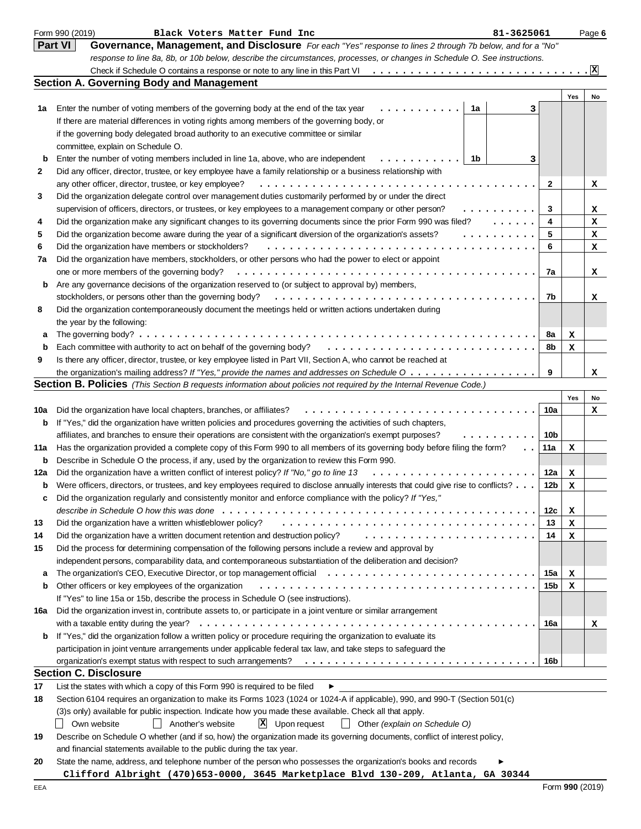|              | Form 990 (2019)<br>Black Voters Matter Fund Inc<br>81-3625061                                                                                                                             |                 |     | Page 6       |
|--------------|-------------------------------------------------------------------------------------------------------------------------------------------------------------------------------------------|-----------------|-----|--------------|
|              | <b>Part VI</b><br>Governance, Management, and Disclosure For each "Yes" response to lines 2 through 7b below, and for a "No"                                                              |                 |     |              |
|              | response to line 8a, 8b, or 10b below, describe the circumstances, processes, or changes in Schedule O. See instructions.                                                                 |                 |     |              |
|              |                                                                                                                                                                                           |                 |     | $\mathbf{x}$ |
|              | <b>Section A. Governing Body and Management</b>                                                                                                                                           |                 |     |              |
|              |                                                                                                                                                                                           |                 | Yes | No           |
| 1a           | Enter the number of voting members of the governing body at the end of the tax year<br>1a<br>.<br>3                                                                                       |                 |     |              |
|              | If there are material differences in voting rights among members of the governing body, or                                                                                                |                 |     |              |
|              | if the governing body delegated broad authority to an executive committee or similar                                                                                                      |                 |     |              |
|              | committee, explain on Schedule O.                                                                                                                                                         |                 |     |              |
| b            | Enter the number of voting members included in line 1a, above, who are independent<br>1b<br>3                                                                                             |                 |     |              |
| $\mathbf{2}$ | Did any officer, director, trustee, or key employee have a family relationship or a business relationship with                                                                            |                 |     |              |
|              | any other officer, director, trustee, or key employee?                                                                                                                                    | 2               |     | x            |
| 3            | Did the organization delegate control over management duties customarily performed by or under the direct                                                                                 |                 |     |              |
|              | supervision of officers, directors, or trustees, or key employees to a management company or other person?<br>. <b>.</b>                                                                  | 3               |     | х            |
| 4            | Did the organization make any significant changes to its governing documents since the prior Form 990 was filed?<br>1.1.1.1.1                                                             | 4               |     | x            |
| 5            | Did the organization become aware during the year of a significant diversion of the organization's assets?<br>.                                                                           | 5               |     | x            |
| 6            | Did the organization have members or stockholders?                                                                                                                                        | 6               |     | х            |
| 7a           | Did the organization have members, stockholders, or other persons who had the power to elect or appoint                                                                                   |                 |     |              |
|              | one or more members of the governing body?                                                                                                                                                | 7a              |     | x            |
| b            | Are any governance decisions of the organization reserved to (or subject to approval by) members,                                                                                         |                 |     |              |
|              | stockholders, or persons other than the governing body?                                                                                                                                   | 7b              |     | x            |
| 8            | Did the organization contemporaneously document the meetings held or written actions undertaken during                                                                                    |                 |     |              |
|              | the year by the following:                                                                                                                                                                |                 |     |              |
| а            | The governing body? $\ldots$                                                                                                                                                              | 8a<br>8b        | х   |              |
| b<br>9       | Each committee with authority to act on behalf of the governing body?<br>Is there any officer, director, trustee, or key employee listed in Part VII, Section A, who cannot be reached at |                 | х   |              |
|              | the organization's mailing address? If "Yes," provide the names and addresses on Schedule O                                                                                               | 9               |     | x            |
|              | <b>Section B. Policies</b> (This Section B requests information about policies not required by the Internal Revenue Code.)                                                                |                 |     |              |
|              |                                                                                                                                                                                           |                 | Yes | No           |
| 10a          | Did the organization have local chapters, branches, or affiliates?                                                                                                                        | 10a             |     | х            |
| b            | If "Yes," did the organization have written policies and procedures governing the activities of such chapters,                                                                            |                 |     |              |
|              | affiliates, and branches to ensure their operations are consistent with the organization's exempt purposes?                                                                               | 10b             |     |              |
| 11a          | Has the organization provided a complete copy of this Form 990 to all members of its governing body before filing the form?<br>$\ddot{\phantom{0}}$                                       | 11a             | x   |              |
| b            | Describe in Schedule O the process, if any, used by the organization to review this Form 990.                                                                                             |                 |     |              |
| 12a          | Did the organization have a written conflict of interest policy? If "No," go to line 13                                                                                                   | 12a             | x   |              |
| b            | Were officers, directors, or trustees, and key employees required to disclose annually interests that could give rise to conflicts?                                                       | 12 <sub>b</sub> | х   |              |
|              | Did the organization regularly and consistently monitor and enforce compliance with the policy? If "Yes,"                                                                                 |                 |     |              |
|              |                                                                                                                                                                                           | 12c             | x   |              |
| 13           | Did the organization have a written whistleblower policy?                                                                                                                                 | 13              | х   |              |
| 14           | Did the organization have a written document retention and destruction policy?                                                                                                            | 14              | х   |              |
| 15           | Did the process for determining compensation of the following persons include a review and approval by                                                                                    |                 |     |              |
|              | independent persons, comparability data, and contemporaneous substantiation of the deliberation and decision?                                                                             |                 |     |              |
| a            | The organization's CEO, Executive Director, or top management official                                                                                                                    | 15a             | x   |              |
| b            | Other officers or key employees of the organization                                                                                                                                       | 15b             | х   |              |
|              | If "Yes" to line 15a or 15b, describe the process in Schedule O (see instructions).                                                                                                       |                 |     |              |
| 16a          | Did the organization invest in, contribute assets to, or participate in a joint venture or similar arrangement                                                                            |                 |     |              |
|              |                                                                                                                                                                                           | 16a             |     | x            |
| b            | If "Yes," did the organization follow a written policy or procedure requiring the organization to evaluate its                                                                            |                 |     |              |
|              | participation in joint venture arrangements under applicable federal tax law, and take steps to safeguard the                                                                             |                 |     |              |
|              |                                                                                                                                                                                           | 16b             |     |              |
|              | <b>Section C. Disclosure</b>                                                                                                                                                              |                 |     |              |
| 17           | List the states with which a copy of this Form 990 is required to be filed<br>▶                                                                                                           |                 |     |              |
| 18           | Section 6104 requires an organization to make its Forms 1023 (1024 or 1024-A if applicable), 990, and 990-T (Section 501(c)                                                               |                 |     |              |
|              | (3)s only) available for public inspection. Indicate how you made these available. Check all that apply.                                                                                  |                 |     |              |
|              | $X$ Upon request<br>Own website<br>Another's website<br>$\Box$ Other (explain on Schedule O)<br>$\perp$                                                                                   |                 |     |              |
| 19           | Describe on Schedule O whether (and if so, how) the organization made its governing documents, conflict of interest policy,                                                               |                 |     |              |
|              | and financial statements available to the public during the tax year.                                                                                                                     |                 |     |              |
| 20           | State the name, address, and telephone number of the person who possesses the organization's books and records                                                                            |                 |     |              |
|              | Clifford Albright (470)653-0000, 3645 Marketplace Blvd 130-209, Atlanta, GA 30344                                                                                                         |                 |     |              |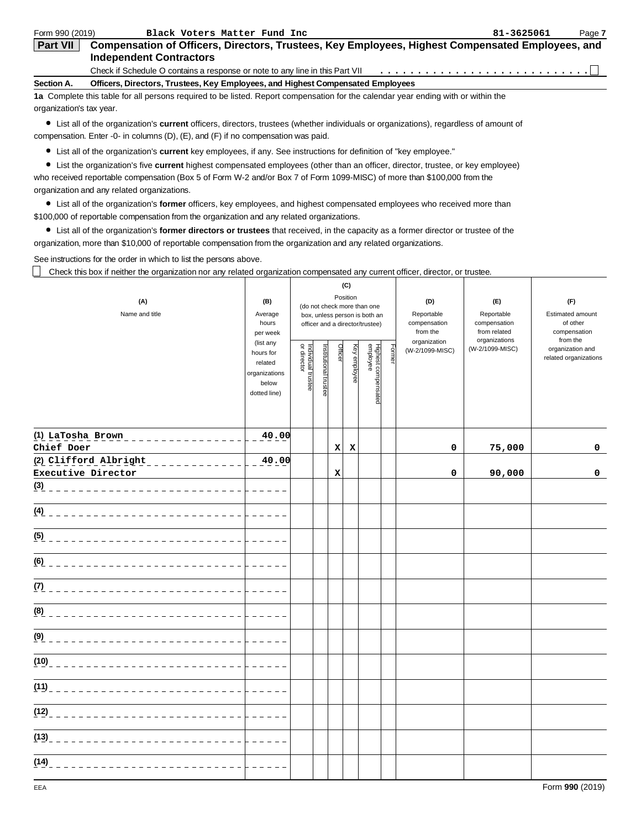| Form 990 (2019)          | Black Voters Matter Fund Inc                                                                                                                | 81-3625061 | Page 7 |
|--------------------------|---------------------------------------------------------------------------------------------------------------------------------------------|------------|--------|
| <b>Part VII</b>          | Compensation of Officers, Directors, Trustees, Key Employees, Highest Compensated Employees, and                                            |            |        |
|                          | <b>Independent Contractors</b>                                                                                                              |            |        |
|                          | Check if Schedule O contains a response or note to any line in this Part VII                                                                |            |        |
| Section A.               | Officers, Directors, Trustees, Key Employees, and Highest Compensated Employees                                                             |            |        |
|                          | 1a Complete this table for all persons required to be listed. Report compensation for the calendar year ending with or within the           |            |        |
| organization's tax year. |                                                                                                                                             |            |        |
|                          | a List all of the ergenization's <b>eurrent</b> officers directors trustees (whother individuals or ergenizations), regardless of emount of |            |        |

**current** officers, directors, trustees (whether individuals or organizations), regardless of amount of compensation. Enter -0- in columns (D), (E), and (F) if no compensation was paid.

List all of the organization's **current** key employees, if any. See instructions for definition of "key employee."

List the organization's five **current** highest compensated employees (other than an officer, director, trustee, or key employee) who received reportable compensation (Box 5 of Form W-2 and/or Box 7 of Form 1099-MISC) of more than \$100,000 from the organization and any related organizations.

List all of the organization's **former** officers, key employees, and highest compensated employees who received more than \$100,000 of reportable compensation from the organization and any related organizations.

List all of the organization's **former directors or trustees** that received, in the capacity as a former director or trustee of the organization, more than \$10,000 of reportable compensation from the organization and any related organizations.

See instructions for the order in which to list the persons above.

Check this box if neither the organization nor any related organization compensated any current officer, director, or trustee.

| (A)<br>Name and title                | (B)<br>Average<br>hours<br>per week<br>(list any<br>hours for<br>related<br>organizations<br>below<br>dotted line) | Individual trustee<br>or director | Institutional trustee | Officer | (C)<br>Position<br>Key employee | (do not check more than one<br>box, unless person is both an<br>officer and a director/trustee)<br>Highest compensated<br>employee | Former | (D)<br>Reportable<br>compensation<br>from the<br>organization<br>(W-2/1099-MISC) | (E)<br>Reportable<br>compensation<br>from related<br>organizations<br>(W-2/1099-MISC) | (F)<br><b>Estimated amount</b><br>of other<br>compensation<br>from the<br>organization and<br>related organizations |
|--------------------------------------|--------------------------------------------------------------------------------------------------------------------|-----------------------------------|-----------------------|---------|---------------------------------|------------------------------------------------------------------------------------------------------------------------------------|--------|----------------------------------------------------------------------------------|---------------------------------------------------------------------------------------|---------------------------------------------------------------------------------------------------------------------|
| (1) LaTosha Brown __________________ | 40.00                                                                                                              |                                   |                       |         |                                 |                                                                                                                                    |        |                                                                                  |                                                                                       |                                                                                                                     |
| Chief Doer<br>(2) Clifford Albright  | $\frac{40.00}{ }$                                                                                                  |                                   |                       | x       | x                               |                                                                                                                                    |        | 0                                                                                | 75,000                                                                                | 0                                                                                                                   |
| Executive Director                   |                                                                                                                    |                                   |                       | x       |                                 |                                                                                                                                    |        | 0                                                                                | 90,000                                                                                | 0                                                                                                                   |
|                                      | i di di di d                                                                                                       |                                   |                       |         |                                 |                                                                                                                                    |        |                                                                                  |                                                                                       |                                                                                                                     |
| (4) _____________________________    | $    -$                                                                                                            |                                   |                       |         |                                 |                                                                                                                                    |        |                                                                                  |                                                                                       |                                                                                                                     |
|                                      |                                                                                                                    |                                   |                       |         |                                 |                                                                                                                                    |        |                                                                                  |                                                                                       |                                                                                                                     |
|                                      | .                                                                                                                  |                                   |                       |         |                                 |                                                                                                                                    |        |                                                                                  |                                                                                       |                                                                                                                     |
| (7) _____________________________    | .                                                                                                                  |                                   |                       |         |                                 |                                                                                                                                    |        |                                                                                  |                                                                                       |                                                                                                                     |
| (8) _____________________________    |                                                                                                                    |                                   |                       |         |                                 |                                                                                                                                    |        |                                                                                  |                                                                                       |                                                                                                                     |
|                                      |                                                                                                                    |                                   |                       |         |                                 |                                                                                                                                    |        |                                                                                  |                                                                                       |                                                                                                                     |
| (10)<br>____________________________ |                                                                                                                    |                                   |                       |         |                                 |                                                                                                                                    |        |                                                                                  |                                                                                       |                                                                                                                     |
| (11)<br>____________________________ |                                                                                                                    |                                   |                       |         |                                 |                                                                                                                                    |        |                                                                                  |                                                                                       |                                                                                                                     |
|                                      | $\frac{1}{2}$ and $\frac{1}{2}$ and $\frac{1}{2}$                                                                  |                                   |                       |         |                                 |                                                                                                                                    |        |                                                                                  |                                                                                       |                                                                                                                     |
|                                      |                                                                                                                    |                                   |                       |         |                                 |                                                                                                                                    |        |                                                                                  |                                                                                       |                                                                                                                     |
| (14)                                 | .                                                                                                                  |                                   |                       |         |                                 |                                                                                                                                    |        |                                                                                  |                                                                                       |                                                                                                                     |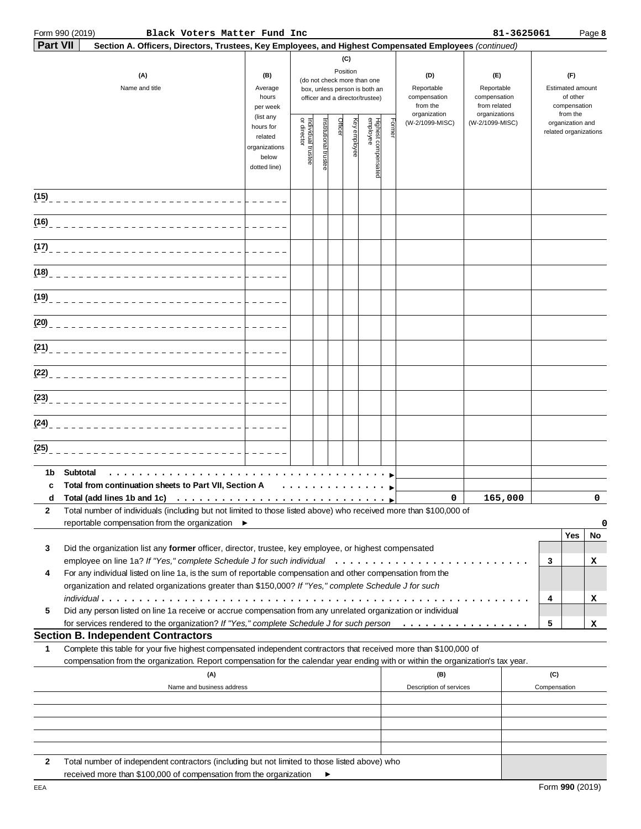# **Part VII** 5

Form 990 (2019) Page **8 Black Voters Matter Fund Inc 81-3625061**

| art $\textsf{VII} \models \textsf{Section A. Officers, Directors, Trustees, Key Employees, and Higher Compensated Employees (continued) }$ |
|--------------------------------------------------------------------------------------------------------------------------------------------|
|                                                                                                                                            |

|             | (A)<br>Name and title                                                                                                                                                                                                                                        | (B)<br>Average<br>hours<br>per week                                         | (C)<br>Position<br>(do not check more than one<br>box, unless person is both an<br>officer and a director/trustee) |                       |         |              |                                 |       | (D)<br>Reportable<br>compensation<br>from the | (E)<br>Reportable<br>compensation<br>from related | (F)<br>Estimated amount<br>of other<br>compensation |                                                       |         |  |
|-------------|--------------------------------------------------------------------------------------------------------------------------------------------------------------------------------------------------------------------------------------------------------------|-----------------------------------------------------------------------------|--------------------------------------------------------------------------------------------------------------------|-----------------------|---------|--------------|---------------------------------|-------|-----------------------------------------------|---------------------------------------------------|-----------------------------------------------------|-------------------------------------------------------|---------|--|
|             |                                                                                                                                                                                                                                                              | (list any<br>hours for<br>related<br>organizations<br>below<br>dotted line) | Individual trustee<br>or director                                                                                  | Institutional trustee | Officer | Key employee | Highest compensated<br>employee | Forme | organization<br>(W-2/1099-MISC)               | organizations<br>(W-2/1099-MISC)                  |                                                     | from the<br>organization and<br>related organizations |         |  |
|             |                                                                                                                                                                                                                                                              |                                                                             |                                                                                                                    |                       |         |              |                                 |       |                                               |                                                   |                                                     |                                                       |         |  |
|             | (16)_____________________________                                                                                                                                                                                                                            |                                                                             |                                                                                                                    |                       |         |              |                                 |       |                                               |                                                   |                                                     |                                                       |         |  |
|             |                                                                                                                                                                                                                                                              |                                                                             |                                                                                                                    |                       |         |              |                                 |       |                                               |                                                   |                                                     |                                                       |         |  |
|             |                                                                                                                                                                                                                                                              |                                                                             |                                                                                                                    |                       |         |              |                                 |       |                                               |                                                   |                                                     |                                                       |         |  |
|             |                                                                                                                                                                                                                                                              |                                                                             |                                                                                                                    |                       |         |              |                                 |       |                                               |                                                   |                                                     |                                                       |         |  |
|             |                                                                                                                                                                                                                                                              |                                                                             |                                                                                                                    |                       |         |              |                                 |       |                                               |                                                   |                                                     |                                                       |         |  |
|             |                                                                                                                                                                                                                                                              |                                                                             |                                                                                                                    |                       |         |              |                                 |       |                                               |                                                   |                                                     |                                                       |         |  |
|             |                                                                                                                                                                                                                                                              |                                                                             |                                                                                                                    |                       |         |              |                                 |       |                                               |                                                   |                                                     |                                                       |         |  |
|             |                                                                                                                                                                                                                                                              |                                                                             |                                                                                                                    |                       |         |              |                                 |       |                                               |                                                   |                                                     |                                                       |         |  |
| (24)        | --------------------------                                                                                                                                                                                                                                   |                                                                             |                                                                                                                    |                       |         |              |                                 |       |                                               |                                                   |                                                     |                                                       |         |  |
| (25)        |                                                                                                                                                                                                                                                              |                                                                             |                                                                                                                    |                       |         |              |                                 |       |                                               |                                                   |                                                     |                                                       |         |  |
| 1b          | Subtotal                                                                                                                                                                                                                                                     |                                                                             |                                                                                                                    |                       |         |              |                                 |       |                                               |                                                   |                                                     |                                                       |         |  |
| c<br>d<br>2 | Total from continuation sheets to Part VII, Section A<br>Total (add lines 1b and 1c)<br>Total number of individuals (including but not limited to those listed above) who received more than \$100,000 of<br>reportable compensation from the organization ▶ |                                                                             |                                                                                                                    |                       |         |              |                                 |       | 0                                             | 165,000                                           |                                                     | $\mathbf 0$<br>0                                      |         |  |
| 3           | Did the organization list any former officer, director, trustee, key employee, or highest compensated                                                                                                                                                        |                                                                             |                                                                                                                    |                       |         |              |                                 |       |                                               |                                                   | 3                                                   | Yes                                                   | No<br>х |  |
| 4           | For any individual listed on line 1a, is the sum of reportable compensation and other compensation from the<br>organization and related organizations greater than \$150,000? If "Yes," complete Schedule J for such                                         |                                                                             |                                                                                                                    |                       |         |              |                                 |       |                                               |                                                   |                                                     |                                                       |         |  |
| 5           | Did any person listed on line 1a receive or accrue compensation from any unrelated organization or individual                                                                                                                                                |                                                                             |                                                                                                                    |                       |         |              |                                 |       |                                               |                                                   | 4                                                   |                                                       | х       |  |
|             | for services rendered to the organization? If "Yes," complete Schedule J for such person<br><b>Section B. Independent Contractors</b>                                                                                                                        |                                                                             |                                                                                                                    |                       |         |              |                                 |       |                                               |                                                   | 5                                                   |                                                       | x       |  |
| 1           | Complete this table for your five highest compensated independent contractors that received more than \$100,000 of                                                                                                                                           |                                                                             |                                                                                                                    |                       |         |              |                                 |       |                                               |                                                   |                                                     |                                                       |         |  |
|             | compensation from the organization. Report compensation for the calendar year ending with or within the organization's tax year.<br>(A)<br>Name and business address                                                                                         |                                                                             |                                                                                                                    |                       |         |              |                                 |       | (B)<br>Description of services                |                                                   | (C)<br>Compensation                                 |                                                       |         |  |
|             |                                                                                                                                                                                                                                                              |                                                                             |                                                                                                                    |                       |         |              |                                 |       |                                               |                                                   |                                                     |                                                       |         |  |
| 2           | Total number of independent contractors (including but not limited to those listed above) who<br>received more than \$100,000 of compensation from the organization                                                                                          |                                                                             |                                                                                                                    | ▶                     |         |              |                                 |       |                                               |                                                   |                                                     |                                                       |         |  |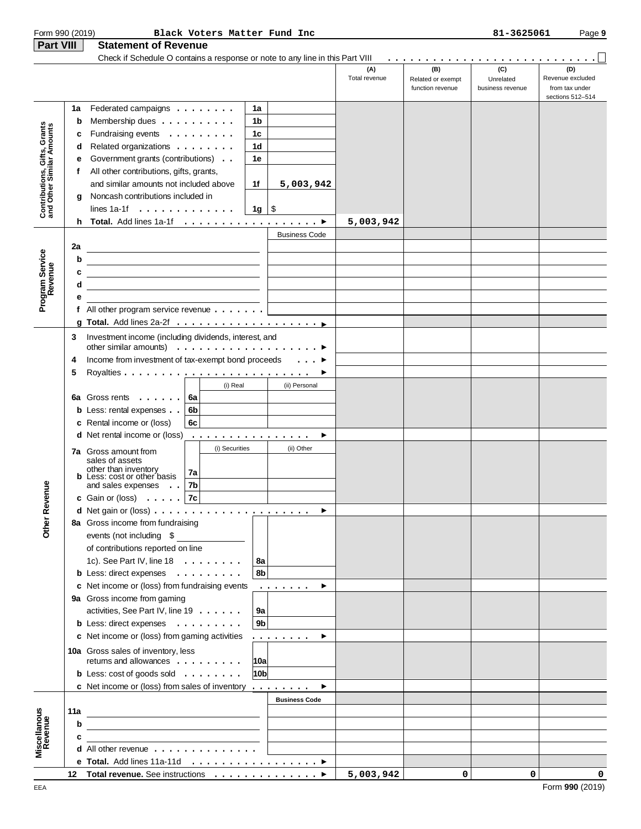| Form 990 (2019)                                           |                                                         |                                                                                | Black Voters Matter Fund Inc                                                                                         |                      |                                |                      |                                              | 81-3625061                           | Page 9                                                        |
|-----------------------------------------------------------|---------------------------------------------------------|--------------------------------------------------------------------------------|----------------------------------------------------------------------------------------------------------------------|----------------------|--------------------------------|----------------------|----------------------------------------------|--------------------------------------|---------------------------------------------------------------|
| <b>Part VIII</b>                                          |                                                         | <b>Statement of Revenue</b>                                                    |                                                                                                                      |                      |                                |                      |                                              |                                      |                                                               |
|                                                           |                                                         | Check if Schedule O contains a response or note to any line in this Part VIII  |                                                                                                                      |                      |                                |                      |                                              |                                      |                                                               |
|                                                           |                                                         |                                                                                |                                                                                                                      |                      |                                | (A)<br>Total revenue | (B)<br>Related or exempt<br>function revenue | (C)<br>Unrelated<br>business revenue | (D)<br>Revenue excluded<br>from tax under<br>sections 512-514 |
|                                                           | 1a                                                      | Federated campaigns                                                            |                                                                                                                      | 1a                   |                                |                      |                                              |                                      |                                                               |
|                                                           | b                                                       | Membership dues                                                                |                                                                                                                      | 1b                   |                                |                      |                                              |                                      |                                                               |
| Contributions, Gifts, Grants<br>and Other Similar Amounts | с                                                       | Fundraising events                                                             |                                                                                                                      | 1 <sub>c</sub>       |                                |                      |                                              |                                      |                                                               |
|                                                           | d                                                       | Related organizations                                                          |                                                                                                                      | 1d                   |                                |                      |                                              |                                      |                                                               |
|                                                           | е                                                       | Government grants (contributions)                                              |                                                                                                                      | 1e                   |                                |                      |                                              |                                      |                                                               |
|                                                           | f                                                       | All other contributions, gifts, grants,                                        |                                                                                                                      |                      |                                |                      |                                              |                                      |                                                               |
|                                                           |                                                         | and similar amounts not included above                                         |                                                                                                                      | 1f                   | 5,003,942                      |                      |                                              |                                      |                                                               |
|                                                           | g                                                       | Noncash contributions included in                                              |                                                                                                                      |                      |                                |                      |                                              |                                      |                                                               |
|                                                           |                                                         | lines 1a-1f $\ldots$ , $\ldots$ , $\ldots$ , $\ldots$                          |                                                                                                                      | $1g \mid$ \$         |                                |                      |                                              |                                      |                                                               |
|                                                           | h.                                                      | Total. Add lines 1a-1f ▶                                                       |                                                                                                                      |                      |                                | 5,003,942            |                                              |                                      |                                                               |
|                                                           |                                                         |                                                                                |                                                                                                                      |                      | <b>Business Code</b>           |                      |                                              |                                      |                                                               |
|                                                           | 2a                                                      |                                                                                |                                                                                                                      |                      |                                |                      |                                              |                                      |                                                               |
|                                                           | b                                                       |                                                                                |                                                                                                                      |                      |                                |                      |                                              |                                      |                                                               |
|                                                           | c                                                       |                                                                                |                                                                                                                      |                      |                                |                      |                                              |                                      |                                                               |
| Program Service<br>Revenue                                | d                                                       |                                                                                |                                                                                                                      |                      |                                |                      |                                              |                                      |                                                               |
|                                                           | е                                                       |                                                                                |                                                                                                                      |                      |                                |                      |                                              |                                      |                                                               |
|                                                           |                                                         | f All other program service revenue $\dots$                                    |                                                                                                                      |                      |                                |                      |                                              |                                      |                                                               |
|                                                           |                                                         |                                                                                |                                                                                                                      |                      |                                |                      |                                              |                                      |                                                               |
|                                                           | 3                                                       | Investment income (including dividends, interest, and                          |                                                                                                                      |                      |                                |                      |                                              |                                      |                                                               |
|                                                           |                                                         | other similar amounts) $\ldots \ldots \ldots \ldots \ldots \ldots$             |                                                                                                                      |                      |                                |                      |                                              |                                      |                                                               |
|                                                           | Income from investment of tax-exempt bond proceeds<br>4 |                                                                                |                                                                                                                      |                      | $\ldots$ $\blacktriangleright$ |                      |                                              |                                      |                                                               |
|                                                           | 5                                                       |                                                                                |                                                                                                                      |                      |                                |                      |                                              |                                      |                                                               |
|                                                           |                                                         |                                                                                | (i) Real                                                                                                             |                      | (ii) Personal                  |                      |                                              |                                      |                                                               |
|                                                           | 6а                                                      | Gross rents                                                                    | 6a                                                                                                                   |                      |                                |                      |                                              |                                      |                                                               |
|                                                           |                                                         | <b>b</b> Less: rental expenses                                                 | 6b                                                                                                                   |                      |                                |                      |                                              |                                      |                                                               |
|                                                           |                                                         | c Rental income or (loss)                                                      | 6c                                                                                                                   |                      |                                |                      |                                              |                                      |                                                               |
|                                                           |                                                         | <b>d</b> Net rental income or (loss)                                           | .                                                                                                                    |                      | ▶                              |                      |                                              |                                      |                                                               |
|                                                           |                                                         |                                                                                | (i) Securities                                                                                                       |                      | (ii) Other                     |                      |                                              |                                      |                                                               |
|                                                           |                                                         | <b>7a</b> Gross amount from<br>sales of assets                                 |                                                                                                                      |                      |                                |                      |                                              |                                      |                                                               |
|                                                           |                                                         | other than inventory                                                           | 7a                                                                                                                   |                      |                                |                      |                                              |                                      |                                                               |
|                                                           |                                                         | <b>b</b> Less: cost or other basis<br>and sales expenses                       | 7b                                                                                                                   |                      |                                |                      |                                              |                                      |                                                               |
| nue                                                       |                                                         | $\ddot{\phantom{1}}$<br>c Gain or (loss) $\ldots$ . $7c$                       |                                                                                                                      |                      |                                |                      |                                              |                                      |                                                               |
|                                                           |                                                         |                                                                                |                                                                                                                      |                      | ▶                              |                      |                                              |                                      |                                                               |
|                                                           |                                                         | 8a Gross income from fundraising                                               |                                                                                                                      |                      |                                |                      |                                              |                                      |                                                               |
| Other Reve                                                |                                                         | events (not including \$                                                       |                                                                                                                      |                      |                                |                      |                                              |                                      |                                                               |
|                                                           |                                                         |                                                                                |                                                                                                                      |                      |                                |                      |                                              |                                      |                                                               |
|                                                           |                                                         | of contributions reported on line<br>1c). See Part IV, line $18 \ldots \ldots$ |                                                                                                                      |                      |                                |                      |                                              |                                      |                                                               |
|                                                           |                                                         |                                                                                |                                                                                                                      | 8a<br>8b             |                                |                      |                                              |                                      |                                                               |
|                                                           |                                                         | b Less: direct expenses<br>c Net income or (loss) from fundraising events      |                                                                                                                      |                      |                                |                      |                                              |                                      |                                                               |
|                                                           |                                                         |                                                                                |                                                                                                                      |                      | ▸                              |                      |                                              |                                      |                                                               |
|                                                           |                                                         | 9a Gross income from gaming                                                    |                                                                                                                      |                      |                                |                      |                                              |                                      |                                                               |
|                                                           |                                                         | activities, See Part IV, line 19                                               |                                                                                                                      | 9a<br>9 <sub>b</sub> |                                |                      |                                              |                                      |                                                               |
|                                                           |                                                         | b Less: direct expenses                                                        |                                                                                                                      |                      |                                |                      |                                              |                                      |                                                               |
|                                                           |                                                         | c Net income or (loss) from gaming activities                                  |                                                                                                                      |                      | .<br>▶                         |                      |                                              |                                      |                                                               |
|                                                           |                                                         | 10a Gross sales of inventory, less                                             |                                                                                                                      |                      |                                |                      |                                              |                                      |                                                               |
|                                                           |                                                         | returns and allowances                                                         |                                                                                                                      | 10a                  |                                |                      |                                              |                                      |                                                               |
|                                                           |                                                         | <b>b</b> Less: cost of goods sold $\ldots$                                     |                                                                                                                      | 10 <sub>b</sub>      |                                |                      |                                              |                                      |                                                               |
|                                                           |                                                         | c Net income or (loss) from sales of inventory $\dots \dots$                   |                                                                                                                      |                      |                                |                      |                                              |                                      |                                                               |
|                                                           |                                                         |                                                                                |                                                                                                                      |                      | <b>Business Code</b>           |                      |                                              |                                      |                                                               |
| Miscellanous<br>Revenue                                   | 11a                                                     |                                                                                |                                                                                                                      |                      |                                |                      |                                              |                                      |                                                               |
|                                                           | b                                                       |                                                                                |                                                                                                                      |                      |                                |                      |                                              |                                      |                                                               |
|                                                           | c                                                       |                                                                                | <u> 1989 - Jan Barbara Barbara, prima popular popular popular popular popular popular popular popular popular po</u> |                      |                                |                      |                                              |                                      |                                                               |
|                                                           |                                                         | <b>d</b> All other revenue $\ldots$ , $\ldots$ , $\ldots$ , $\ldots$           |                                                                                                                      |                      |                                |                      |                                              |                                      |                                                               |
|                                                           |                                                         |                                                                                |                                                                                                                      |                      |                                |                      |                                              |                                      |                                                               |
|                                                           |                                                         | 12 Total revenue. See instructions ▶                                           |                                                                                                                      |                      |                                | 5,003,942            | 0                                            | 0                                    | 0                                                             |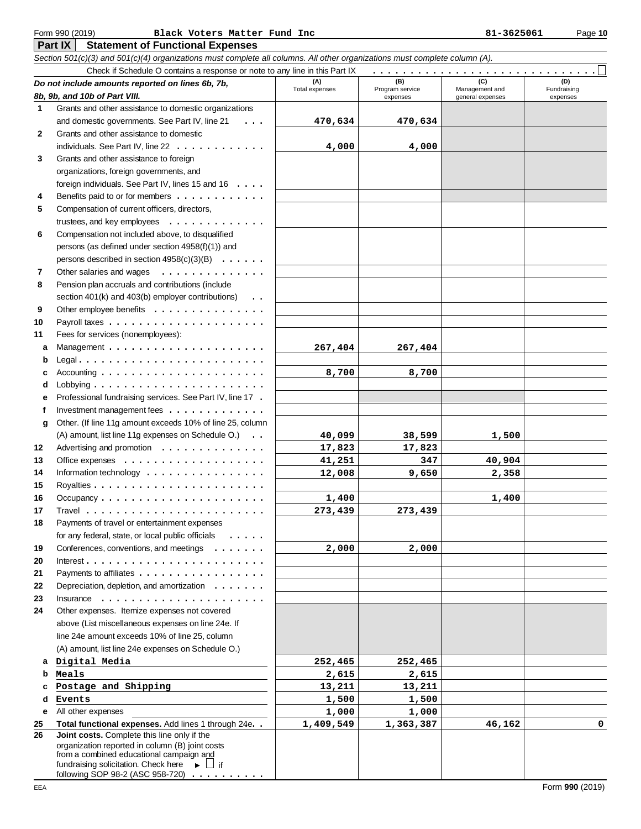### **Form 990 (2019) Black Voters Matter Fund Inc 81-3625061 Page 10**

Section 501(c)(3) and 501(c)(4) organizations must complete all columns. All other organizations must complete column (A).

|              | Check if Schedule O contains a response or note to any line in this Part IX                                      |                       |                        |                       |                    |
|--------------|------------------------------------------------------------------------------------------------------------------|-----------------------|------------------------|-----------------------|--------------------|
|              | Do not include amounts reported on lines 6b, 7b,                                                                 | (A)<br>Total expenses | (B)<br>Program service | (C)<br>Management and | (D)<br>Fundraising |
|              | 8b, 9b, and 10b of Part VIII.                                                                                    |                       | expenses               | general expenses      | expenses           |
| 1            | Grants and other assistance to domestic organizations                                                            |                       |                        |                       |                    |
|              | and domestic governments. See Part IV, line 21<br>$\cdot$ $\cdot$ $\cdot$                                        | 470,634               | 470,634                |                       |                    |
| $\mathbf{2}$ | Grants and other assistance to domestic                                                                          |                       |                        |                       |                    |
|              | individuals. See Part IV, line $22 \ldots \ldots \ldots$                                                         | 4,000                 | 4,000                  |                       |                    |
| 3            | Grants and other assistance to foreign                                                                           |                       |                        |                       |                    |
|              | organizations, foreign governments, and                                                                          |                       |                        |                       |                    |
|              | foreign individuals. See Part IV, lines 15 and 16                                                                |                       |                        |                       |                    |
| 4            | Benefits paid to or for members                                                                                  |                       |                        |                       |                    |
| 5            | Compensation of current officers, directors,                                                                     |                       |                        |                       |                    |
|              | trustees, and key employees $\dots \dots \dots \dots$                                                            |                       |                        |                       |                    |
| 6            | Compensation not included above, to disqualified                                                                 |                       |                        |                       |                    |
|              | persons (as defined under section 4958(f)(1)) and                                                                |                       |                        |                       |                    |
|              | persons described in section $4958(c)(3)(B) \ldots \ldots$                                                       |                       |                        |                       |                    |
| 7            | Other salaries and wages                                                                                         |                       |                        |                       |                    |
| 8            | Pension plan accruals and contributions (include                                                                 |                       |                        |                       |                    |
|              | section 401(k) and 403(b) employer contributions)                                                                |                       |                        |                       |                    |
| 9            | Other employee benefits                                                                                          |                       |                        |                       |                    |
| 10           |                                                                                                                  |                       |                        |                       |                    |
| 11           | Fees for services (nonemployees):                                                                                |                       |                        |                       |                    |
| a            |                                                                                                                  | 267,404               | 267,404                |                       |                    |
| b            | Legal                                                                                                            |                       |                        |                       |                    |
| c            |                                                                                                                  | 8,700                 | 8,700                  |                       |                    |
| d            |                                                                                                                  |                       |                        |                       |                    |
| е            | Professional fundraising services. See Part IV, line 17.                                                         |                       |                        |                       |                    |
| f            | Investment management fees                                                                                       |                       |                        |                       |                    |
| g            | Other. (If line 11g amount exceeds 10% of line 25, column                                                        |                       |                        |                       |                    |
|              | (A) amount, list line 11g expenses on Schedule O.)                                                               | 40,099                | 38,599                 | 1,500                 |                    |
| 12           | Advertising and promotion                                                                                        | 17,823                | 17,823                 |                       |                    |
| 13           |                                                                                                                  | 41,251                | 347                    | 40,904                |                    |
| 14           | Information technology $\dots$ , $\dots$ , $\dots$ , $\dots$ , $\dots$ ,                                         | 12,008                | 9,650                  | 2,358                 |                    |
| 15           |                                                                                                                  |                       |                        |                       |                    |
| 16           |                                                                                                                  | 1,400                 |                        | 1,400                 |                    |
| 17           |                                                                                                                  | 273,439               | 273,439                |                       |                    |
| 18           | Payments of travel or entertainment expenses                                                                     |                       |                        |                       |                    |
|              | for any federal, state, or local public officials                                                                |                       |                        |                       |                    |
| 19           | Conferences, conventions, and meetings                                                                           | 2,000                 | 2,000                  |                       |                    |
| 20           |                                                                                                                  |                       |                        |                       |                    |
| 21           | Payments to affiliates                                                                                           |                       |                        |                       |                    |
| 22           | Depreciation, depletion, and amortization                                                                        |                       |                        |                       |                    |
| 23           | Insurance $\ldots$ , $\ldots$ , $\ldots$ , $\ldots$ , $\ldots$ , $\ldots$ , $\ldots$                             |                       |                        |                       |                    |
| 24           | Other expenses. Itemize expenses not covered                                                                     |                       |                        |                       |                    |
|              | above (List miscellaneous expenses on line 24e. If                                                               |                       |                        |                       |                    |
|              | line 24e amount exceeds 10% of line 25, column                                                                   |                       |                        |                       |                    |
|              | (A) amount, list line 24e expenses on Schedule O.)                                                               |                       |                        |                       |                    |
| a            | Digital Media                                                                                                    | 252,465               | 252,465                |                       |                    |
| b            | Meals                                                                                                            | 2,615                 | 2,615                  |                       |                    |
| c            | Postage and Shipping                                                                                             | 13,211                | 13,211                 |                       |                    |
| d            | Events                                                                                                           | 1,500                 | 1,500                  |                       |                    |
| e            | All other expenses                                                                                               | 1,000                 | 1,000                  |                       |                    |
| 25           | Total functional expenses. Add lines 1 through 24e. .                                                            | 1,409,549             | 1,363,387              | 46,162                | 0                  |
| 26           | Joint costs. Complete this line only if the                                                                      |                       |                        |                       |                    |
|              | organization reported in column (B) joint costs                                                                  |                       |                        |                       |                    |
|              | from a combined educational campaign and<br>fundraising solicitation. Check here $\blacktriangleright$ $\Box$ if |                       |                        |                       |                    |
|              | following SOP 98-2 (ASC 958-720)                                                                                 |                       |                        |                       |                    |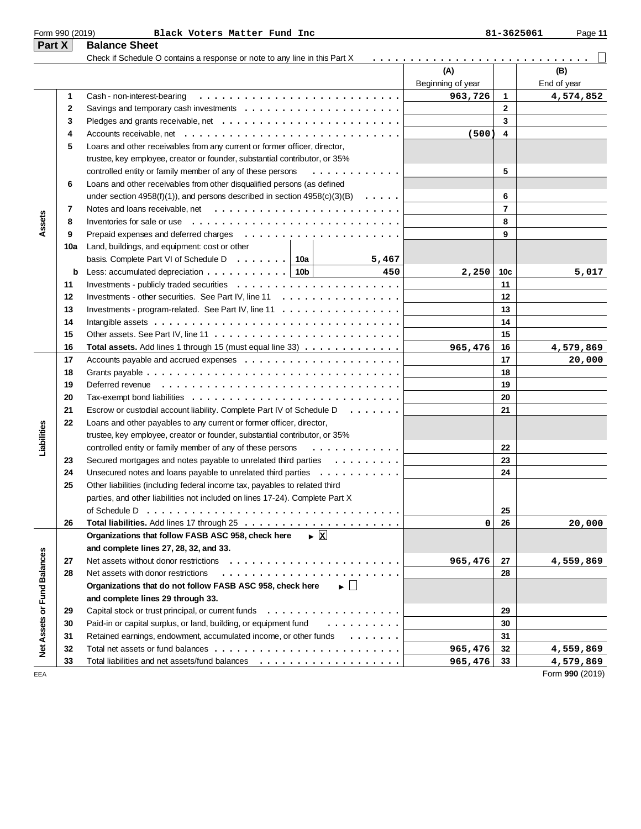|                             | Form 990 (2019) | Black Voters Matter Fund Inc                                                                     |                          | 81-3625061   | Page 11            |
|-----------------------------|-----------------|--------------------------------------------------------------------------------------------------|--------------------------|--------------|--------------------|
| Part X                      |                 | <b>Balance Sheet</b>                                                                             |                          |              |                    |
|                             |                 | Check if Schedule O contains a response or note to any line in this Part X                       |                          |              |                    |
|                             |                 |                                                                                                  | (A)<br>Beginning of year |              | (B)<br>End of year |
|                             | 1               | Cash - non-interest-bearing                                                                      | 963,726                  | 1            | 4,574,852          |
|                             | 2               |                                                                                                  |                          | $\mathbf{2}$ |                    |
|                             | 3               |                                                                                                  |                          | 3            |                    |
|                             | 4               | Accounts receivable, net $\ldots \ldots \ldots \ldots \ldots \ldots \ldots \ldots \ldots \ldots$ | (500)                    | 4            |                    |
|                             | 5               | Loans and other receivables from any current or former officer, director,                        |                          |              |                    |
|                             |                 | trustee, key employee, creator or founder, substantial contributor, or 35%                       |                          |              |                    |
|                             |                 | controlled entity or family member of any of these persons<br>.                                  |                          | 5            |                    |
|                             | 6               | Loans and other receivables from other disqualified persons (as defined                          |                          |              |                    |
|                             |                 | under section 4958(f)(1)), and persons described in section $4958(c)(3)(B) \ldots$ .             |                          | 6            |                    |
|                             | 7               |                                                                                                  |                          | 7            |                    |
| Assets                      | 8               | Inventories for sale or use $\dots \dots \dots \dots \dots \dots \dots \dots \dots$              |                          | 8            |                    |
|                             | 9               |                                                                                                  |                          | 9            |                    |
|                             | 10a             | Land, buildings, and equipment: cost or other                                                    |                          |              |                    |
|                             |                 | basis. Complete Part VI of Schedule D. $\ldots$   10a<br>5,467                                   |                          |              |                    |
|                             | b               | Less: accumulated depreciation $\ldots \ldots \ldots$ . 10b<br>450                               | 2,250                    | 10c          | 5,017              |
|                             | 11              |                                                                                                  |                          | 11           |                    |
|                             | 12              | Investments - other securities. See Part IV, line 11                                             |                          | 12           |                    |
|                             | 13              | Investments - program-related. See Part IV, line $11 \ldots \ldots \ldots \ldots \ldots \ldots$  |                          | 13           |                    |
|                             | 14              |                                                                                                  |                          | 14           |                    |
|                             | 15              |                                                                                                  |                          | 15           |                    |
|                             | 16              | <b>Total assets.</b> Add lines 1 through 15 (must equal line $33)$                               | 965,476                  | 16           | 4,579,869          |
|                             | 17              |                                                                                                  |                          | 17           | 20,000             |
|                             | 18              |                                                                                                  |                          | 18           |                    |
|                             | 19              |                                                                                                  |                          | 19           |                    |
|                             | 20              |                                                                                                  |                          | 20           |                    |
|                             | 21              | Escrow or custodial account liability. Complete Part IV of Schedule D.                           |                          | 21           |                    |
|                             | 22              | Loans and other payables to any current or former officer, director,                             |                          |              |                    |
| Liabilities                 |                 | trustee, key employee, creator or founder, substantial contributor, or 35%                       |                          |              |                    |
|                             |                 | controlled entity or family member of any of these persons<br>.                                  |                          | 22           |                    |
|                             | 23              | Secured mortgages and notes payable to unrelated third parties                                   |                          | 23           |                    |
|                             | 24              | Unsecured notes and loans payable to unrelated third parties                                     |                          | 24           |                    |
|                             | 25              | Other liabilities (including federal income tax, payables to related third                       |                          |              |                    |
|                             |                 | parties, and other liabilities not included on lines 17-24). Complete Part X                     |                          |              |                    |
|                             |                 |                                                                                                  |                          | 25           |                    |
|                             | 26              |                                                                                                  | 0                        | 26           | 20,000             |
|                             |                 | $\triangleright$  x <br>Organizations that follow FASB ASC 958, check here                       |                          |              |                    |
|                             |                 | and complete lines 27, 28, 32, and 33.                                                           |                          |              |                    |
|                             | 27              | Net assets without donor restrictions                                                            | 965,476                  | 27           | 4,559,869          |
|                             | 28              | Net assets with donor restrictions                                                               |                          | 28           |                    |
|                             |                 | Organizations that do not follow FASB ASC 958, check here<br>▸ 凵                                 |                          |              |                    |
| Net Assets or Fund Balances |                 | and complete lines 29 through 33.                                                                |                          |              |                    |
|                             | 29              |                                                                                                  |                          | 29           |                    |
|                             | 30              | Paid-in or capital surplus, or land, building, or equipment fund<br>.                            |                          | 30           |                    |
|                             | 31              | Retained earnings, endowment, accumulated income, or other funds                                 |                          | 31           |                    |
|                             | 32              |                                                                                                  | 965,476                  | 32           | 4,559,869          |

33 Total liabilities and net assets/fund balances  $\ldots \ldots \ldots \ldots \ldots \ldots \ldots$  965,476 33

EEA Form **990** (2019)

**965,476 4,559,869 965,476 4,579,869**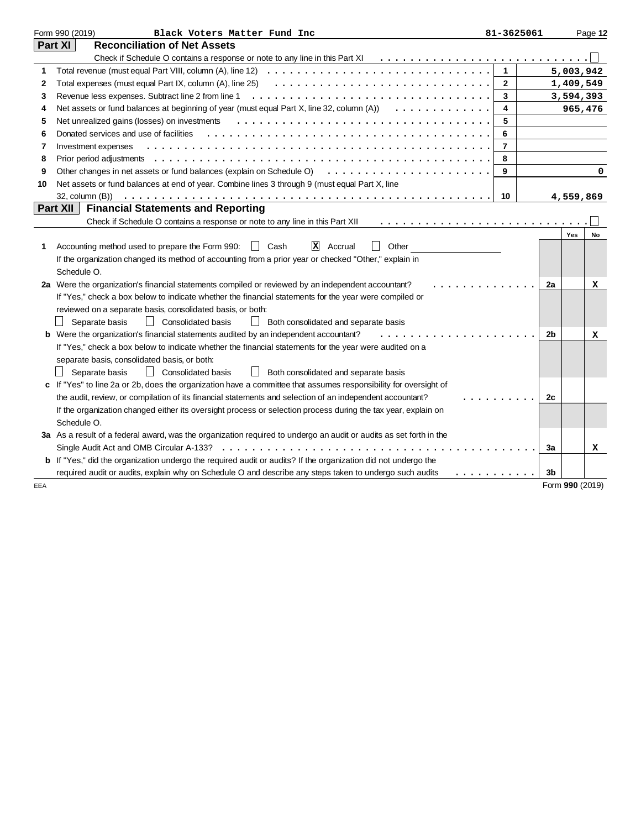|     | Form 990 (2019)<br>Black Voters Matter Fund Inc                                                                       | 81-3625061     |                 |           | Page 12 |
|-----|-----------------------------------------------------------------------------------------------------------------------|----------------|-----------------|-----------|---------|
|     | Part XI<br><b>Reconciliation of Net Assets</b>                                                                        |                |                 |           |         |
|     | Check if Schedule O contains a response or note to any line in this Part XI                                           |                |                 |           |         |
| 1   |                                                                                                                       | $\mathbf{1}$   |                 | 5,003,942 |         |
| 2   | Total expenses (must equal Part IX, column (A), line 25)                                                              | $\mathbf{2}$   |                 | 1,409,549 |         |
| 3   |                                                                                                                       | 3              |                 | 3,594,393 |         |
| 4   | Net assets or fund balances at beginning of year (must equal Part X, line 32, column (A))                             | 4              |                 | 965,476   |         |
| 5   | Net unrealized gains (losses) on investments                                                                          | 5              |                 |           |         |
| 6   | Donated services and use of facilities                                                                                | 6              |                 |           |         |
| 7   | Investment expenses                                                                                                   | $\overline{7}$ |                 |           |         |
| 8   |                                                                                                                       | 8              |                 |           |         |
| 9   | Other changes in net assets or fund balances (explain on Schedule O)                                                  | 9              |                 |           | 0       |
| 10  | Net assets or fund balances at end of year. Combine lines 3 through 9 (must equal Part X, line                        |                |                 |           |         |
|     | 32, column (B))                                                                                                       | 10             |                 | 4,559,869 |         |
|     | <b>Financial Statements and Reporting</b><br>Part XII                                                                 |                |                 |           |         |
|     | Check if Schedule O contains a response or note to any line in this Part XII                                          |                |                 |           |         |
|     |                                                                                                                       |                |                 | Yes       | No      |
| 1   | $\mathbf{X}$ Accrual<br>Other<br>Accounting method used to prepare the Form 990:<br>  Cash                            |                |                 |           |         |
|     | If the organization changed its method of accounting from a prior year or checked "Other," explain in                 |                |                 |           |         |
|     | Schedule O.                                                                                                           |                |                 |           |         |
|     | 2a Were the organization's financial statements compiled or reviewed by an independent accountant?                    |                | 2a              |           | x       |
|     | If "Yes," check a box below to indicate whether the financial statements for the year were compiled or                |                |                 |           |         |
|     | reviewed on a separate basis, consolidated basis, or both:                                                            |                |                 |           |         |
|     | Consolidated basis<br>Separate basis<br>$\Box$<br>Both consolidated and separate basis                                |                |                 |           |         |
|     | b Were the organization's financial statements audited by an independent accountant?                                  |                | 2b              |           | x       |
|     | If "Yes," check a box below to indicate whether the financial statements for the year were audited on a               |                |                 |           |         |
|     | separate basis, consolidated basis, or both:                                                                          |                |                 |           |         |
|     | $\perp$<br><b>Consolidated basis</b><br>Separate basis<br>$\perp$<br>Both consolidated and separate basis             |                |                 |           |         |
|     | c If "Yes" to line 2a or 2b, does the organization have a committee that assumes responsibility for oversight of      |                |                 |           |         |
|     | the audit, review, or compilation of its financial statements and selection of an independent accountant?             |                | 2c              |           |         |
|     | If the organization changed either its oversight process or selection process during the tax year, explain on         |                |                 |           |         |
|     | Schedule O.                                                                                                           |                |                 |           |         |
|     | 3a As a result of a federal award, was the organization required to undergo an audit or audits as set forth in the    |                |                 |           |         |
|     | Single Audit Act and OMB Circular A-133?                                                                              |                | За              |           | x       |
|     | <b>b</b> If "Yes," did the organization undergo the required audit or audits? If the organization did not undergo the |                |                 |           |         |
|     | required audit or audits, explain why on Schedule O and describe any steps taken to undergo such audits<br>.          |                | 3b              |           |         |
| EEA |                                                                                                                       |                | Form 990 (2019) |           |         |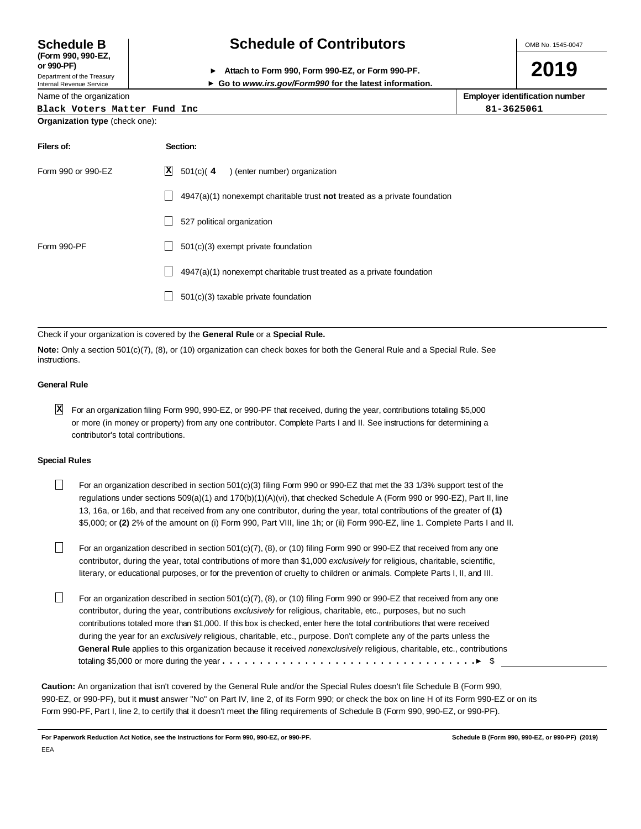**(Form 990, 990-EZ,**

Department of the Treasury Internal Revenue Service

Name of the organization

## **Schedule B Schedule of Contributors**

**or 990-PF) Attach to Form 990, Form 990-EZ, or Form 990-PF.**

**Go to www.irs.gov/Form990 for the latest information.**

**Employer identification number**

| <b>TWITTO OF THE OF YOU ILLOWER</b>   | Employer ruentinoution number |  |  |  |
|---------------------------------------|-------------------------------|--|--|--|
| Black Voters Matter Fund Inc          | 81-3625061                    |  |  |  |
| <b>Organization type (check one):</b> |                               |  |  |  |

| Filers of:         |   | Section:                                                                    |
|--------------------|---|-----------------------------------------------------------------------------|
| Form 990 or 990-EZ | × | 501(c)(4<br>) (enter number) organization                                   |
|                    |   | $4947(a)(1)$ nonexempt charitable trust not treated as a private foundation |
|                    |   | 527 political organization                                                  |
| Form 990-PF        |   | 501(c)(3) exempt private foundation                                         |
|                    |   | 4947(a)(1) nonexempt charitable trust treated as a private foundation       |
|                    |   | 501(c)(3) taxable private foundation                                        |
|                    |   |                                                                             |

#### Check if your organization is covered by the **General Rule** or a **Special Rule.**

**Note:** Only a section 501(c)(7), (8), or (10) organization can check boxes for both the General Rule and a Special Rule. See instructions.

#### **General Rule**

For an organization filing Form 990, 990-EZ, or 990-PF that received, during the year, contributions totaling \$5,000 **X**or more (in money or property) from any one contributor. Complete Parts I and II. See instructions for determining a contributor's total contributions.

#### **Special Rules**

- $\Box$ For an organization described in section 501(c)(3) filing Form 990 or 990-EZ that met the 33 1/3% support test of the regulations under sections 509(a)(1) and 170(b)(1)(A)(vi), that checked Schedule A (Form 990 or 990-EZ), Part II, line 13, 16a, or 16b, and that received from any one contributor, during the year, total contributions of the greater of **(1)** \$5,000; or **(2)** 2% of the amount on (i) Form 990, Part VIII, line 1h; or (ii) Form 990-EZ, line 1. Complete Parts I and II.
- П For an organization described in section 501(c)(7), (8), or (10) filing Form 990 or 990-EZ that received from any one contributor, during the year, total contributions of more than \$1,000 exclusively for religious, charitable, scientific, literary, or educational purposes, or for the prevention of cruelty to children or animals. Complete Parts I, II, and III.
- П For an organization described in section 501(c)(7), (8), or (10) filing Form 990 or 990-EZ that received from any one contributor, during the year, contributions exclusively for religious, charitable, etc., purposes, but no such contributions totaled more than \$1,000. If this box is checked, enter here the total contributions that were received during the year for an exclusively religious, charitable, etc., purpose. Don't complete any of the parts unless the **General Rule** applies to this organization because it received nonexclusively religious, charitable, etc., contributions totaling \$5,000 or more during the year  $\dots\dots\dots\dots\dots\dots\dots\dots\dots\dots\dots\dots\dots\dots\dots\dots$

**Caution:** An organization that isn't covered by the General Rule and/or the Special Rules doesn't file Schedule B (Form 990, 990-EZ, or 990-PF), but it **must** answer "No" on Part IV, line 2, of its Form 990; or check the box on line H of its Form 990-EZ or on its Form 990-PF, Part I, line 2, to certify that it doesn't meet the filing requirements of Schedule B (Form 990, 990-EZ, or 990-PF).

**For Paperwork Reduction Act Notice, see the Instructions for Form 990, 990-EZ, or 990-PF. Schedule B (Form 990, 990-EZ, or 990-PF) (2019)** EEA

OMB No. 1545-0047

**2019**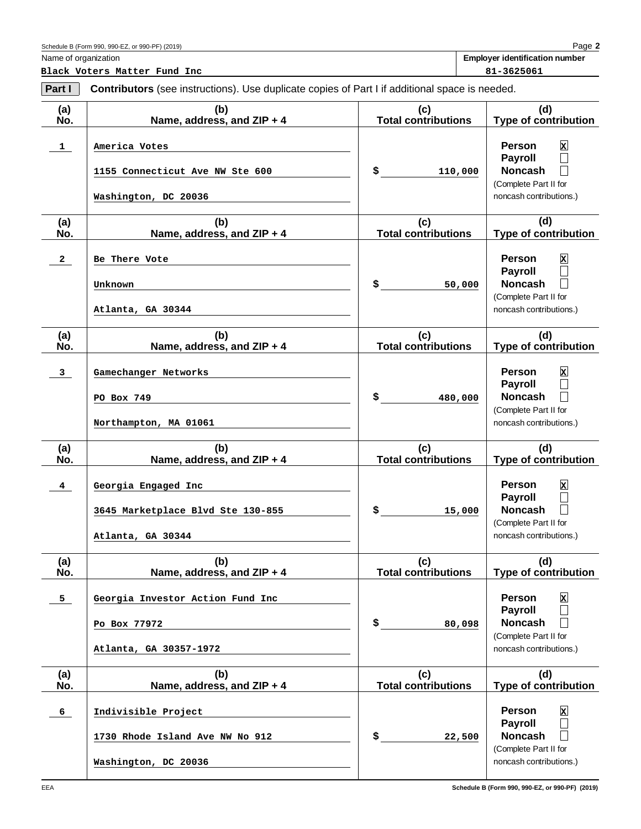EEA

Schedule B (Form 990, 990-EZ, or 990-PF) (2019)

Name of organization

**Black Voters Matter Fund Inc 81-3625061** 

**Part I Contributors** (see instructions). Use duplicate copies of Part I if additional space is needed.

| (a)            | (b)                                                                            | (c)<br><b>Total contributions</b> | (d)                                                                                                                                           |
|----------------|--------------------------------------------------------------------------------|-----------------------------------|-----------------------------------------------------------------------------------------------------------------------------------------------|
| No.            | Name, address, and ZIP + 4                                                     |                                   | Type of contribution                                                                                                                          |
| $\mathbf{1}$   | America Votes<br>1155 Connecticut Ave NW Ste 600<br>Washington, DC 20036       | \$<br>110,000                     | Person<br>$\mathbf{x}$<br><b>Payroll</b><br>$\mathbb{R}^n$<br><b>Noncash</b><br>(Complete Part II for<br>noncash contributions.)              |
|                |                                                                                |                                   | (d)                                                                                                                                           |
| (a)<br>No.     | (b)<br>Name, address, and ZIP + 4                                              | (c)<br><b>Total contributions</b> | <b>Type of contribution</b>                                                                                                                   |
| $\mathbf{2}$   | Be There Vote<br>Unknown<br>Atlanta, GA 30344                                  | \$<br>50,000                      | Person<br>$\mathbf{x}$<br><b>Payroll</b><br>$\mathsf{L}$<br><b>Noncash</b><br>(Complete Part II for<br>noncash contributions.)                |
| (a)            | (b)                                                                            | (c)                               | (d)                                                                                                                                           |
| No.            | Name, address, and ZIP + 4                                                     | <b>Total contributions</b>        | <b>Type of contribution</b>                                                                                                                   |
| 3              | Gamechanger Networks<br>PO Box 749<br>Northampton, MA 01061                    | \$<br>480,000                     | Person<br>$\mathbf x$<br><b>Payroll</b><br>$\mathbf{L}$<br><b>Noncash</b><br>(Complete Part II for<br>noncash contributions.)                 |
| (a)            | (b)                                                                            | (c)                               | (d)                                                                                                                                           |
| No.            | Name, address, and ZIP + 4                                                     | <b>Total contributions</b>        | <b>Type of contribution</b>                                                                                                                   |
| 4              | Georgia Engaged Inc<br>3645 Marketplace Blvd Ste 130-855<br>Atlanta, GA 30344  | \$<br>15,000                      | Person<br>$\mathbf{x}$<br><b>Payroll</b><br>$\Box$<br><b>Noncash</b><br>(Complete Part II for<br>noncash contributions.)                      |
| (a)<br>No.     | (b)<br>Name, address, and ZIP + 4                                              | (c)<br><b>Total contributions</b> | (d)<br><b>Type of contribution</b>                                                                                                            |
| 5 <sub>1</sub> | Georgia Investor Action Fund Inc<br>Po Box 77972<br>Atlanta, GA 30357-1972     | \$<br>80,098                      | Person<br>$\mathbf{x}$<br><b>Payroll</b><br>$\mathcal{L}_{\mathcal{A}}$<br><b>Noncash</b><br>(Complete Part II for<br>noncash contributions.) |
| (a)<br>No.     | (b)<br>Name, address, and ZIP + 4                                              | (c)<br><b>Total contributions</b> | (d)<br><b>Type of contribution</b>                                                                                                            |
| $6^{\circ}$    | Indivisible Project<br>1730 Rhode Island Ave NW No 912<br>Washington, DC 20036 | \$<br>22,500                      | Person<br>$\mathbf{x}$<br><b>Payroll</b><br>$\overline{\phantom{a}}$<br><b>Noncash</b><br>(Complete Part II for<br>noncash contributions.)    |

**Employer identification number**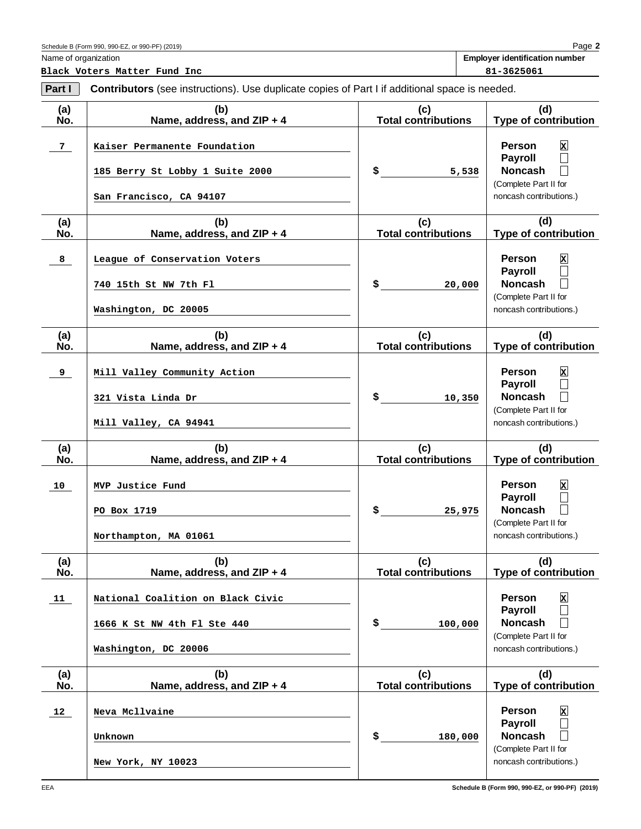**Black Voters Matter Fund Inc 81-3625061**

Schedule B (Form 990, 990-EZ, or 990-PF) (2019)

**Employer identification number**

| Part I         | <b>Contributors</b> (see instructions). Use duplicate copies of Part I if additional space is needed. |                                   |                                                                                                                                                       |  |  |  |
|----------------|-------------------------------------------------------------------------------------------------------|-----------------------------------|-------------------------------------------------------------------------------------------------------------------------------------------------------|--|--|--|
| (a)<br>No.     | (b)<br>Name, address, and ZIP + 4                                                                     | (c)<br><b>Total contributions</b> | (d)<br>Type of contribution                                                                                                                           |  |  |  |
| 7 <sub>1</sub> | Kaiser Permanente Foundation<br>185 Berry St Lobby 1 Suite 2000<br>San Francisco, CA 94107            | \$<br>5,538                       | $\mathbf{x}$<br><b>Person</b><br><b>Payroll</b><br>$\mathsf{L}$<br><b>Noncash</b><br>$\mathsf{L}$<br>(Complete Part II for<br>noncash contributions.) |  |  |  |
| (a)<br>No.     | (b)<br>Name, address, and ZIP + 4                                                                     | (c)<br><b>Total contributions</b> | (d)<br>Type of contribution                                                                                                                           |  |  |  |
| 8              | League of Conservation Voters<br>740 15th St NW 7th Fl<br>Washington, DC 20005                        | \$<br>20,000                      | $\mathbf{x}$<br><b>Person</b><br><b>Payroll</b><br><b>Noncash</b><br>$\perp$<br>(Complete Part II for<br>noncash contributions.)                      |  |  |  |
| (a)<br>No.     | (b)<br>Name, address, and ZIP + 4                                                                     | (c)<br><b>Total contributions</b> | (d)<br>Type of contribution                                                                                                                           |  |  |  |
| 9              | Mill Valley Community Action<br>321 Vista Linda Dr<br>Mill Valley, CA 94941                           | \$<br>10,350                      | Person<br>$\mathbf{x}$<br><b>Payroll</b><br><b>Noncash</b><br>$\perp$<br>(Complete Part II for<br>noncash contributions.)                             |  |  |  |
| (a)<br>No.     | (b)<br>Name, address, and ZIP + 4                                                                     | (c)<br><b>Total contributions</b> | (d)<br>Type of contribution                                                                                                                           |  |  |  |
| 10             | MVP Justice Fund<br>PO Box 1719<br>Northampton, MA 01061                                              | \$<br>25,975                      | $\mathbf{x}$<br>Person<br>Payroll<br>$\mathsf{L}$<br><b>Noncash</b><br>$\perp$<br>(Complete Part II for<br>noncash contributions.)                    |  |  |  |
| (a)<br>No.     | (b)<br>Name, address, and ZIP + 4                                                                     | (c)<br><b>Total contributions</b> | (d)<br><b>Type of contribution</b>                                                                                                                    |  |  |  |
| 11             | National Coalition on Black Civic<br>1666 K St NW 4th Fl Ste 440<br>Washington, DC 20006              | \$<br>100,000                     | Person<br>$\mathbf{x}$<br><b>Payroll</b><br><b>Noncash</b><br>(Complete Part II for<br>noncash contributions.)                                        |  |  |  |
| (a)<br>No.     | (b)<br>Name, address, and ZIP + 4                                                                     | (c)<br><b>Total contributions</b> | (d)<br><b>Type of contribution</b>                                                                                                                    |  |  |  |
| 12             | Neva Mcllvaine<br>Unknown                                                                             | \$<br>180,000                     | <b>Person</b><br>$\mathbf{x}$<br><b>Payroll</b><br><b>Noncash</b><br>(Complete Part II for                                                            |  |  |  |

noncash contributions.)

**New York, NY 10023**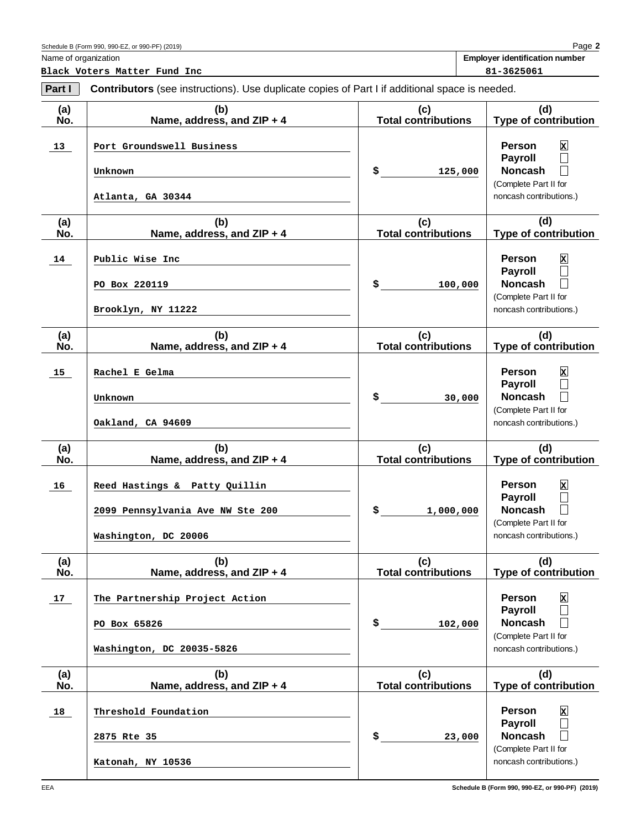EEA

Schedule B (Form 990, 990-EZ, or 990-PF) (2019)

Name of organization

**Black Voters Matter Fund Inc 81-3625061** 

**Part I Contributors** (see instructions). Use duplicate copies of Part I if additional space is needed.

| (a)<br>No.      | (b)<br>Name, address, and ZIP + 4                                                         | (c)<br><b>Total contributions</b> | (d)<br><b>Type of contribution</b>                                                                                                        |
|-----------------|-------------------------------------------------------------------------------------------|-----------------------------------|-------------------------------------------------------------------------------------------------------------------------------------------|
| 13 <sub>1</sub> | Port Groundswell Business<br>Unknown<br>Atlanta, GA 30344                                 | \$<br>125,000                     | $\mathbf{x}$<br><b>Person</b><br><b>Payroll</b><br>$\Box$<br><b>Noncash</b><br>$\Box$<br>(Complete Part II for<br>noncash contributions.) |
| (a)<br>No.      | (b)<br>Name, address, and ZIP + 4                                                         | (c)<br><b>Total contributions</b> | (d)<br><b>Type of contribution</b>                                                                                                        |
| 14              | Public Wise Inc<br>PO Box 220119<br>Brooklyn, NY 11222                                    | \$<br>100,000                     | $\mathbf{x}$<br><b>Person</b><br><b>Payroll</b><br>$\Box$<br><b>Noncash</b><br>$\Box$<br>(Complete Part II for<br>noncash contributions.) |
| (a)<br>No.      | (b)<br>Name, address, and ZIP + 4                                                         | (c)<br><b>Total contributions</b> | (d)<br><b>Type of contribution</b>                                                                                                        |
| 15              | Rachel E Gelma<br>Unknown<br>Oakland, CA 94609                                            | \$<br>30,000                      | $\mathbf{x}$<br><b>Person</b><br><b>Payroll</b><br>$\Box$<br><b>Noncash</b><br>$\Box$<br>(Complete Part II for<br>noncash contributions.) |
| (a)<br>No.      | (b)<br>Name, address, and ZIP + 4                                                         | (c)<br><b>Total contributions</b> | (d)<br><b>Type of contribution</b>                                                                                                        |
| 16              | Reed Hastings & Patty Quillin<br>2099 Pennsylvania Ave NW Ste 200<br>Washington, DC 20006 | \$<br>1,000,000                   | $\mathbf{x}$<br><b>Person</b><br><b>Payroll</b><br>$\Box$<br><b>Noncash</b><br>$\Box$<br>(Complete Part II for<br>noncash contributions.) |
| (a)<br>No.      | (b)<br>Name, address, and ZIP + 4                                                         | (c)<br><b>Total contributions</b> | (d)<br><b>Type of contribution</b>                                                                                                        |
| 17              | The Partnership Project Action<br>PO Box 65826<br>Washington, DC 20035-5826               | \$<br>102,000                     | $\mathbf x$<br><b>Person</b><br><b>Payroll</b><br>$\Box$<br><b>Noncash</b><br>$\Box$<br>(Complete Part II for<br>noncash contributions.)  |
| (a)<br>No.      | (b)<br>Name, address, and ZIP + 4                                                         | (c)<br><b>Total contributions</b> | (d)<br><b>Type of contribution</b>                                                                                                        |
| 18              | Threshold Foundation<br>2875 Rte 35<br>Katonah, NY 10536                                  | \$<br>23,000                      | $\mathbf{x}$<br><b>Person</b><br><b>Payroll</b><br>$\Box$<br><b>Noncash</b><br>$\Box$<br>(Complete Part II for<br>noncash contributions.) |

**Employer identification number**

**Schedule B (Form 990, 990-EZ, or 990-PF) (2019)**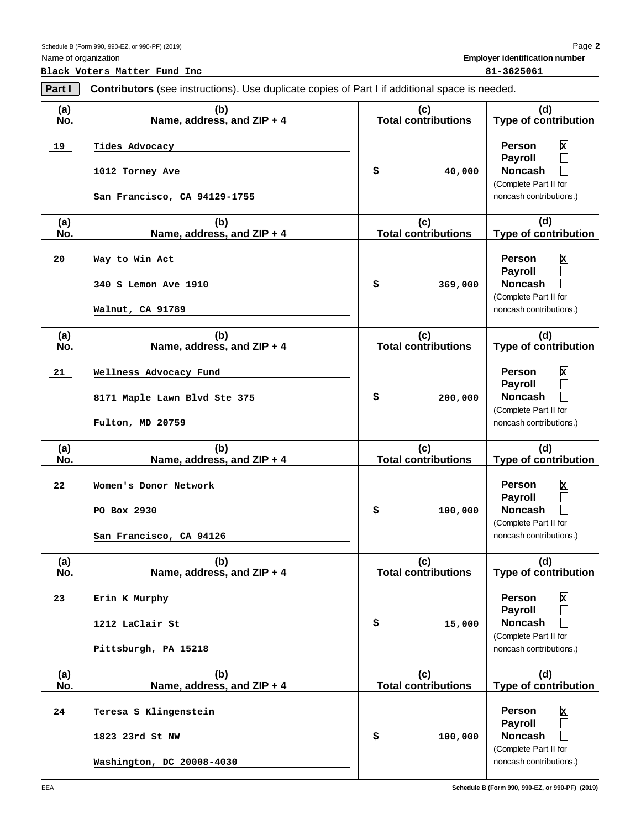EEA

Schedule B (Form 990, 990-EZ, or 990-PF) (2019)

Name of organization

**Black Voters Matter Fund Inc 81-3625061** 

**Part I** Contributors (see instructions). Use duplicate copies of Part I if additional space is needed.

| (a)<br>No. | (b)<br>Name, address, and ZIP + 4                                          | (c)<br><b>Total contributions</b> | (d)<br><b>Type of contribution</b>                                                                                                        |
|------------|----------------------------------------------------------------------------|-----------------------------------|-------------------------------------------------------------------------------------------------------------------------------------------|
| 19         | Tides Advocacy<br>1012 Torney Ave<br>San Francisco, CA 94129-1755          | \$<br>40,000                      | $\mathbf{x}$<br><b>Person</b><br>Payroll<br>$\Box$<br><b>Noncash</b><br>$\mathbb{L}$<br>(Complete Part II for<br>noncash contributions.)  |
|            |                                                                            |                                   |                                                                                                                                           |
| (a)<br>No. | (b)<br>Name, address, and ZIP + 4                                          | (c)<br><b>Total contributions</b> | (d)<br><b>Type of contribution</b>                                                                                                        |
| 20         | Way to Win Act<br>340 S Lemon Ave 1910                                     | \$<br>369,000                     | $\mathbf{x}$<br><b>Person</b><br><b>Payroll</b><br>$\Box$<br><b>Noncash</b><br>$\Box$                                                     |
|            | Walnut, CA 91789                                                           |                                   | (Complete Part II for<br>noncash contributions.)                                                                                          |
| (a)<br>No. | (b)<br>Name, address, and ZIP + 4                                          | (c)<br><b>Total contributions</b> | (d)<br><b>Type of contribution</b>                                                                                                        |
| 21         | Wellness Advocacy Fund<br>8171 Maple Lawn Blvd Ste 375<br>Fulton, MD 20759 | \$<br>200,000                     | $\mathbf{x}$<br><b>Person</b><br><b>Payroll</b><br>$\Box$<br><b>Noncash</b><br>$\Box$<br>(Complete Part II for<br>noncash contributions.) |
| (a)        | (b)                                                                        | (c)                               | (d)                                                                                                                                       |
| No.        | Name, address, and ZIP + 4                                                 | <b>Total contributions</b>        | <b>Type of contribution</b>                                                                                                               |
| 22         | Women's Donor Network<br>PO Box 2930<br>San Francisco, CA 94126            | \$<br>100,000                     | $\mathbf{x}$<br><b>Person</b><br>Payroll<br>$\Box$<br><b>Noncash</b><br>$\Box$<br>(Complete Part II for<br>noncash contributions.)        |
| (a)<br>No. | (b)<br>Name, address, and ZIP + 4                                          | (c)<br><b>Total contributions</b> | (d)<br><b>Type of contribution</b>                                                                                                        |
| 23         | Erin K Murphy<br>1212 LaClair St<br>Pittsburgh, PA 15218                   | \$<br>15,000                      | $\mathbf{x}$<br>Person<br><b>Payroll</b><br>$\Box$<br><b>Noncash</b><br>$\Box$<br>(Complete Part II for<br>noncash contributions.)        |
| (a)<br>No. | (b)<br>Name, address, and ZIP + 4                                          | (c)<br><b>Total contributions</b> | (d)<br><b>Type of contribution</b>                                                                                                        |
| 24         | Teresa S Klingenstein<br>1823 23rd St NW<br>Washington, DC 20008-4030      | \$<br>100,000                     | $\mathbf{x}$<br>Person<br><b>Payroll</b><br>$\Box$<br><b>Noncash</b><br>$\Box$<br>(Complete Part II for<br>noncash contributions.)        |

**Employer identification number**

**Schedule B (Form 990, 990-EZ, or 990-PF) (2019)**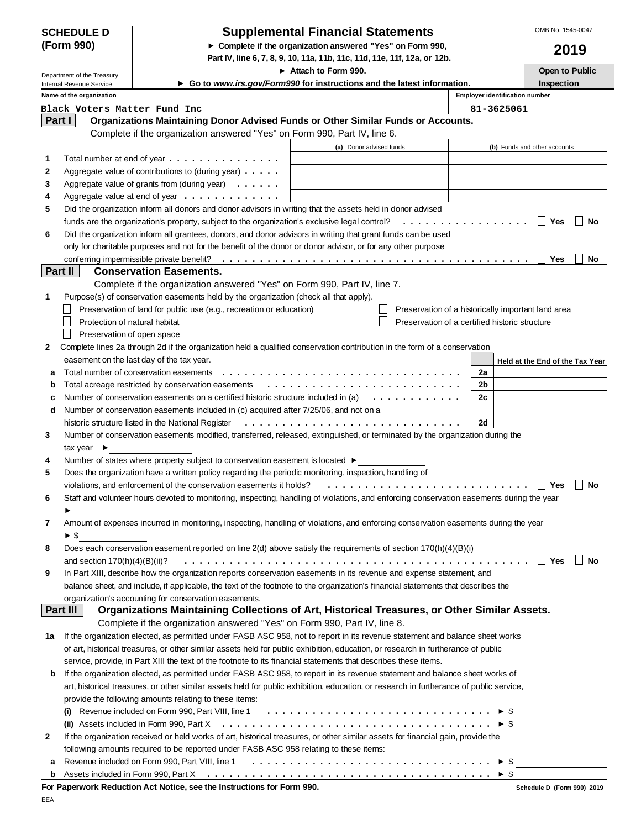| <b>SCHEDULE D</b> |  |
|-------------------|--|
| (Form 990)        |  |

## **Supplemental Financial Statements**

**Complete if the organization answered "Yes" on Form 990,**

**Part IV, line 6, 7, 8, 9, 10, 11a, 11b, 11c, 11d, 11e, 11f, 12a, or 12b.**

OMB No. 1545-0047

| 010 |  |
|-----|--|
|-----|--|

|                                                               |                                 |                                                                                                                                                                                                                                                      | Attach to Form 990.     |                                                    |    |                                       | <b>Open to Public</b>           |      |
|---------------------------------------------------------------|---------------------------------|------------------------------------------------------------------------------------------------------------------------------------------------------------------------------------------------------------------------------------------------------|-------------------------|----------------------------------------------------|----|---------------------------------------|---------------------------------|------|
| Department of the Treasury<br><b>Internal Revenue Service</b> |                                 | ► Go to www.irs.gov/Form990 for instructions and the latest information.                                                                                                                                                                             |                         |                                                    |    | Inspection                            |                                 |      |
|                                                               | Name of the organization        |                                                                                                                                                                                                                                                      |                         |                                                    |    | <b>Employer identification number</b> |                                 |      |
|                                                               |                                 | Black Voters Matter Fund Inc                                                                                                                                                                                                                         |                         |                                                    |    | 81-3625061                            |                                 |      |
| <b>Part I</b>                                                 |                                 | Organizations Maintaining Donor Advised Funds or Other Similar Funds or Accounts.                                                                                                                                                                    |                         |                                                    |    |                                       |                                 |      |
|                                                               |                                 | Complete if the organization answered "Yes" on Form 990, Part IV, line 6.                                                                                                                                                                            |                         |                                                    |    |                                       |                                 |      |
|                                                               |                                 |                                                                                                                                                                                                                                                      | (a) Donor advised funds |                                                    |    |                                       | (b) Funds and other accounts    |      |
| 1                                                             |                                 | Total number at end of year                                                                                                                                                                                                                          |                         |                                                    |    |                                       |                                 |      |
| 2                                                             |                                 | Aggregate value of contributions to (during year) $\ldots$ .                                                                                                                                                                                         |                         |                                                    |    |                                       |                                 |      |
| 3                                                             |                                 | Aggregate value of grants from (during year) $\ldots \ldots$                                                                                                                                                                                         |                         |                                                    |    |                                       |                                 |      |
| 4                                                             |                                 | Aggregate value at end of year                                                                                                                                                                                                                       |                         |                                                    |    |                                       |                                 |      |
| 5                                                             |                                 | Did the organization inform all donors and donor advisors in writing that the assets held in donor advised                                                                                                                                           |                         |                                                    |    |                                       |                                 |      |
|                                                               |                                 | funds are the organization's property, subject to the organization's exclusive legal control? $\ldots \ldots \ldots \ldots$                                                                                                                          |                         |                                                    |    |                                       | Yes                             | No   |
| 6                                                             |                                 | Did the organization inform all grantees, donors, and donor advisors in writing that grant funds can be used                                                                                                                                         |                         |                                                    |    |                                       |                                 |      |
|                                                               |                                 | only for charitable purposes and not for the benefit of the donor or donor advisor, or for any other purpose                                                                                                                                         |                         |                                                    |    |                                       |                                 |      |
|                                                               |                                 |                                                                                                                                                                                                                                                      |                         |                                                    |    |                                       | Yes                             | No   |
| <b>Part II</b>                                                |                                 | <b>Conservation Easements.</b>                                                                                                                                                                                                                       |                         |                                                    |    |                                       |                                 |      |
|                                                               |                                 | Complete if the organization answered "Yes" on Form 990, Part IV, line 7.                                                                                                                                                                            |                         |                                                    |    |                                       |                                 |      |
| 1                                                             |                                 | Purpose(s) of conservation easements held by the organization (check all that apply).                                                                                                                                                                |                         |                                                    |    |                                       |                                 |      |
|                                                               |                                 | Preservation of land for public use (e.g., recreation or education)                                                                                                                                                                                  |                         | Preservation of a historically important land area |    |                                       |                                 |      |
|                                                               | Protection of natural habitat   |                                                                                                                                                                                                                                                      |                         | Preservation of a certified historic structure     |    |                                       |                                 |      |
|                                                               | Preservation of open space      |                                                                                                                                                                                                                                                      |                         |                                                    |    |                                       |                                 |      |
| 2                                                             |                                 | Complete lines 2a through 2d if the organization held a qualified conservation contribution in the form of a conservation                                                                                                                            |                         |                                                    |    |                                       |                                 |      |
|                                                               |                                 | easement on the last day of the tax year.                                                                                                                                                                                                            |                         |                                                    |    |                                       | Held at the End of the Tax Year |      |
| а                                                             |                                 | Total number of conservation easements                                                                                                                                                                                                               |                         |                                                    | 2a |                                       |                                 |      |
| b                                                             |                                 | Total acreage restricted by conservation easements                                                                                                                                                                                                   |                         |                                                    | 2b |                                       |                                 |      |
| c                                                             |                                 | Number of conservation easements on a certified historic structure included in (a) $\ldots \ldots \ldots$                                                                                                                                            |                         |                                                    | 2c |                                       |                                 |      |
| d                                                             |                                 | Number of conservation easements included in (c) acquired after 7/25/06, and not on a                                                                                                                                                                |                         |                                                    |    |                                       |                                 |      |
|                                                               |                                 | historic structure listed in the National Register                                                                                                                                                                                                   |                         |                                                    | 2d |                                       |                                 |      |
| 3                                                             |                                 | Number of conservation easements modified, transferred, released, extinguished, or terminated by the organization during the                                                                                                                         |                         |                                                    |    |                                       |                                 |      |
|                                                               | tax year $\blacktriangleright$  |                                                                                                                                                                                                                                                      |                         |                                                    |    |                                       |                                 |      |
| 4                                                             |                                 | Number of states where property subject to conservation easement is located ►                                                                                                                                                                        |                         |                                                    |    |                                       |                                 |      |
| 5                                                             |                                 | Does the organization have a written policy regarding the periodic monitoring, inspection, handling of                                                                                                                                               |                         |                                                    |    |                                       |                                 |      |
|                                                               |                                 | violations, and enforcement of the conservation easements it holds?                                                                                                                                                                                  |                         |                                                    |    |                                       | Yes                             | No   |
| 6                                                             |                                 | Staff and volunteer hours devoted to monitoring, inspecting, handling of violations, and enforcing conservation easements during the year                                                                                                            |                         |                                                    |    |                                       |                                 |      |
|                                                               |                                 |                                                                                                                                                                                                                                                      |                         |                                                    |    |                                       |                                 |      |
| 7                                                             |                                 | Amount of expenses incurred in monitoring, inspecting, handling of violations, and enforcing conservation easements during the year                                                                                                                  |                         |                                                    |    |                                       |                                 |      |
|                                                               | ► \$                            |                                                                                                                                                                                                                                                      |                         |                                                    |    |                                       |                                 |      |
| 8                                                             |                                 | Does each conservation easement reported on line 2(d) above satisfy the requirements of section 170(h)(4)(B)(i)                                                                                                                                      |                         |                                                    |    |                                       |                                 |      |
|                                                               | and section $170(h)(4)(B)(ii)?$ |                                                                                                                                                                                                                                                      |                         |                                                    |    |                                       | ∣ Yes                           | ∣ No |
| 9                                                             |                                 | In Part XIII, describe how the organization reports conservation easements in its revenue and expense statement, and                                                                                                                                 |                         |                                                    |    |                                       |                                 |      |
|                                                               |                                 | balance sheet, and include, if applicable, the text of the footnote to the organization's financial statements that describes the                                                                                                                    |                         |                                                    |    |                                       |                                 |      |
|                                                               | <b>Part III</b>                 | organization's accounting for conservation easements.<br>Organizations Maintaining Collections of Art, Historical Treasures, or Other Similar Assets.                                                                                                |                         |                                                    |    |                                       |                                 |      |
|                                                               |                                 | Complete if the organization answered "Yes" on Form 990, Part IV, line 8.                                                                                                                                                                            |                         |                                                    |    |                                       |                                 |      |
| 1а                                                            |                                 | If the organization elected, as permitted under FASB ASC 958, not to report in its revenue statement and balance sheet works                                                                                                                         |                         |                                                    |    |                                       |                                 |      |
|                                                               |                                 |                                                                                                                                                                                                                                                      |                         |                                                    |    |                                       |                                 |      |
|                                                               |                                 | of art, historical treasures, or other similar assets held for public exhibition, education, or research in furtherance of public<br>service, provide, in Part XIII the text of the footnote to its financial statements that describes these items. |                         |                                                    |    |                                       |                                 |      |
|                                                               |                                 | If the organization elected, as permitted under FASB ASC 958, to report in its revenue statement and balance sheet works of                                                                                                                          |                         |                                                    |    |                                       |                                 |      |
| b                                                             |                                 | art, historical treasures, or other similar assets held for public exhibition, education, or research in furtherance of public service,                                                                                                              |                         |                                                    |    |                                       |                                 |      |
|                                                               |                                 | provide the following amounts relating to these items:                                                                                                                                                                                               |                         |                                                    |    |                                       |                                 |      |
|                                                               |                                 | Revenue included on Form 990, Part VIII, line 1 $\ldots \ldots \ldots \ldots \ldots \ldots \ldots \ldots \ldots \ldots \ldots$                                                                                                                       |                         |                                                    |    |                                       |                                 |      |
|                                                               |                                 |                                                                                                                                                                                                                                                      |                         |                                                    |    | $\triangleright$ \$                   |                                 |      |
| 2                                                             |                                 | If the organization received or held works of art, historical treasures, or other similar assets for financial gain, provide the                                                                                                                     |                         |                                                    |    |                                       |                                 |      |
|                                                               |                                 | following amounts required to be reported under FASB ASC 958 relating to these items:                                                                                                                                                                |                         |                                                    |    |                                       |                                 |      |
|                                                               |                                 | <b>a</b> Revenue included on Form 990, Part VIII, line 1 $\ldots \ldots \ldots \ldots \ldots \ldots \ldots \ldots \ldots \ldots \ldots \vdots$ \$                                                                                                    |                         |                                                    |    |                                       |                                 |      |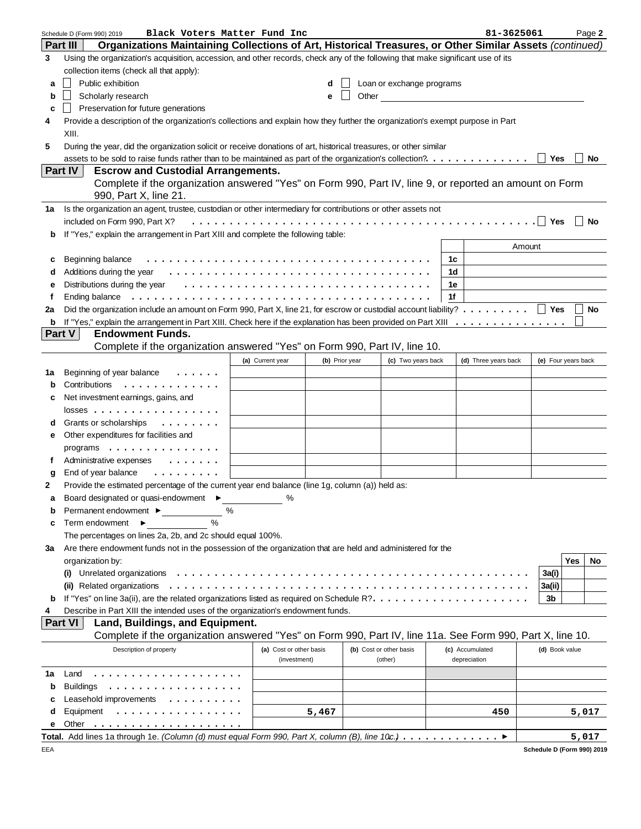|              | Black Voters Matter Fund Inc<br>Schedule D (Form 990) 2019                                                                                                       |                         |                |       |                           |    | 81-3625061           |                     |            | Page 2 |
|--------------|------------------------------------------------------------------------------------------------------------------------------------------------------------------|-------------------------|----------------|-------|---------------------------|----|----------------------|---------------------|------------|--------|
|              | Organizations Maintaining Collections of Art, Historical Treasures, or Other Similar Assets (continued)<br><b>Part III</b>                                       |                         |                |       |                           |    |                      |                     |            |        |
| 3            | Using the organization's acquisition, accession, and other records, check any of the following that make significant use of its                                  |                         |                |       |                           |    |                      |                     |            |        |
|              | collection items (check all that apply):                                                                                                                         |                         |                |       |                           |    |                      |                     |            |        |
| a            | Public exhibition                                                                                                                                                |                         | d              |       | Loan or exchange programs |    |                      |                     |            |        |
| b            | Scholarly research                                                                                                                                               |                         | е              | Other |                           |    |                      |                     |            |        |
| c            | Preservation for future generations                                                                                                                              |                         |                |       |                           |    |                      |                     |            |        |
| 4            | Provide a description of the organization's collections and explain how they further the organization's exempt purpose in Part                                   |                         |                |       |                           |    |                      |                     |            |        |
|              | XIII.                                                                                                                                                            |                         |                |       |                           |    |                      |                     |            |        |
| 5            |                                                                                                                                                                  |                         |                |       |                           |    |                      |                     |            |        |
|              | During the year, did the organization solicit or receive donations of art, historical treasures, or other similar                                                |                         |                |       |                           |    |                      |                     |            | No     |
|              | assets to be sold to raise funds rather than to be maintained as part of the organization's collection?.<br>Part IV<br><b>Escrow and Custodial Arrangements.</b> |                         |                |       |                           |    |                      | Yes                 |            |        |
|              | Complete if the organization answered "Yes" on Form 990, Part IV, line 9, or reported an amount on Form                                                          |                         |                |       |                           |    |                      |                     |            |        |
|              | 990, Part X, line 21.                                                                                                                                            |                         |                |       |                           |    |                      |                     |            |        |
|              |                                                                                                                                                                  |                         |                |       |                           |    |                      |                     |            |        |
| 1а           | Is the organization an agent, trustee, custodian or other intermediary for contributions or other assets not                                                     |                         |                |       |                           |    |                      |                     |            |        |
|              | included on Form 990, Part X?                                                                                                                                    |                         |                |       |                           |    |                      | Yes                 |            | No     |
| b            | If "Yes," explain the arrangement in Part XIII and complete the following table:                                                                                 |                         |                |       |                           |    |                      |                     |            |        |
|              |                                                                                                                                                                  |                         |                |       |                           |    |                      | Amount              |            |        |
| c            | Beginning balance                                                                                                                                                |                         |                |       |                           | 1c |                      |                     |            |        |
| d            |                                                                                                                                                                  |                         |                |       |                           | 1d |                      |                     |            |        |
| е            | Distributions during the year $\dots \dots \dots \dots \dots \dots \dots \dots \dots \dots \dots \dots \dots$                                                    |                         |                |       |                           | 1e |                      |                     |            |        |
| f            | Ending balance                                                                                                                                                   |                         |                |       |                           | 1f |                      |                     |            |        |
| 2a           | Did the organization include an amount on Form 990, Part X, line 21, for escrow or custodial account liability?   Yes                                            |                         |                |       |                           |    |                      |                     |            | No     |
| b            |                                                                                                                                                                  |                         |                |       |                           |    |                      |                     |            |        |
|              | <b>Endowment Funds.</b><br>Part V                                                                                                                                |                         |                |       |                           |    |                      |                     |            |        |
|              | Complete if the organization answered "Yes" on Form 990, Part IV, line 10.                                                                                       |                         |                |       |                           |    |                      |                     |            |        |
|              |                                                                                                                                                                  | (a) Current year        | (b) Prior year |       | (c) Two years back        |    | (d) Three years back | (e) Four years back |            |        |
| 1а           | Beginning of year balance<br>1.1.1.1.1                                                                                                                           |                         |                |       |                           |    |                      |                     |            |        |
| b            | Contributions<br>.                                                                                                                                               |                         |                |       |                           |    |                      |                     |            |        |
| c            | Net investment earnings, gains, and                                                                                                                              |                         |                |       |                           |    |                      |                     |            |        |
|              | $losses$                                                                                                                                                         |                         |                |       |                           |    |                      |                     |            |        |
| d            | Grants or scholarships<br>.                                                                                                                                      |                         |                |       |                           |    |                      |                     |            |        |
| е            | Other expenditures for facilities and                                                                                                                            |                         |                |       |                           |    |                      |                     |            |        |
|              | programs                                                                                                                                                         |                         |                |       |                           |    |                      |                     |            |        |
| f            | Administrative expenses<br>$\cdots$                                                                                                                              |                         |                |       |                           |    |                      |                     |            |        |
| g            | End of year balance<br>.                                                                                                                                         |                         |                |       |                           |    |                      |                     |            |        |
| $\mathbf{2}$ | Provide the estimated percentage of the current year end balance (line 1g, column (a)) held as:                                                                  |                         |                |       |                           |    |                      |                     |            |        |
|              | Board designated or quasi-endowment ▶                                                                                                                            |                         |                |       |                           |    |                      |                     |            |        |
|              | %                                                                                                                                                                |                         |                |       |                           |    |                      |                     |            |        |
| b            | Permanent endowment ▶<br>$\frac{0}{0}$                                                                                                                           |                         |                |       |                           |    |                      |                     |            |        |
| c            | Term endowment ▶                                                                                                                                                 |                         |                |       |                           |    |                      |                     |            |        |
|              | The percentages on lines 2a, 2b, and 2c should equal 100%.                                                                                                       |                         |                |       |                           |    |                      |                     |            |        |
| За           | Are there endowment funds not in the possession of the organization that are held and administered for the                                                       |                         |                |       |                           |    |                      |                     |            |        |
|              | organization by:                                                                                                                                                 |                         |                |       |                           |    |                      |                     | <b>Yes</b> | No     |
|              | Unrelated organizations<br>$\left( 1\right)$                                                                                                                     |                         |                |       |                           |    |                      | 3a(i)               |            |        |
|              | (ii) Related organizations                                                                                                                                       |                         |                |       |                           |    |                      | 3a(ii)              |            |        |
| b            |                                                                                                                                                                  |                         |                |       |                           |    |                      | 3b                  |            |        |
| 4            | Describe in Part XIII the intended uses of the organization's endowment funds.                                                                                   |                         |                |       |                           |    |                      |                     |            |        |
|              | <b>Part VI</b><br>Land, Buildings, and Equipment.                                                                                                                |                         |                |       |                           |    |                      |                     |            |        |
|              | Complete if the organization answered "Yes" on Form 990, Part IV, line 11a. See Form 990, Part X, line 10.                                                       |                         |                |       |                           |    |                      |                     |            |        |
|              | Description of property                                                                                                                                          | (a) Cost or other basis |                |       | (b) Cost or other basis   |    | (c) Accumulated      | (d) Book value      |            |        |
|              |                                                                                                                                                                  | (investment)            |                |       | (other)                   |    | depreciation         |                     |            |        |
| 1a           | Land<br>.                                                                                                                                                        |                         |                |       |                           |    |                      |                     |            |        |
| b            | <b>Buildings</b><br>.                                                                                                                                            |                         |                |       |                           |    |                      |                     |            |        |
| с            | Leasehold improvements<br>.                                                                                                                                      |                         |                |       |                           |    |                      |                     |            |        |
| d            | Equipment<br>.                                                                                                                                                   |                         | 5,467          |       |                           |    | 450                  |                     |            | 5,017  |
| е            | Other                                                                                                                                                            |                         |                |       |                           |    |                      |                     |            |        |
|              | Total. Add lines 1a through 1e. (Column (d) must equal Form 990, Part X, column (B), line 10c.) ▶                                                                |                         |                |       |                           |    |                      |                     |            | 5,017  |

**Schedule D (Form 990) 2019**

EEA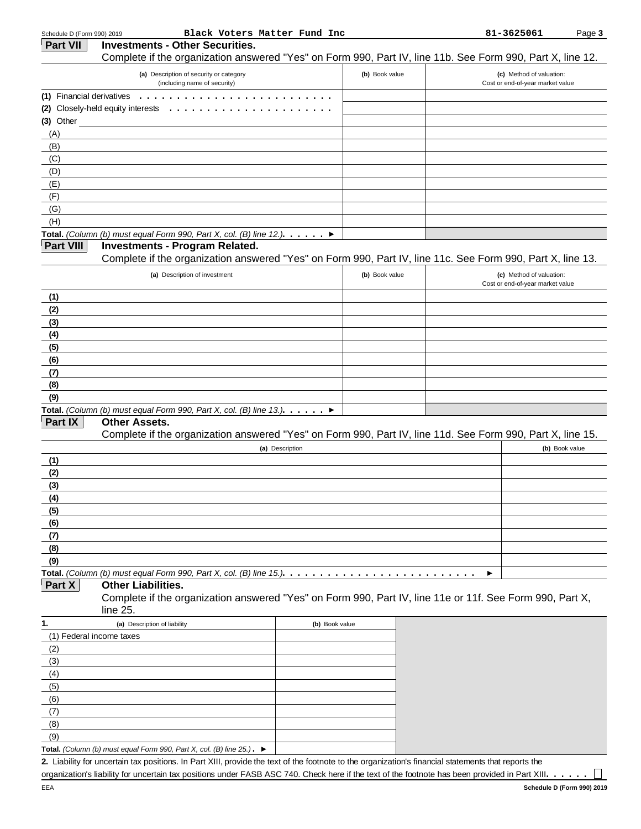| <b>Part VII</b>           | <b>Investments - Other Securities.</b>                                                                                                                                                                                                               |                |                |   |                                  |  |
|---------------------------|------------------------------------------------------------------------------------------------------------------------------------------------------------------------------------------------------------------------------------------------------|----------------|----------------|---|----------------------------------|--|
|                           | Complete if the organization answered "Yes" on Form 990, Part IV, line 11b. See Form 990, Part X, line 12.                                                                                                                                           |                |                |   |                                  |  |
|                           | (a) Description of security or category                                                                                                                                                                                                              |                | (b) Book value |   | (c) Method of valuation:         |  |
|                           | (including name of security)                                                                                                                                                                                                                         |                |                |   | Cost or end-of-year market value |  |
| (1) Financial derivatives |                                                                                                                                                                                                                                                      |                |                |   |                                  |  |
|                           | (2) Closely-held equity interests<br>.                                                                                                                                                                                                               |                |                |   |                                  |  |
| (3) Other                 |                                                                                                                                                                                                                                                      |                |                |   |                                  |  |
| (A)                       |                                                                                                                                                                                                                                                      |                |                |   |                                  |  |
| (B)                       |                                                                                                                                                                                                                                                      |                |                |   |                                  |  |
| (C)                       |                                                                                                                                                                                                                                                      |                |                |   |                                  |  |
| (D)<br>(E)                |                                                                                                                                                                                                                                                      |                |                |   |                                  |  |
| (F)                       |                                                                                                                                                                                                                                                      |                |                |   |                                  |  |
| (G)                       |                                                                                                                                                                                                                                                      |                |                |   |                                  |  |
| (H)                       |                                                                                                                                                                                                                                                      |                |                |   |                                  |  |
|                           | Total. (Column (b) must equal Form 990, Part X, col. (B) line 12.). $\ldots$                                                                                                                                                                         |                |                |   |                                  |  |
| <b>Part VIII</b>          | <b>Investments - Program Related.</b>                                                                                                                                                                                                                |                |                |   |                                  |  |
|                           | Complete if the organization answered "Yes" on Form 990, Part IV, line 11c. See Form 990, Part X, line 13.                                                                                                                                           |                |                |   |                                  |  |
|                           | (a) Description of investment                                                                                                                                                                                                                        |                | (b) Book value |   | (c) Method of valuation:         |  |
|                           |                                                                                                                                                                                                                                                      |                |                |   | Cost or end-of-year market value |  |
| (1)                       |                                                                                                                                                                                                                                                      |                |                |   |                                  |  |
| (2)                       |                                                                                                                                                                                                                                                      |                |                |   |                                  |  |
| (3)                       |                                                                                                                                                                                                                                                      |                |                |   |                                  |  |
| (4)                       |                                                                                                                                                                                                                                                      |                |                |   |                                  |  |
| (5)                       |                                                                                                                                                                                                                                                      |                |                |   |                                  |  |
| (6)                       |                                                                                                                                                                                                                                                      |                |                |   |                                  |  |
| (7)                       |                                                                                                                                                                                                                                                      |                |                |   |                                  |  |
| (8)                       |                                                                                                                                                                                                                                                      |                |                |   |                                  |  |
| (9)                       |                                                                                                                                                                                                                                                      |                |                |   |                                  |  |
| Part IX                   | Total. (Column (b) must equal Form 990, Part X, col. (B) line 13.). $\ldots$ .                                                                                                                                                                       |                |                |   |                                  |  |
|                           | <b>Other Assets.</b><br>Complete if the organization answered "Yes" on Form 990, Part IV, line 11d. See Form 990, Part X, line 15.                                                                                                                   |                |                |   |                                  |  |
|                           |                                                                                                                                                                                                                                                      |                |                |   |                                  |  |
| (1)                       | (a) Description                                                                                                                                                                                                                                      |                |                |   | (b) Book value                   |  |
| (2)                       |                                                                                                                                                                                                                                                      |                |                |   |                                  |  |
| (3)                       |                                                                                                                                                                                                                                                      |                |                |   |                                  |  |
| (4)                       |                                                                                                                                                                                                                                                      |                |                |   |                                  |  |
| (5)                       |                                                                                                                                                                                                                                                      |                |                |   |                                  |  |
| (6)                       |                                                                                                                                                                                                                                                      |                |                |   |                                  |  |
| (7)                       |                                                                                                                                                                                                                                                      |                |                |   |                                  |  |
| (8)                       |                                                                                                                                                                                                                                                      |                |                |   |                                  |  |
| (9)                       |                                                                                                                                                                                                                                                      |                |                |   |                                  |  |
|                           | Total. (Column (b) must equal Form 990, Part X, col. (B) line 15.). $\dots \dots \dots \dots \dots$                                                                                                                                                  |                |                | ▶ |                                  |  |
| Part X                    | <b>Other Liabilities.</b>                                                                                                                                                                                                                            |                |                |   |                                  |  |
|                           | Complete if the organization answered "Yes" on Form 990, Part IV, line 11e or 11f. See Form 990, Part X,<br>line 25.                                                                                                                                 |                |                |   |                                  |  |
| 1.                        | (a) Description of liability                                                                                                                                                                                                                         | (b) Book value |                |   |                                  |  |
| (1) Federal income taxes  |                                                                                                                                                                                                                                                      |                |                |   |                                  |  |
| (2)                       |                                                                                                                                                                                                                                                      |                |                |   |                                  |  |
| (3)                       |                                                                                                                                                                                                                                                      |                |                |   |                                  |  |
| (4)                       |                                                                                                                                                                                                                                                      |                |                |   |                                  |  |
| (5)                       |                                                                                                                                                                                                                                                      |                |                |   |                                  |  |
| (6)                       |                                                                                                                                                                                                                                                      |                |                |   |                                  |  |
| (7)                       |                                                                                                                                                                                                                                                      |                |                |   |                                  |  |
| (8)                       |                                                                                                                                                                                                                                                      |                |                |   |                                  |  |
| (9)                       |                                                                                                                                                                                                                                                      |                |                |   |                                  |  |
|                           | Total. (Column (b) must equal Form 990, Part X, col. (B) line $25$ .). $\blacktriangleright$<br>2. Liability for uncertain tax positions. In Part XIII, provide the text of the footnote to the organization's financial statements that reports the |                |                |   |                                  |  |

**2.** Liability for uncertain tax positions. In Part XIII, provide the text of the footnote to the organization's financial statements that reports the organization's liability for uncertain tax positions under FASB ASC 740. Check here if the text of the footnote has been provided in Part XIII. . . . . .

 $\Box$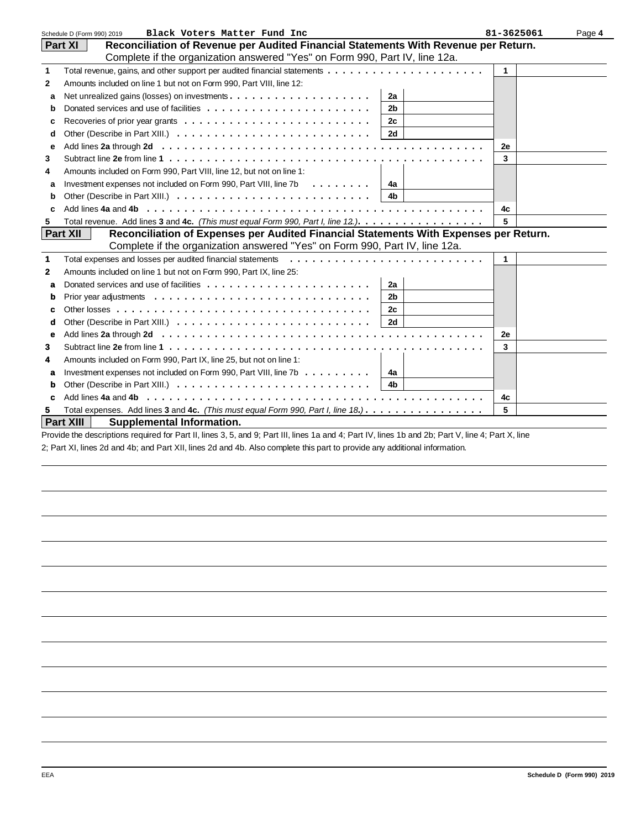|              | Schedule D (Form 990) 2019<br>Black Voters Matter Fund Inc                                                                                                             | 81-3625061 | Page 4 |
|--------------|------------------------------------------------------------------------------------------------------------------------------------------------------------------------|------------|--------|
|              | Reconciliation of Revenue per Audited Financial Statements With Revenue per Return.<br>Part XI                                                                         |            |        |
|              | Complete if the organization answered "Yes" on Form 990, Part IV, line 12a.                                                                                            |            |        |
| $\mathbf{1}$ |                                                                                                                                                                        | 1          |        |
| $\mathbf{2}$ | Amounts included on line 1 but not on Form 990, Part VIII, line 12:                                                                                                    |            |        |
| a            | 2a                                                                                                                                                                     |            |        |
| b            | 2 <sub>b</sub>                                                                                                                                                         |            |        |
| C            | 2c                                                                                                                                                                     |            |        |
| d            | <b>2d</b>                                                                                                                                                              |            |        |
| e            |                                                                                                                                                                        | 2е         |        |
| 3            | Subtract line 2e from line 1 $\dots$ , $\dots$ , $\dots$ , $\dots$ , $\dots$ , $\dots$ , $\dots$ , $\dots$ , $\dots$ , $\dots$ , $\dots$ , $\dots$ , $\dots$ , $\dots$ | 3          |        |
| 4            | Amounts included on Form 990, Part VIII, line 12, but not on line 1:                                                                                                   |            |        |
| a            | Investment expenses not included on Form 990, Part VIII, line 7b<br>4a                                                                                                 |            |        |
| b            | 4 <sub>b</sub>                                                                                                                                                         |            |        |
| c            | Add lines 4a and 4b engage and a series and a series and a series and a series are a series and a series of                                                            | 4c         |        |
| 5            | Total revenue. Add lines 3 and 4c. (This must equal Form 990, Part I, line 12.).                                                                                       | 5          |        |
|              | <b>Part XII</b><br>Reconciliation of Expenses per Audited Financial Statements With Expenses per Return.                                                               |            |        |
|              | Complete if the organization answered "Yes" on Form 990, Part IV, line 12a.                                                                                            |            |        |
| $\mathbf 1$  | Total expenses and losses per audited financial statements                                                                                                             | 1          |        |
| $\mathbf{2}$ | Amounts included on line 1 but not on Form 990, Part IX, line 25:                                                                                                      |            |        |
| a            | 2a                                                                                                                                                                     |            |        |
| b            | 2 <sub>b</sub>                                                                                                                                                         |            |        |
| c            | 2c                                                                                                                                                                     |            |        |
| d            | 2d                                                                                                                                                                     |            |        |
| e            |                                                                                                                                                                        | 2e         |        |
| 3            |                                                                                                                                                                        | 3          |        |
| 4            | Amounts included on Form 990, Part IX, line 25, but not on line 1:                                                                                                     |            |        |
| a            | Investment expenses not included on Form 990, Part VIII, line $7b \ldots \ldots$<br>4a                                                                                 |            |        |
| b            | 4 <sub>b</sub>                                                                                                                                                         |            |        |
| c            |                                                                                                                                                                        | 4c         |        |
| 5.           | Total expenses. Add lines 3 and 4c. (This must equal Form 990, Part I, line 18.).                                                                                      | 5          |        |
|              | Part XIII<br><b>Supplemental Information.</b>                                                                                                                          |            |        |

Provide the descriptions required for Part II, lines 3, 5, and 9; Part III, lines 1a and 4; Part IV, lines 1b and 2b; Part V, line 4; Part X, line 2; Part XI, lines 2d and 4b; and Part XII, lines 2d and 4b. Also complete this part to provide any additional information.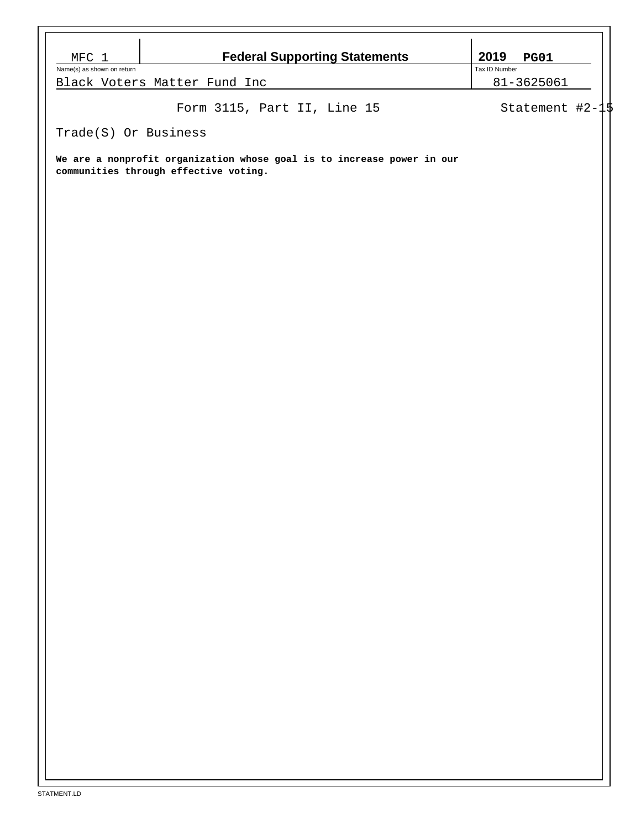| MFC 1                      | <b>Federal Supporting Statements</b>                                                                            | 2019<br><b>PG01</b>         |  |
|----------------------------|-----------------------------------------------------------------------------------------------------------------|-----------------------------|--|
| Name(s) as shown on return | Black Voters Matter Fund Inc                                                                                    | Tax ID Number<br>81-3625061 |  |
|                            | Form 3115, Part II, Line 15                                                                                     | Statement $#2-1$            |  |
| Trade(S) Or Business       |                                                                                                                 |                             |  |
|                            | We are a nonprofit organization whose goal is to increase power in our<br>communities through effective voting. |                             |  |
|                            |                                                                                                                 |                             |  |
|                            |                                                                                                                 |                             |  |
|                            |                                                                                                                 |                             |  |
|                            |                                                                                                                 |                             |  |
|                            |                                                                                                                 |                             |  |
|                            |                                                                                                                 |                             |  |
|                            |                                                                                                                 |                             |  |
|                            |                                                                                                                 |                             |  |
|                            |                                                                                                                 |                             |  |
|                            |                                                                                                                 |                             |  |
|                            |                                                                                                                 |                             |  |
|                            |                                                                                                                 |                             |  |
|                            |                                                                                                                 |                             |  |
|                            |                                                                                                                 |                             |  |
|                            |                                                                                                                 |                             |  |
|                            |                                                                                                                 |                             |  |
|                            |                                                                                                                 |                             |  |
|                            |                                                                                                                 |                             |  |
|                            |                                                                                                                 |                             |  |
|                            |                                                                                                                 |                             |  |
|                            |                                                                                                                 |                             |  |
|                            |                                                                                                                 |                             |  |
|                            |                                                                                                                 |                             |  |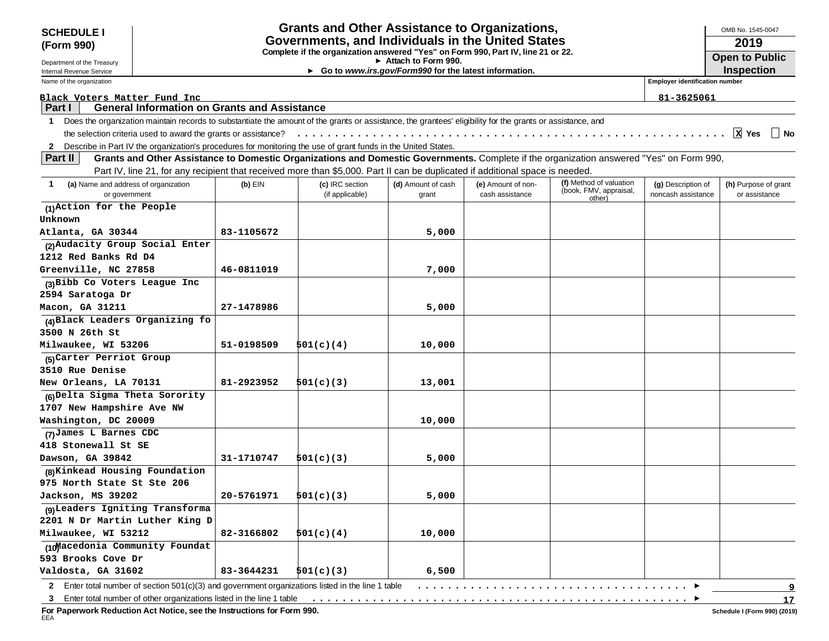| Governments, and Individuals in the United States<br>2019<br>(Form 990)<br>Complete if the organization answered "Yes" on Form 990, Part IV, line 21 or 22.<br><b>Open to Public</b><br>Attach to Form 990.<br><b>Inspection</b><br>► Go to www.irs.gov/Form990 for the latest information.<br>Internal Revenue Service<br><b>Employer identification number</b><br>Name of the organization<br>Black Voters Matter Fund Inc<br>81-3625061<br><b>General Information on Grants and Assistance</b><br>Part I<br>Does the organization maintain records to substantiate the amount of the grants or assistance, the grantees' eligibility for the grants or assistance, and<br>$\mathbf 1$<br>X <sub>Yes</sub><br>∣ No<br>2 Describe in Part IV the organization's procedures for monitoring the use of grant funds in the United States.<br>Part II<br>Grants and Other Assistance to Domestic Organizations and Domestic Governments. Complete if the organization answered "Yes" on Form 990,<br>Part IV, line 21, for any recipient that received more than \$5,000. Part II can be duplicated if additional space is needed.<br>(f) Method of valuation<br>(a) Name and address of organization<br>$(b)$ EIN<br>1<br>(c) IRC section<br>(d) Amount of cash<br>(e) Amount of non-<br>(g) Description of<br>(h) Purpose of grant<br>(book, FMV, appraisal,<br>(if applicable)<br>cash assistance<br>noncash assistance<br>or government<br>or assistance<br>grant<br>other)<br>(1)Action for the People<br>Unknown<br>Atlanta, GA 30344<br>83-1105672<br>5,000<br>(2) Audacity Group Social Enter<br>1212 Red Banks Rd D4<br>Greenville, NC 27858<br>46-0811019<br>7,000<br>(3) Bibb Co Voters League Inc<br>2594 Saratoga Dr<br>Macon, GA 31211<br>27-1478986<br>5,000<br>(4) Black Leaders Organizing fo<br>3500 N 26th St<br>Milwaukee, WI 53206<br>51-0198509<br>501(c)(4)<br>10,000<br>(5) Carter Perriot Group<br><b>3510 Rue Denise</b><br>81-2923952<br>New Orleans, LA 70131<br>501(c)(3)<br>13,001<br>(6) Delta Sigma Theta Sorority<br>1707 New Hampshire Ave NW<br>Washington, DC 20009<br>10,000<br>(7) James L Barnes CDC<br>31-1710747<br>501(c)(3)<br>5,000<br>(8) Kinkead Housing Foundation<br>20-5761971<br>501(c)(3)<br>5,000<br>(9) Leaders Igniting Transforma<br>2201 N Dr Martin Luther King D<br>82-3166802<br>501(c)(4)<br>10,000<br>83-3644231<br>6,500<br>501(c)(3)<br>Enter total number of section 501(c)(3) and government organizations listed in the line 1 table<br>$\mathbf{2}$<br>9<br>3 | <b>SCHEDULE I</b>               | <b>Grants and Other Assistance to Organizations,</b> |  |  | OMB No. 1545-0047 |  |
|-------------------------------------------------------------------------------------------------------------------------------------------------------------------------------------------------------------------------------------------------------------------------------------------------------------------------------------------------------------------------------------------------------------------------------------------------------------------------------------------------------------------------------------------------------------------------------------------------------------------------------------------------------------------------------------------------------------------------------------------------------------------------------------------------------------------------------------------------------------------------------------------------------------------------------------------------------------------------------------------------------------------------------------------------------------------------------------------------------------------------------------------------------------------------------------------------------------------------------------------------------------------------------------------------------------------------------------------------------------------------------------------------------------------------------------------------------------------------------------------------------------------------------------------------------------------------------------------------------------------------------------------------------------------------------------------------------------------------------------------------------------------------------------------------------------------------------------------------------------------------------------------------------------------------------------------------------------------------------------------------------------------------------------------------------------------------------------------------------------------------------------------------------------------------------------------------------------------------------------------------------------------------------------------------------------------------------------------------------------------------------------------------------------------------------------------------------------------------------------------------------------------------------|---------------------------------|------------------------------------------------------|--|--|-------------------|--|
| 17                                                                                                                                                                                                                                                                                                                                                                                                                                                                                                                                                                                                                                                                                                                                                                                                                                                                                                                                                                                                                                                                                                                                                                                                                                                                                                                                                                                                                                                                                                                                                                                                                                                                                                                                                                                                                                                                                                                                                                                                                                                                                                                                                                                                                                                                                                                                                                                                                                                                                                                            |                                 |                                                      |  |  |                   |  |
|                                                                                                                                                                                                                                                                                                                                                                                                                                                                                                                                                                                                                                                                                                                                                                                                                                                                                                                                                                                                                                                                                                                                                                                                                                                                                                                                                                                                                                                                                                                                                                                                                                                                                                                                                                                                                                                                                                                                                                                                                                                                                                                                                                                                                                                                                                                                                                                                                                                                                                                               |                                 |                                                      |  |  |                   |  |
|                                                                                                                                                                                                                                                                                                                                                                                                                                                                                                                                                                                                                                                                                                                                                                                                                                                                                                                                                                                                                                                                                                                                                                                                                                                                                                                                                                                                                                                                                                                                                                                                                                                                                                                                                                                                                                                                                                                                                                                                                                                                                                                                                                                                                                                                                                                                                                                                                                                                                                                               | Department of the Treasury      |                                                      |  |  |                   |  |
|                                                                                                                                                                                                                                                                                                                                                                                                                                                                                                                                                                                                                                                                                                                                                                                                                                                                                                                                                                                                                                                                                                                                                                                                                                                                                                                                                                                                                                                                                                                                                                                                                                                                                                                                                                                                                                                                                                                                                                                                                                                                                                                                                                                                                                                                                                                                                                                                                                                                                                                               |                                 |                                                      |  |  |                   |  |
|                                                                                                                                                                                                                                                                                                                                                                                                                                                                                                                                                                                                                                                                                                                                                                                                                                                                                                                                                                                                                                                                                                                                                                                                                                                                                                                                                                                                                                                                                                                                                                                                                                                                                                                                                                                                                                                                                                                                                                                                                                                                                                                                                                                                                                                                                                                                                                                                                                                                                                                               |                                 |                                                      |  |  |                   |  |
|                                                                                                                                                                                                                                                                                                                                                                                                                                                                                                                                                                                                                                                                                                                                                                                                                                                                                                                                                                                                                                                                                                                                                                                                                                                                                                                                                                                                                                                                                                                                                                                                                                                                                                                                                                                                                                                                                                                                                                                                                                                                                                                                                                                                                                                                                                                                                                                                                                                                                                                               |                                 |                                                      |  |  |                   |  |
|                                                                                                                                                                                                                                                                                                                                                                                                                                                                                                                                                                                                                                                                                                                                                                                                                                                                                                                                                                                                                                                                                                                                                                                                                                                                                                                                                                                                                                                                                                                                                                                                                                                                                                                                                                                                                                                                                                                                                                                                                                                                                                                                                                                                                                                                                                                                                                                                                                                                                                                               |                                 |                                                      |  |  |                   |  |
|                                                                                                                                                                                                                                                                                                                                                                                                                                                                                                                                                                                                                                                                                                                                                                                                                                                                                                                                                                                                                                                                                                                                                                                                                                                                                                                                                                                                                                                                                                                                                                                                                                                                                                                                                                                                                                                                                                                                                                                                                                                                                                                                                                                                                                                                                                                                                                                                                                                                                                                               |                                 |                                                      |  |  |                   |  |
|                                                                                                                                                                                                                                                                                                                                                                                                                                                                                                                                                                                                                                                                                                                                                                                                                                                                                                                                                                                                                                                                                                                                                                                                                                                                                                                                                                                                                                                                                                                                                                                                                                                                                                                                                                                                                                                                                                                                                                                                                                                                                                                                                                                                                                                                                                                                                                                                                                                                                                                               |                                 |                                                      |  |  |                   |  |
|                                                                                                                                                                                                                                                                                                                                                                                                                                                                                                                                                                                                                                                                                                                                                                                                                                                                                                                                                                                                                                                                                                                                                                                                                                                                                                                                                                                                                                                                                                                                                                                                                                                                                                                                                                                                                                                                                                                                                                                                                                                                                                                                                                                                                                                                                                                                                                                                                                                                                                                               |                                 |                                                      |  |  |                   |  |
|                                                                                                                                                                                                                                                                                                                                                                                                                                                                                                                                                                                                                                                                                                                                                                                                                                                                                                                                                                                                                                                                                                                                                                                                                                                                                                                                                                                                                                                                                                                                                                                                                                                                                                                                                                                                                                                                                                                                                                                                                                                                                                                                                                                                                                                                                                                                                                                                                                                                                                                               |                                 |                                                      |  |  |                   |  |
|                                                                                                                                                                                                                                                                                                                                                                                                                                                                                                                                                                                                                                                                                                                                                                                                                                                                                                                                                                                                                                                                                                                                                                                                                                                                                                                                                                                                                                                                                                                                                                                                                                                                                                                                                                                                                                                                                                                                                                                                                                                                                                                                                                                                                                                                                                                                                                                                                                                                                                                               |                                 |                                                      |  |  |                   |  |
|                                                                                                                                                                                                                                                                                                                                                                                                                                                                                                                                                                                                                                                                                                                                                                                                                                                                                                                                                                                                                                                                                                                                                                                                                                                                                                                                                                                                                                                                                                                                                                                                                                                                                                                                                                                                                                                                                                                                                                                                                                                                                                                                                                                                                                                                                                                                                                                                                                                                                                                               |                                 |                                                      |  |  |                   |  |
|                                                                                                                                                                                                                                                                                                                                                                                                                                                                                                                                                                                                                                                                                                                                                                                                                                                                                                                                                                                                                                                                                                                                                                                                                                                                                                                                                                                                                                                                                                                                                                                                                                                                                                                                                                                                                                                                                                                                                                                                                                                                                                                                                                                                                                                                                                                                                                                                                                                                                                                               |                                 |                                                      |  |  |                   |  |
|                                                                                                                                                                                                                                                                                                                                                                                                                                                                                                                                                                                                                                                                                                                                                                                                                                                                                                                                                                                                                                                                                                                                                                                                                                                                                                                                                                                                                                                                                                                                                                                                                                                                                                                                                                                                                                                                                                                                                                                                                                                                                                                                                                                                                                                                                                                                                                                                                                                                                                                               |                                 |                                                      |  |  |                   |  |
|                                                                                                                                                                                                                                                                                                                                                                                                                                                                                                                                                                                                                                                                                                                                                                                                                                                                                                                                                                                                                                                                                                                                                                                                                                                                                                                                                                                                                                                                                                                                                                                                                                                                                                                                                                                                                                                                                                                                                                                                                                                                                                                                                                                                                                                                                                                                                                                                                                                                                                                               |                                 |                                                      |  |  |                   |  |
|                                                                                                                                                                                                                                                                                                                                                                                                                                                                                                                                                                                                                                                                                                                                                                                                                                                                                                                                                                                                                                                                                                                                                                                                                                                                                                                                                                                                                                                                                                                                                                                                                                                                                                                                                                                                                                                                                                                                                                                                                                                                                                                                                                                                                                                                                                                                                                                                                                                                                                                               |                                 |                                                      |  |  |                   |  |
|                                                                                                                                                                                                                                                                                                                                                                                                                                                                                                                                                                                                                                                                                                                                                                                                                                                                                                                                                                                                                                                                                                                                                                                                                                                                                                                                                                                                                                                                                                                                                                                                                                                                                                                                                                                                                                                                                                                                                                                                                                                                                                                                                                                                                                                                                                                                                                                                                                                                                                                               |                                 |                                                      |  |  |                   |  |
|                                                                                                                                                                                                                                                                                                                                                                                                                                                                                                                                                                                                                                                                                                                                                                                                                                                                                                                                                                                                                                                                                                                                                                                                                                                                                                                                                                                                                                                                                                                                                                                                                                                                                                                                                                                                                                                                                                                                                                                                                                                                                                                                                                                                                                                                                                                                                                                                                                                                                                                               |                                 |                                                      |  |  |                   |  |
|                                                                                                                                                                                                                                                                                                                                                                                                                                                                                                                                                                                                                                                                                                                                                                                                                                                                                                                                                                                                                                                                                                                                                                                                                                                                                                                                                                                                                                                                                                                                                                                                                                                                                                                                                                                                                                                                                                                                                                                                                                                                                                                                                                                                                                                                                                                                                                                                                                                                                                                               |                                 |                                                      |  |  |                   |  |
|                                                                                                                                                                                                                                                                                                                                                                                                                                                                                                                                                                                                                                                                                                                                                                                                                                                                                                                                                                                                                                                                                                                                                                                                                                                                                                                                                                                                                                                                                                                                                                                                                                                                                                                                                                                                                                                                                                                                                                                                                                                                                                                                                                                                                                                                                                                                                                                                                                                                                                                               |                                 |                                                      |  |  |                   |  |
|                                                                                                                                                                                                                                                                                                                                                                                                                                                                                                                                                                                                                                                                                                                                                                                                                                                                                                                                                                                                                                                                                                                                                                                                                                                                                                                                                                                                                                                                                                                                                                                                                                                                                                                                                                                                                                                                                                                                                                                                                                                                                                                                                                                                                                                                                                                                                                                                                                                                                                                               |                                 |                                                      |  |  |                   |  |
|                                                                                                                                                                                                                                                                                                                                                                                                                                                                                                                                                                                                                                                                                                                                                                                                                                                                                                                                                                                                                                                                                                                                                                                                                                                                                                                                                                                                                                                                                                                                                                                                                                                                                                                                                                                                                                                                                                                                                                                                                                                                                                                                                                                                                                                                                                                                                                                                                                                                                                                               |                                 |                                                      |  |  |                   |  |
|                                                                                                                                                                                                                                                                                                                                                                                                                                                                                                                                                                                                                                                                                                                                                                                                                                                                                                                                                                                                                                                                                                                                                                                                                                                                                                                                                                                                                                                                                                                                                                                                                                                                                                                                                                                                                                                                                                                                                                                                                                                                                                                                                                                                                                                                                                                                                                                                                                                                                                                               |                                 |                                                      |  |  |                   |  |
|                                                                                                                                                                                                                                                                                                                                                                                                                                                                                                                                                                                                                                                                                                                                                                                                                                                                                                                                                                                                                                                                                                                                                                                                                                                                                                                                                                                                                                                                                                                                                                                                                                                                                                                                                                                                                                                                                                                                                                                                                                                                                                                                                                                                                                                                                                                                                                                                                                                                                                                               |                                 |                                                      |  |  |                   |  |
|                                                                                                                                                                                                                                                                                                                                                                                                                                                                                                                                                                                                                                                                                                                                                                                                                                                                                                                                                                                                                                                                                                                                                                                                                                                                                                                                                                                                                                                                                                                                                                                                                                                                                                                                                                                                                                                                                                                                                                                                                                                                                                                                                                                                                                                                                                                                                                                                                                                                                                                               |                                 |                                                      |  |  |                   |  |
|                                                                                                                                                                                                                                                                                                                                                                                                                                                                                                                                                                                                                                                                                                                                                                                                                                                                                                                                                                                                                                                                                                                                                                                                                                                                                                                                                                                                                                                                                                                                                                                                                                                                                                                                                                                                                                                                                                                                                                                                                                                                                                                                                                                                                                                                                                                                                                                                                                                                                                                               |                                 |                                                      |  |  |                   |  |
|                                                                                                                                                                                                                                                                                                                                                                                                                                                                                                                                                                                                                                                                                                                                                                                                                                                                                                                                                                                                                                                                                                                                                                                                                                                                                                                                                                                                                                                                                                                                                                                                                                                                                                                                                                                                                                                                                                                                                                                                                                                                                                                                                                                                                                                                                                                                                                                                                                                                                                                               |                                 |                                                      |  |  |                   |  |
|                                                                                                                                                                                                                                                                                                                                                                                                                                                                                                                                                                                                                                                                                                                                                                                                                                                                                                                                                                                                                                                                                                                                                                                                                                                                                                                                                                                                                                                                                                                                                                                                                                                                                                                                                                                                                                                                                                                                                                                                                                                                                                                                                                                                                                                                                                                                                                                                                                                                                                                               |                                 |                                                      |  |  |                   |  |
|                                                                                                                                                                                                                                                                                                                                                                                                                                                                                                                                                                                                                                                                                                                                                                                                                                                                                                                                                                                                                                                                                                                                                                                                                                                                                                                                                                                                                                                                                                                                                                                                                                                                                                                                                                                                                                                                                                                                                                                                                                                                                                                                                                                                                                                                                                                                                                                                                                                                                                                               |                                 |                                                      |  |  |                   |  |
|                                                                                                                                                                                                                                                                                                                                                                                                                                                                                                                                                                                                                                                                                                                                                                                                                                                                                                                                                                                                                                                                                                                                                                                                                                                                                                                                                                                                                                                                                                                                                                                                                                                                                                                                                                                                                                                                                                                                                                                                                                                                                                                                                                                                                                                                                                                                                                                                                                                                                                                               |                                 |                                                      |  |  |                   |  |
|                                                                                                                                                                                                                                                                                                                                                                                                                                                                                                                                                                                                                                                                                                                                                                                                                                                                                                                                                                                                                                                                                                                                                                                                                                                                                                                                                                                                                                                                                                                                                                                                                                                                                                                                                                                                                                                                                                                                                                                                                                                                                                                                                                                                                                                                                                                                                                                                                                                                                                                               |                                 |                                                      |  |  |                   |  |
|                                                                                                                                                                                                                                                                                                                                                                                                                                                                                                                                                                                                                                                                                                                                                                                                                                                                                                                                                                                                                                                                                                                                                                                                                                                                                                                                                                                                                                                                                                                                                                                                                                                                                                                                                                                                                                                                                                                                                                                                                                                                                                                                                                                                                                                                                                                                                                                                                                                                                                                               | 418 Stonewall St SE             |                                                      |  |  |                   |  |
|                                                                                                                                                                                                                                                                                                                                                                                                                                                                                                                                                                                                                                                                                                                                                                                                                                                                                                                                                                                                                                                                                                                                                                                                                                                                                                                                                                                                                                                                                                                                                                                                                                                                                                                                                                                                                                                                                                                                                                                                                                                                                                                                                                                                                                                                                                                                                                                                                                                                                                                               | Dawson, GA 39842                |                                                      |  |  |                   |  |
|                                                                                                                                                                                                                                                                                                                                                                                                                                                                                                                                                                                                                                                                                                                                                                                                                                                                                                                                                                                                                                                                                                                                                                                                                                                                                                                                                                                                                                                                                                                                                                                                                                                                                                                                                                                                                                                                                                                                                                                                                                                                                                                                                                                                                                                                                                                                                                                                                                                                                                                               |                                 |                                                      |  |  |                   |  |
|                                                                                                                                                                                                                                                                                                                                                                                                                                                                                                                                                                                                                                                                                                                                                                                                                                                                                                                                                                                                                                                                                                                                                                                                                                                                                                                                                                                                                                                                                                                                                                                                                                                                                                                                                                                                                                                                                                                                                                                                                                                                                                                                                                                                                                                                                                                                                                                                                                                                                                                               | 975 North State St Ste 206      |                                                      |  |  |                   |  |
|                                                                                                                                                                                                                                                                                                                                                                                                                                                                                                                                                                                                                                                                                                                                                                                                                                                                                                                                                                                                                                                                                                                                                                                                                                                                                                                                                                                                                                                                                                                                                                                                                                                                                                                                                                                                                                                                                                                                                                                                                                                                                                                                                                                                                                                                                                                                                                                                                                                                                                                               | Jackson, MS 39202               |                                                      |  |  |                   |  |
|                                                                                                                                                                                                                                                                                                                                                                                                                                                                                                                                                                                                                                                                                                                                                                                                                                                                                                                                                                                                                                                                                                                                                                                                                                                                                                                                                                                                                                                                                                                                                                                                                                                                                                                                                                                                                                                                                                                                                                                                                                                                                                                                                                                                                                                                                                                                                                                                                                                                                                                               |                                 |                                                      |  |  |                   |  |
|                                                                                                                                                                                                                                                                                                                                                                                                                                                                                                                                                                                                                                                                                                                                                                                                                                                                                                                                                                                                                                                                                                                                                                                                                                                                                                                                                                                                                                                                                                                                                                                                                                                                                                                                                                                                                                                                                                                                                                                                                                                                                                                                                                                                                                                                                                                                                                                                                                                                                                                               |                                 |                                                      |  |  |                   |  |
|                                                                                                                                                                                                                                                                                                                                                                                                                                                                                                                                                                                                                                                                                                                                                                                                                                                                                                                                                                                                                                                                                                                                                                                                                                                                                                                                                                                                                                                                                                                                                                                                                                                                                                                                                                                                                                                                                                                                                                                                                                                                                                                                                                                                                                                                                                                                                                                                                                                                                                                               | Milwaukee, WI 53212             |                                                      |  |  |                   |  |
|                                                                                                                                                                                                                                                                                                                                                                                                                                                                                                                                                                                                                                                                                                                                                                                                                                                                                                                                                                                                                                                                                                                                                                                                                                                                                                                                                                                                                                                                                                                                                                                                                                                                                                                                                                                                                                                                                                                                                                                                                                                                                                                                                                                                                                                                                                                                                                                                                                                                                                                               | (10) acedonia Community Foundat |                                                      |  |  |                   |  |
|                                                                                                                                                                                                                                                                                                                                                                                                                                                                                                                                                                                                                                                                                                                                                                                                                                                                                                                                                                                                                                                                                                                                                                                                                                                                                                                                                                                                                                                                                                                                                                                                                                                                                                                                                                                                                                                                                                                                                                                                                                                                                                                                                                                                                                                                                                                                                                                                                                                                                                                               | 593 Brooks Cove Dr              |                                                      |  |  |                   |  |
|                                                                                                                                                                                                                                                                                                                                                                                                                                                                                                                                                                                                                                                                                                                                                                                                                                                                                                                                                                                                                                                                                                                                                                                                                                                                                                                                                                                                                                                                                                                                                                                                                                                                                                                                                                                                                                                                                                                                                                                                                                                                                                                                                                                                                                                                                                                                                                                                                                                                                                                               | Valdosta, GA 31602              |                                                      |  |  |                   |  |
|                                                                                                                                                                                                                                                                                                                                                                                                                                                                                                                                                                                                                                                                                                                                                                                                                                                                                                                                                                                                                                                                                                                                                                                                                                                                                                                                                                                                                                                                                                                                                                                                                                                                                                                                                                                                                                                                                                                                                                                                                                                                                                                                                                                                                                                                                                                                                                                                                                                                                                                               |                                 |                                                      |  |  |                   |  |
|                                                                                                                                                                                                                                                                                                                                                                                                                                                                                                                                                                                                                                                                                                                                                                                                                                                                                                                                                                                                                                                                                                                                                                                                                                                                                                                                                                                                                                                                                                                                                                                                                                                                                                                                                                                                                                                                                                                                                                                                                                                                                                                                                                                                                                                                                                                                                                                                                                                                                                                               |                                 |                                                      |  |  |                   |  |

**3** Enter total number of other organizations listed in the line 1 table

**For Paperwork Reduction Act Notice, see the Instructions for Form 990.** EEA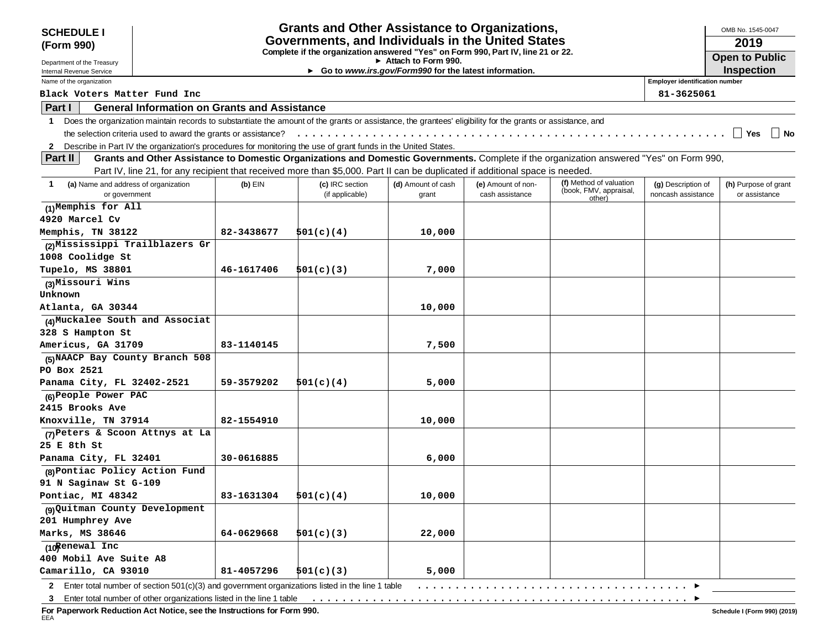| <b>SCHEDULE I</b>                                          |                                                                                                         |            | <b>Grants and Other Assistance to Organizations,</b>                                                                                                       |                                                       |                                       |                                                                                                                                          |                                          | OMB No. 1545-0047                     |  |
|------------------------------------------------------------|---------------------------------------------------------------------------------------------------------|------------|------------------------------------------------------------------------------------------------------------------------------------------------------------|-------------------------------------------------------|---------------------------------------|------------------------------------------------------------------------------------------------------------------------------------------|------------------------------------------|---------------------------------------|--|
| (Form 990)                                                 | Governments, and Individuals in the United States                                                       |            |                                                                                                                                                            |                                                       |                                       |                                                                                                                                          |                                          | 2019                                  |  |
|                                                            | Complete if the organization answered "Yes" on Form 990, Part IV, line 21 or 22.<br>Attach to Form 990. |            |                                                                                                                                                            |                                                       |                                       |                                                                                                                                          |                                          | <b>Open to Public</b>                 |  |
| Department of the Treasury<br>Internal Revenue Service     |                                                                                                         |            |                                                                                                                                                            | Go to www.irs.gov/Form990 for the latest information. |                                       |                                                                                                                                          |                                          | Inspection                            |  |
| Name of the organization                                   |                                                                                                         |            |                                                                                                                                                            |                                                       |                                       |                                                                                                                                          | <b>Employer identification number</b>    |                                       |  |
| Black Voters Matter Fund Inc                               |                                                                                                         |            |                                                                                                                                                            |                                                       |                                       |                                                                                                                                          | 81-3625061                               |                                       |  |
| Part I                                                     | <b>General Information on Grants and Assistance</b>                                                     |            |                                                                                                                                                            |                                                       |                                       |                                                                                                                                          |                                          |                                       |  |
| 1                                                          |                                                                                                         |            | Does the organization maintain records to substantiate the amount of the grants or assistance, the grantees' eligibility for the grants or assistance, and |                                                       |                                       |                                                                                                                                          |                                          |                                       |  |
|                                                            | the selection criteria used to award the grants or assistance?                                          |            |                                                                                                                                                            |                                                       |                                       |                                                                                                                                          |                                          | $\Box$ Yes<br>│ │ No                  |  |
| 2                                                          |                                                                                                         |            | Describe in Part IV the organization's procedures for monitoring the use of grant funds in the United States.                                              |                                                       |                                       |                                                                                                                                          |                                          |                                       |  |
| Part II                                                    |                                                                                                         |            |                                                                                                                                                            |                                                       |                                       | Grants and Other Assistance to Domestic Organizations and Domestic Governments. Complete if the organization answered "Yes" on Form 990, |                                          |                                       |  |
|                                                            |                                                                                                         |            | Part IV, line 21, for any recipient that received more than \$5,000. Part II can be duplicated if additional space is needed.                              |                                                       |                                       |                                                                                                                                          |                                          |                                       |  |
| (a) Name and address of organization<br>1<br>or government |                                                                                                         | $(b)$ EIN  | (c) IRC section<br>(if applicable)                                                                                                                         | (d) Amount of cash<br>grant                           | (e) Amount of non-<br>cash assistance | (f) Method of valuation<br>(book, FMV, appraisal,<br>other)                                                                              | (g) Description of<br>noncash assistance | (h) Purpose of grant<br>or assistance |  |
| (1)Memphis for All                                         |                                                                                                         |            |                                                                                                                                                            |                                                       |                                       |                                                                                                                                          |                                          |                                       |  |
| 4920 Marcel Cv                                             |                                                                                                         |            |                                                                                                                                                            |                                                       |                                       |                                                                                                                                          |                                          |                                       |  |
| Memphis, TN 38122                                          |                                                                                                         | 82-3438677 | 501(c)(4)                                                                                                                                                  | 10,000                                                |                                       |                                                                                                                                          |                                          |                                       |  |
| (2) Mississippi Trailblazers Gr                            |                                                                                                         |            |                                                                                                                                                            |                                                       |                                       |                                                                                                                                          |                                          |                                       |  |
| 1008 Coolidge St                                           |                                                                                                         |            |                                                                                                                                                            |                                                       |                                       |                                                                                                                                          |                                          |                                       |  |
| Tupelo, MS 38801                                           |                                                                                                         | 46-1617406 | 501(c)(3)                                                                                                                                                  | 7,000                                                 |                                       |                                                                                                                                          |                                          |                                       |  |
| (3) Missouri Wins                                          |                                                                                                         |            |                                                                                                                                                            |                                                       |                                       |                                                                                                                                          |                                          |                                       |  |
| Unknown                                                    |                                                                                                         |            |                                                                                                                                                            |                                                       |                                       |                                                                                                                                          |                                          |                                       |  |
| Atlanta, GA 30344                                          |                                                                                                         |            |                                                                                                                                                            | 10,000                                                |                                       |                                                                                                                                          |                                          |                                       |  |
| (4) Muckalee South and Associat                            |                                                                                                         |            |                                                                                                                                                            |                                                       |                                       |                                                                                                                                          |                                          |                                       |  |
| 328 S Hampton St                                           |                                                                                                         |            |                                                                                                                                                            |                                                       |                                       |                                                                                                                                          |                                          |                                       |  |
| Americus, GA 31709                                         |                                                                                                         | 83-1140145 |                                                                                                                                                            | 7,500                                                 |                                       |                                                                                                                                          |                                          |                                       |  |
| (5) NAACP Bay County Branch 508                            |                                                                                                         |            |                                                                                                                                                            |                                                       |                                       |                                                                                                                                          |                                          |                                       |  |
| PO Box 2521                                                |                                                                                                         |            |                                                                                                                                                            |                                                       |                                       |                                                                                                                                          |                                          |                                       |  |
| Panama City, FL 32402-2521                                 |                                                                                                         | 59-3579202 | 501(c)(4)                                                                                                                                                  | 5,000                                                 |                                       |                                                                                                                                          |                                          |                                       |  |
| (6) People Power PAC                                       |                                                                                                         |            |                                                                                                                                                            |                                                       |                                       |                                                                                                                                          |                                          |                                       |  |
| 2415 Brooks Ave                                            |                                                                                                         |            |                                                                                                                                                            |                                                       |                                       |                                                                                                                                          |                                          |                                       |  |
| Knoxville, TN 37914                                        |                                                                                                         | 82-1554910 |                                                                                                                                                            | 10,000                                                |                                       |                                                                                                                                          |                                          |                                       |  |
| (7) Peters & Scoon Attnys at La                            |                                                                                                         |            |                                                                                                                                                            |                                                       |                                       |                                                                                                                                          |                                          |                                       |  |
| 25 E 8th St<br>Panama City, FL 32401                       |                                                                                                         | 30-0616885 |                                                                                                                                                            |                                                       |                                       |                                                                                                                                          |                                          |                                       |  |
| (8) Pontiac Policy Action Fund                             |                                                                                                         |            |                                                                                                                                                            | 6,000                                                 |                                       |                                                                                                                                          |                                          |                                       |  |
| 91 N Saginaw St G-109                                      |                                                                                                         |            |                                                                                                                                                            |                                                       |                                       |                                                                                                                                          |                                          |                                       |  |
| Pontiac, MI 48342                                          |                                                                                                         | 83-1631304 | 501(c)(4)                                                                                                                                                  | 10,000                                                |                                       |                                                                                                                                          |                                          |                                       |  |
| (9) Quitman County Development                             |                                                                                                         |            |                                                                                                                                                            |                                                       |                                       |                                                                                                                                          |                                          |                                       |  |
| 201 Humphrey Ave                                           |                                                                                                         |            |                                                                                                                                                            |                                                       |                                       |                                                                                                                                          |                                          |                                       |  |
| Marks, MS 38646                                            |                                                                                                         | 64-0629668 | 501(c)(3)                                                                                                                                                  | 22,000                                                |                                       |                                                                                                                                          |                                          |                                       |  |
| (10 Renewal Inc                                            |                                                                                                         |            |                                                                                                                                                            |                                                       |                                       |                                                                                                                                          |                                          |                                       |  |
| 400 Mobil Ave Suite A8                                     |                                                                                                         |            |                                                                                                                                                            |                                                       |                                       |                                                                                                                                          |                                          |                                       |  |
| Camarillo, CA 93010                                        |                                                                                                         | 81-4057296 | 501(c)(3)                                                                                                                                                  | 5,000                                                 |                                       |                                                                                                                                          |                                          |                                       |  |
|                                                            |                                                                                                         |            | 2 Enter total number of section 501(c)(3) and government organizations listed in the line 1 table                                                          |                                                       |                                       |                                                                                                                                          |                                          |                                       |  |

**3** Enter total number of other organizations listed in the line 1 table ..................................................

**For Paperwork Reduction Act Notice, see the Instructions for Form 990.** EEA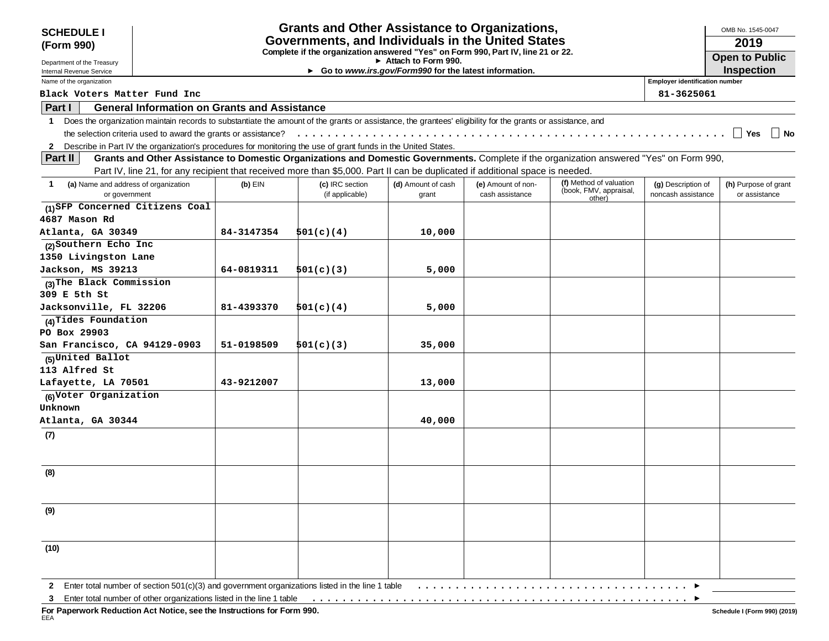| <b>SCHEDULE I</b>                                                                                                                                                          |                                                   |                                                     | <b>Grants and Other Assistance to Organizations,</b>                                                                          |                                                                                               |                    |                                                                                                                                          |                                       | OMB No. 1545-0047     |  |
|----------------------------------------------------------------------------------------------------------------------------------------------------------------------------|---------------------------------------------------|-----------------------------------------------------|-------------------------------------------------------------------------------------------------------------------------------|-----------------------------------------------------------------------------------------------|--------------------|------------------------------------------------------------------------------------------------------------------------------------------|---------------------------------------|-----------------------|--|
| (Form 990)                                                                                                                                                                 | Governments, and Individuals in the United States |                                                     |                                                                                                                               |                                                                                               |                    |                                                                                                                                          |                                       | 2019                  |  |
|                                                                                                                                                                            |                                                   |                                                     | Complete if the organization answered "Yes" on Form 990, Part IV, line 21 or 22.                                              |                                                                                               |                    |                                                                                                                                          |                                       | <b>Open to Public</b> |  |
| Department of the Treasury<br>Internal Revenue Service                                                                                                                     |                                                   |                                                     |                                                                                                                               | $\triangleright$ Attach to Form 990.<br>Go to www.irs.gov/Form990 for the latest information. |                    |                                                                                                                                          |                                       | <b>Inspection</b>     |  |
| Name of the organization                                                                                                                                                   |                                                   |                                                     |                                                                                                                               |                                                                                               |                    |                                                                                                                                          | <b>Employer identification number</b> |                       |  |
| Black Voters Matter Fund Inc                                                                                                                                               |                                                   |                                                     |                                                                                                                               |                                                                                               |                    |                                                                                                                                          | 81-3625061                            |                       |  |
| Part I                                                                                                                                                                     |                                                   | <b>General Information on Grants and Assistance</b> |                                                                                                                               |                                                                                               |                    |                                                                                                                                          |                                       |                       |  |
| Does the organization maintain records to substantiate the amount of the grants or assistance, the grantees' eligibility for the grants or assistance, and<br>$\mathbf{1}$ |                                                   |                                                     |                                                                                                                               |                                                                                               |                    |                                                                                                                                          |                                       |                       |  |
| the selection criteria used to award the grants or assistance?                                                                                                             |                                                   |                                                     |                                                                                                                               |                                                                                               |                    |                                                                                                                                          |                                       | $\Box$ Yes<br>∣ I No  |  |
| 2 Describe in Part IV the organization's procedures for monitoring the use of grant funds in the United States.                                                            |                                                   |                                                     |                                                                                                                               |                                                                                               |                    |                                                                                                                                          |                                       |                       |  |
| Part II                                                                                                                                                                    |                                                   |                                                     |                                                                                                                               |                                                                                               |                    | Grants and Other Assistance to Domestic Organizations and Domestic Governments. Complete if the organization answered "Yes" on Form 990, |                                       |                       |  |
|                                                                                                                                                                            |                                                   |                                                     | Part IV, line 21, for any recipient that received more than \$5,000. Part II can be duplicated if additional space is needed. |                                                                                               |                    |                                                                                                                                          |                                       |                       |  |
| (a) Name and address of organization<br>1                                                                                                                                  |                                                   | $(b)$ EIN                                           | (c) IRC section                                                                                                               | (d) Amount of cash                                                                            | (e) Amount of non- | (f) Method of valuation                                                                                                                  | (g) Description of                    | (h) Purpose of grant  |  |
| or government                                                                                                                                                              |                                                   |                                                     | (if applicable)                                                                                                               | grant                                                                                         | cash assistance    | (book, FMV, appraisal,<br>other)                                                                                                         | noncash assistance                    | or assistance         |  |
| (1)SFP Concerned Citizens Coal                                                                                                                                             |                                                   |                                                     |                                                                                                                               |                                                                                               |                    |                                                                                                                                          |                                       |                       |  |
| 4687 Mason Rd                                                                                                                                                              |                                                   |                                                     |                                                                                                                               |                                                                                               |                    |                                                                                                                                          |                                       |                       |  |
| Atlanta, GA 30349                                                                                                                                                          |                                                   | 84-3147354                                          | 501(c)(4)                                                                                                                     | 10,000                                                                                        |                    |                                                                                                                                          |                                       |                       |  |
| (2) Southern Echo Inc                                                                                                                                                      |                                                   |                                                     |                                                                                                                               |                                                                                               |                    |                                                                                                                                          |                                       |                       |  |
| 1350 Livingston Lane                                                                                                                                                       |                                                   |                                                     |                                                                                                                               |                                                                                               |                    |                                                                                                                                          |                                       |                       |  |
| Jackson, MS 39213                                                                                                                                                          |                                                   | 64-0819311                                          | 501(c)(3)                                                                                                                     | 5,000                                                                                         |                    |                                                                                                                                          |                                       |                       |  |
| (3) The Black Commission                                                                                                                                                   |                                                   |                                                     |                                                                                                                               |                                                                                               |                    |                                                                                                                                          |                                       |                       |  |
| 309 E 5th St                                                                                                                                                               |                                                   |                                                     |                                                                                                                               |                                                                                               |                    |                                                                                                                                          |                                       |                       |  |
| Jacksonville, FL 32206                                                                                                                                                     |                                                   | 81-4393370                                          | 501(c)(4)                                                                                                                     | 5,000                                                                                         |                    |                                                                                                                                          |                                       |                       |  |
| (4) Tides Foundation                                                                                                                                                       |                                                   |                                                     |                                                                                                                               |                                                                                               |                    |                                                                                                                                          |                                       |                       |  |
| PO Box 29903                                                                                                                                                               |                                                   |                                                     |                                                                                                                               |                                                                                               |                    |                                                                                                                                          |                                       |                       |  |
| San Francisco, CA 94129-0903                                                                                                                                               |                                                   | 51-0198509                                          | 501(c)(3)                                                                                                                     | 35,000                                                                                        |                    |                                                                                                                                          |                                       |                       |  |
| (5)United Ballot                                                                                                                                                           |                                                   |                                                     |                                                                                                                               |                                                                                               |                    |                                                                                                                                          |                                       |                       |  |
| 113 Alfred St                                                                                                                                                              |                                                   |                                                     |                                                                                                                               |                                                                                               |                    |                                                                                                                                          |                                       |                       |  |
| Lafayette, LA 70501                                                                                                                                                        |                                                   | 43-9212007                                          |                                                                                                                               | 13,000                                                                                        |                    |                                                                                                                                          |                                       |                       |  |
| (6) Voter Organization<br>Unknown                                                                                                                                          |                                                   |                                                     |                                                                                                                               |                                                                                               |                    |                                                                                                                                          |                                       |                       |  |
| Atlanta, GA 30344                                                                                                                                                          |                                                   |                                                     |                                                                                                                               | 40,000                                                                                        |                    |                                                                                                                                          |                                       |                       |  |
|                                                                                                                                                                            |                                                   |                                                     |                                                                                                                               |                                                                                               |                    |                                                                                                                                          |                                       |                       |  |
| (7)                                                                                                                                                                        |                                                   |                                                     |                                                                                                                               |                                                                                               |                    |                                                                                                                                          |                                       |                       |  |
|                                                                                                                                                                            |                                                   |                                                     |                                                                                                                               |                                                                                               |                    |                                                                                                                                          |                                       |                       |  |
|                                                                                                                                                                            |                                                   |                                                     |                                                                                                                               |                                                                                               |                    |                                                                                                                                          |                                       |                       |  |
| (8)                                                                                                                                                                        |                                                   |                                                     |                                                                                                                               |                                                                                               |                    |                                                                                                                                          |                                       |                       |  |
|                                                                                                                                                                            |                                                   |                                                     |                                                                                                                               |                                                                                               |                    |                                                                                                                                          |                                       |                       |  |
| (9)                                                                                                                                                                        |                                                   |                                                     |                                                                                                                               |                                                                                               |                    |                                                                                                                                          |                                       |                       |  |
|                                                                                                                                                                            |                                                   |                                                     |                                                                                                                               |                                                                                               |                    |                                                                                                                                          |                                       |                       |  |
|                                                                                                                                                                            |                                                   |                                                     |                                                                                                                               |                                                                                               |                    |                                                                                                                                          |                                       |                       |  |
| (10)                                                                                                                                                                       |                                                   |                                                     |                                                                                                                               |                                                                                               |                    |                                                                                                                                          |                                       |                       |  |
|                                                                                                                                                                            |                                                   |                                                     |                                                                                                                               |                                                                                               |                    |                                                                                                                                          |                                       |                       |  |
|                                                                                                                                                                            |                                                   |                                                     |                                                                                                                               |                                                                                               |                    |                                                                                                                                          |                                       |                       |  |
| 2 Enter total number of section 501(c)(3) and government organizations listed in the line 1 table                                                                          |                                                   |                                                     |                                                                                                                               |                                                                                               |                    |                                                                                                                                          |                                       |                       |  |

**3** Enter total number of other organizations listed in the line 1 table ..................................................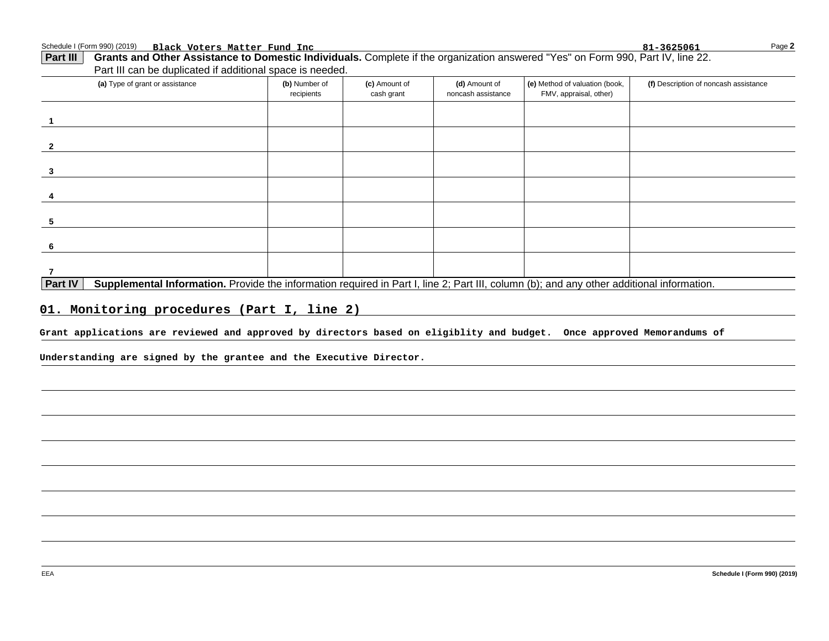Schedule I (Form 990) (2019) Page **Black Voters Matter Fund Inc 81-3625061**

| -1<br>$\overline{2}$<br>$\mathbf{3}$<br>4<br>5<br>6<br>$\overline{7}$<br>Supplemental Information. Provide the information required in Part I, line 2; Part III, column (b); and any other additional information.<br><b>Part IV</b><br>01. Monitoring procedures (Part I, line 2)<br>Grant applications are reviewed and approved by directors based on eligiblity and budget. Once approved Memorandums of |  |  |
|--------------------------------------------------------------------------------------------------------------------------------------------------------------------------------------------------------------------------------------------------------------------------------------------------------------------------------------------------------------------------------------------------------------|--|--|
|                                                                                                                                                                                                                                                                                                                                                                                                              |  |  |
|                                                                                                                                                                                                                                                                                                                                                                                                              |  |  |
|                                                                                                                                                                                                                                                                                                                                                                                                              |  |  |
|                                                                                                                                                                                                                                                                                                                                                                                                              |  |  |
|                                                                                                                                                                                                                                                                                                                                                                                                              |  |  |
|                                                                                                                                                                                                                                                                                                                                                                                                              |  |  |
|                                                                                                                                                                                                                                                                                                                                                                                                              |  |  |
|                                                                                                                                                                                                                                                                                                                                                                                                              |  |  |
|                                                                                                                                                                                                                                                                                                                                                                                                              |  |  |
|                                                                                                                                                                                                                                                                                                                                                                                                              |  |  |
| Understanding are signed by the grantee and the Executive Director.                                                                                                                                                                                                                                                                                                                                          |  |  |
|                                                                                                                                                                                                                                                                                                                                                                                                              |  |  |
|                                                                                                                                                                                                                                                                                                                                                                                                              |  |  |
|                                                                                                                                                                                                                                                                                                                                                                                                              |  |  |
|                                                                                                                                                                                                                                                                                                                                                                                                              |  |  |
|                                                                                                                                                                                                                                                                                                                                                                                                              |  |  |
|                                                                                                                                                                                                                                                                                                                                                                                                              |  |  |

**2**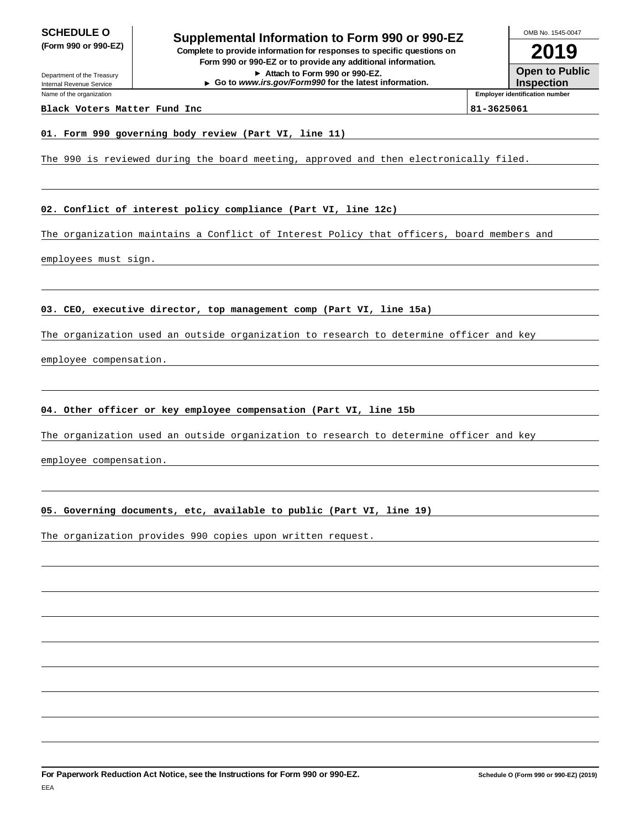**SCHEDULE O**<br> **Supplemental Information to Form 990 or 990-EZ**<br> **Supplemental Information to Form 990 or 990-EZ (Form 990 or 990-EZ) Complete to provide information for responses to specific questions on Form 990 or 990-EZ or to provide any additional information.**

**Attach to Form 990 or 990-EZ. Go to www.irs.gov/Form990 for the latest information.**

**2019** OMB No. 1545-0047

**Open to Public Inspection**

Department of the Treasury Internal Revenue Service Name of the organization

#### **Black Voters Matter Fund Inc 81-3625061**

**Employer identification number**

#### **01. Form 990 governing body review (Part VI, line 11)**

The 990 is reviewed during the board meeting, approved and then electronically filed.

#### **02. Conflict of interest policy compliance (Part VI, line 12c)**

The organization maintains a Conflict of Interest Policy that officers, board members and

employees must sign.

#### **03. CEO, executive director, top management comp (Part VI, line 15a)**

The organization used an outside organization to research to determine officer and key

employee compensation.

#### **04. Other officer or key employee compensation (Part VI, line 15b**

The organization used an outside organization to research to determine officer and key

employee compensation.

#### **05. Governing documents, etc, available to public (Part VI, line 19)**

The organization provides 990 copies upon written request.

**For Paperwork Reduction Act Notice, see the Instructions for Form 990 or 990-EZ.**